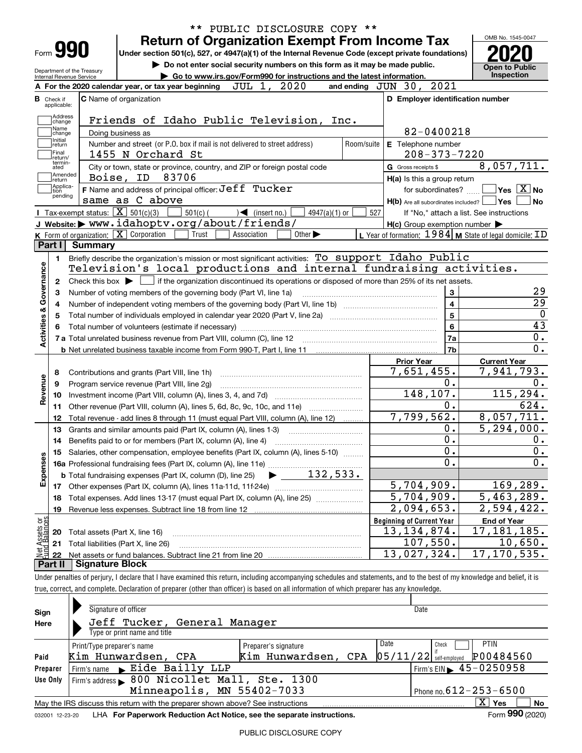|                                                        |                                             |                                                                                                                                                          |                                                                             |                             |                 |            |                                                     |                  | OMB No. 1545-0047                                         |
|--------------------------------------------------------|---------------------------------------------|----------------------------------------------------------------------------------------------------------------------------------------------------------|-----------------------------------------------------------------------------|-----------------------------|-----------------|------------|-----------------------------------------------------|------------------|-----------------------------------------------------------|
| Form <b>990</b>                                        |                                             | Under section 501(c), 527, or 4947(a)(1) of the Internal Revenue Code (except private foundations)                                                       | <b>Return of Organization Exempt From Income Tax</b>                        |                             |                 |            |                                                     |                  |                                                           |
|                                                        |                                             |                                                                                                                                                          | Do not enter social security numbers on this form as it may be made public. |                             |                 |            |                                                     |                  |                                                           |
| Department of the Treasury<br>Internal Revenue Service |                                             |                                                                                                                                                          | Go to www.irs.gov/Form990 for instructions and the latest information.      |                             |                 |            |                                                     |                  | <b>Open to Public</b><br>Inspection                       |
|                                                        |                                             | A For the 2020 calendar year, or tax year beginning                                                                                                      |                                                                             | JUL 1, 2020                 |                 |            | and ending $JUN$ 30, $2021$                         |                  |                                                           |
| в<br>Check if<br>applicable:                           |                                             | C Name of organization                                                                                                                                   |                                                                             |                             |                 |            | D Employer identification number                    |                  |                                                           |
| Address                                                |                                             |                                                                                                                                                          |                                                                             |                             |                 |            |                                                     |                  |                                                           |
| change<br>Name                                         |                                             | Friends of Idaho Public Television, Inc.                                                                                                                 |                                                                             |                             |                 |            |                                                     |                  |                                                           |
| change<br>Initial                                      | Doing business as                           |                                                                                                                                                          |                                                                             |                             |                 |            | 82-0400218                                          |                  |                                                           |
| return                                                 |                                             | Number and street (or P.O. box if mail is not delivered to street address)                                                                               |                                                                             |                             |                 | Room/suite | E Telephone number                                  |                  |                                                           |
| Final<br>return/<br>termin-                            |                                             | 1455 N Orchard St                                                                                                                                        |                                                                             |                             |                 |            | $208 - 373 - 7220$                                  |                  |                                                           |
| ated<br>Amended                                        |                                             | City or town, state or province, country, and ZIP or foreign postal code                                                                                 |                                                                             |                             |                 |            | G Gross receipts \$                                 |                  | 8,057,711.                                                |
| return<br>Applica-                                     |                                             | Boise, ID 83706                                                                                                                                          |                                                                             |                             |                 |            | H(a) Is this a group return                         |                  |                                                           |
| tion<br>pending                                        |                                             | F Name and address of principal officer: Jeff Tucker                                                                                                     |                                                                             |                             |                 |            | for subordinates?                                   |                  | $\sqrt{}$ Yes $\sqrt{}$ X $\sqrt{}$ No                    |
|                                                        |                                             | same as C above                                                                                                                                          |                                                                             |                             |                 |            | $H(b)$ Are all subordinates included? $\Box$ Yes    |                  | No.                                                       |
|                                                        | Tax-exempt status: $\overline{X}$ 501(c)(3) |                                                                                                                                                          | $501(c)$ (<br>$\sqrt{\frac{1}{1}}$ (insert no.)                             |                             | $4947(a)(1)$ or | 527        |                                                     |                  | If "No," attach a list. See instructions                  |
|                                                        |                                             | J Website: www.idahoptv.org/about/friends/                                                                                                               |                                                                             |                             |                 |            | $H(c)$ Group exemption number $\blacktriangleright$ |                  |                                                           |
|                                                        |                                             | K Form of organization: $\boxed{\mathbf{X}}$ Corporation                                                                                                 | Trust<br>Association                                                        | Other $\blacktriangleright$ |                 |            |                                                     |                  | L Year of formation: $1984$ M State of legal domicile: ID |
| Part I                                                 | Summary                                     |                                                                                                                                                          |                                                                             |                             |                 |            |                                                     |                  |                                                           |
| 1.                                                     |                                             | Briefly describe the organization's mission or most significant activities: To support Idaho Public                                                      |                                                                             |                             |                 |            |                                                     |                  |                                                           |
|                                                        |                                             | Television's local productions and internal fundraising activities.                                                                                      |                                                                             |                             |                 |            |                                                     |                  |                                                           |
| 2                                                      |                                             | Check this box $\blacktriangleright$ $\blacksquare$ if the organization discontinued its operations or disposed of more than 25% of its net assets.      |                                                                             |                             |                 |            |                                                     |                  |                                                           |
|                                                        |                                             |                                                                                                                                                          |                                                                             |                             |                 |            |                                                     |                  |                                                           |
|                                                        |                                             | Number of voting members of the governing body (Part VI, line 1a)                                                                                        |                                                                             |                             |                 |            |                                                     | 3                | 29                                                        |
|                                                        |                                             |                                                                                                                                                          |                                                                             |                             |                 |            |                                                     | $\overline{4}$   | $\overline{29}$                                           |
|                                                        |                                             | Total number of individuals employed in calendar year 2020 (Part V, line 2a) manufacture of individuals employed in calendar year 2020 (Part V, line 2a) |                                                                             |                             |                 |            |                                                     | $\overline{5}$   | $\mathbf 0$                                               |
|                                                        |                                             |                                                                                                                                                          |                                                                             |                             |                 |            |                                                     | $6\phantom{a}$   | 43                                                        |
|                                                        |                                             |                                                                                                                                                          |                                                                             |                             |                 |            |                                                     | 7a               | 0.                                                        |
| Activities & Governance                                |                                             |                                                                                                                                                          |                                                                             |                             |                 |            |                                                     | 7b               | 0.                                                        |
|                                                        |                                             |                                                                                                                                                          |                                                                             |                             |                 |            | <b>Prior Year</b>                                   |                  | <b>Current Year</b>                                       |
| 8                                                      |                                             | Contributions and grants (Part VIII, line 1h)                                                                                                            |                                                                             |                             |                 |            | 7,651,455.                                          |                  | 7,941,793.                                                |
| 9                                                      |                                             | Program service revenue (Part VIII, line 2g)                                                                                                             |                                                                             |                             |                 |            |                                                     | 0.               | $0$ .                                                     |
| 10                                                     |                                             |                                                                                                                                                          |                                                                             |                             |                 |            | 148, 107.                                           |                  | 115,294.                                                  |
| Revenue<br>11                                          |                                             |                                                                                                                                                          |                                                                             |                             |                 |            |                                                     | 0.               | 624.                                                      |
| 12                                                     |                                             | Total revenue - add lines 8 through 11 (must equal Part VIII, column (A), line 12)                                                                       |                                                                             |                             |                 |            | 7,799,562.                                          |                  | 8,057,711.                                                |
| 13                                                     |                                             | Grants and similar amounts paid (Part IX, column (A), lines 1-3)                                                                                         |                                                                             |                             |                 |            |                                                     | 0.               | 5, 294, 000.                                              |
| 14                                                     |                                             | Benefits paid to or for members (Part IX, column (A), line 4)                                                                                            |                                                                             |                             |                 |            |                                                     | $\overline{0}$ . | 0.                                                        |
|                                                        |                                             | 15 Salaries, other compensation, employee benefits (Part IX, column (A), lines 5-10)                                                                     |                                                                             |                             |                 |            |                                                     | $\overline{0}$ . | $\overline{\mathbf{0}}$ .                                 |
|                                                        |                                             |                                                                                                                                                          |                                                                             |                             |                 |            |                                                     | 0.               | 0.                                                        |
|                                                        |                                             |                                                                                                                                                          |                                                                             |                             |                 |            |                                                     |                  |                                                           |
| Expenses                                               |                                             |                                                                                                                                                          |                                                                             |                             |                 |            | 5,704,909.                                          |                  | 169, 289.                                                 |
| 18                                                     |                                             | Total expenses. Add lines 13-17 (must equal Part IX, column (A), line 25) [                                                                              |                                                                             |                             |                 |            | $\overline{5,704}$ , 909.                           |                  | 5,463,289.                                                |
| 19                                                     |                                             |                                                                                                                                                          |                                                                             |                             |                 |            | $\overline{2,094,653}$ .                            |                  | 2,594,422.                                                |
|                                                        |                                             |                                                                                                                                                          |                                                                             |                             |                 |            | <b>Beginning of Current Year</b>                    |                  | <b>End of Year</b>                                        |
| 20                                                     | Total assets (Part X, line 16)              |                                                                                                                                                          |                                                                             |                             |                 |            | 13,134,874.                                         |                  | 17,181,185.                                               |
| : Assets or<br>d Balances<br>21                        |                                             | Total liabilities (Part X, line 26)                                                                                                                      |                                                                             |                             |                 |            | 107,550.                                            |                  | 10,650.                                                   |
| 鲳<br>22                                                |                                             |                                                                                                                                                          |                                                                             |                             |                 |            | 13,027,324.                                         |                  | 17,170,535.                                               |

| Sign            | Signature of officer                                                                             | Date                         |                                             |  |  |  |  |  |  |  |  |
|-----------------|--------------------------------------------------------------------------------------------------|------------------------------|---------------------------------------------|--|--|--|--|--|--|--|--|
| Here            | Jeff Tucker, General Manager                                                                     |                              |                                             |  |  |  |  |  |  |  |  |
|                 |                                                                                                  | Type or print name and title |                                             |  |  |  |  |  |  |  |  |
|                 | Print/Type preparer's name                                                                       | Preparer's signature         | Date<br><b>PTIN</b><br>Check                |  |  |  |  |  |  |  |  |
| Paid            | P00484560<br>$\left 05/11/22\right $ self-employed<br>Kim Hunwardsen, CPA<br>Kim Hunwardsen, CPA |                              |                                             |  |  |  |  |  |  |  |  |
| Preparer        | Firm's name Eide Bailly LLP                                                                      |                              | Firm's EIN $\blacktriangleright$ 45-0250958 |  |  |  |  |  |  |  |  |
| Use Only        | Firm's address > 800 Nicollet Mall, Ste. 1300                                                    |                              |                                             |  |  |  |  |  |  |  |  |
|                 | Minneapolis, MN 55402-7033                                                                       | Phone no. $612 - 253 - 6500$ |                                             |  |  |  |  |  |  |  |  |
|                 | May the IRS discuss this return with the preparer shown above? See instructions                  |                              | $\overline{X}$ Yes<br>No                    |  |  |  |  |  |  |  |  |
| 032001 12-23-20 | LHA For Paperwork Reduction Act Notice, see the separate instructions.                           |                              | Form 990 (2020)                             |  |  |  |  |  |  |  |  |
|                 |                                                                                                  |                              |                                             |  |  |  |  |  |  |  |  |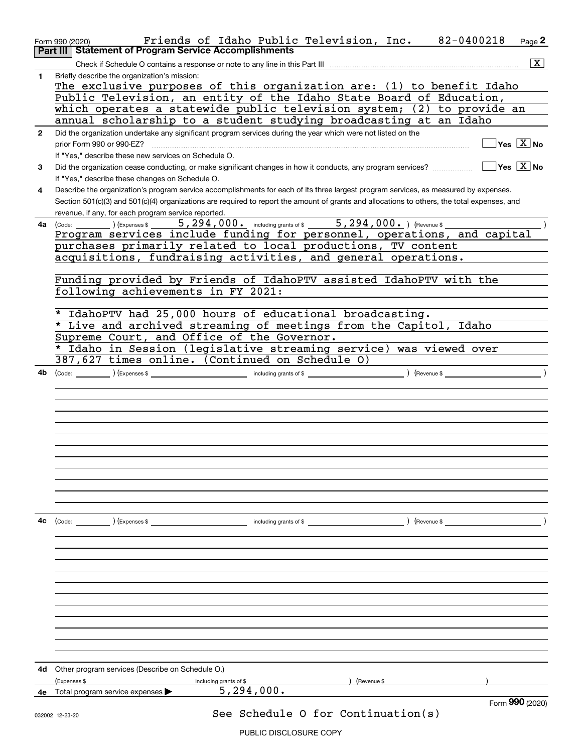|              | Friends of Idaho Public Television, Inc.<br>82-0400218<br>Page $2$<br>Form 990 (2020)                                                                           |
|--------------|-----------------------------------------------------------------------------------------------------------------------------------------------------------------|
|              | Part III   Statement of Program Service Accomplishments                                                                                                         |
|              | $\boxed{\text{X}}$                                                                                                                                              |
| 1            | Briefly describe the organization's mission:                                                                                                                    |
|              | The exclusive purposes of this organization are: (1) to benefit Idaho                                                                                           |
|              | Public Television, an entity of the Idaho State Board of Education,                                                                                             |
|              | which operates a statewide public television system; (2) to provide an                                                                                          |
|              | annual scholarship to a student studying broadcasting at an Idaho                                                                                               |
| $\mathbf{2}$ | Did the organization undertake any significant program services during the year which were not listed on the                                                    |
|              | $\overline{\ }$ Yes $\overline{\phantom{a}X}$ No<br>prior Form 990 or 990-EZ?                                                                                   |
|              | If "Yes," describe these new services on Schedule O.                                                                                                            |
| 3            | $\boxed{\phantom{1}}$ Yes $\boxed{\text{X}}$ No<br>Did the organization cease conducting, or make significant changes in how it conducts, any program services? |
|              |                                                                                                                                                                 |
|              | If "Yes," describe these changes on Schedule O.                                                                                                                 |
| 4            | Describe the organization's program service accomplishments for each of its three largest program services, as measured by expenses.                            |
|              | Section 501(c)(3) and 501(c)(4) organizations are required to report the amount of grants and allocations to others, the total expenses, and                    |
|              | revenue, if any, for each program service reported.                                                                                                             |
| 4a           | (Code: 1) (Expenses \$ 5,294,000. including grants of \$ 5,294,000.) (Revenue \$ Program services include funding for personnel, operations, and capital        |
|              |                                                                                                                                                                 |
|              | purchases primarily related to local productions, TV content                                                                                                    |
|              | acquisitions, fundraising activities, and general operations.                                                                                                   |
|              |                                                                                                                                                                 |
|              | Funding provided by Friends of IdahoPTV assisted IdahoPTV with the                                                                                              |
|              | following achievements in FY 2021:                                                                                                                              |
|              |                                                                                                                                                                 |
|              | * IdahoPTV had 25,000 hours of educational broadcasting.                                                                                                        |
|              | * Live and archived streaming of meetings from the Capitol, Idaho                                                                                               |
|              | Supreme Court, and Office of the Governor.                                                                                                                      |
|              | * Idaho in Session (legislative streaming service) was viewed over                                                                                              |
|              | 387,627 times online. (Continued on Schedule O)                                                                                                                 |
| 4b           |                                                                                                                                                                 |
|              |                                                                                                                                                                 |
|              |                                                                                                                                                                 |
|              |                                                                                                                                                                 |
|              |                                                                                                                                                                 |
|              |                                                                                                                                                                 |
|              |                                                                                                                                                                 |
|              |                                                                                                                                                                 |
|              |                                                                                                                                                                 |
|              |                                                                                                                                                                 |
|              |                                                                                                                                                                 |
|              |                                                                                                                                                                 |
|              |                                                                                                                                                                 |
|              |                                                                                                                                                                 |
| 4с           |                                                                                                                                                                 |
|              |                                                                                                                                                                 |
|              |                                                                                                                                                                 |
|              |                                                                                                                                                                 |
|              |                                                                                                                                                                 |
|              |                                                                                                                                                                 |
|              |                                                                                                                                                                 |
|              |                                                                                                                                                                 |
|              |                                                                                                                                                                 |
|              |                                                                                                                                                                 |
|              |                                                                                                                                                                 |
|              |                                                                                                                                                                 |
|              |                                                                                                                                                                 |
|              |                                                                                                                                                                 |
| 4d.          | Other program services (Describe on Schedule O.)                                                                                                                |
|              | ) (Revenue \$<br>(Expenses \$<br>including grants of \$                                                                                                         |
| 4е           | 5, 294, 000.<br>Total program service expenses $\blacktriangleright$                                                                                            |
|              | Form 990 (2020)                                                                                                                                                 |
|              | See Schedule 0 for Continuation(s)<br>032002 12-23-20                                                                                                           |

PUBLIC DISCLOSURE COPY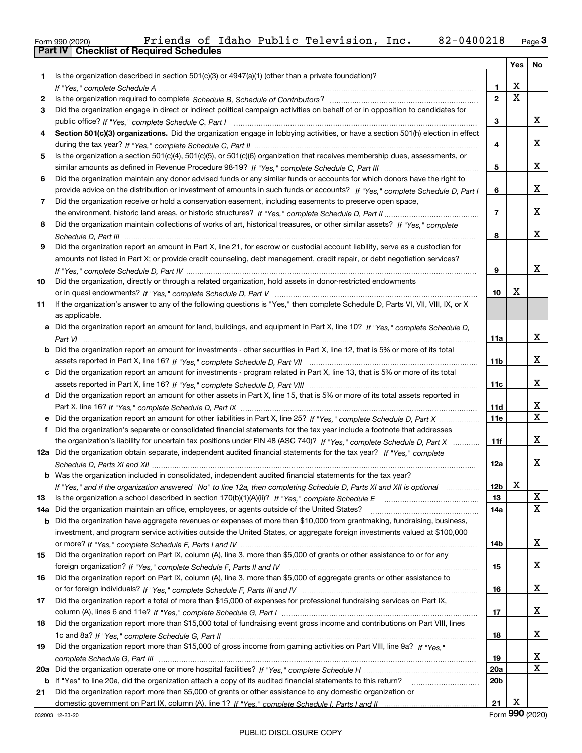| Form 990 (2020) |                                                  |  |  | Friends of Idaho Public Television, Inc. | 82-0400218 | $P_{\text{aqe}}$ 3 |
|-----------------|--------------------------------------------------|--|--|------------------------------------------|------------|--------------------|
|                 | <b>Part IV   Checklist of Required Schedules</b> |  |  |                                          |            |                    |

|     |                                                                                                                                       |                 | Yes         | No              |
|-----|---------------------------------------------------------------------------------------------------------------------------------------|-----------------|-------------|-----------------|
| 1.  | Is the organization described in section $501(c)(3)$ or $4947(a)(1)$ (other than a private foundation)?                               |                 |             |                 |
|     |                                                                                                                                       | 1               | х           |                 |
| 2   |                                                                                                                                       | $\mathbf{2}$    | $\mathbf X$ |                 |
| 3   | Did the organization engage in direct or indirect political campaign activities on behalf of or in opposition to candidates for       |                 |             |                 |
|     |                                                                                                                                       | 3               |             | x               |
| 4   | Section 501(c)(3) organizations. Did the organization engage in lobbying activities, or have a section 501(h) election in effect      |                 |             |                 |
|     |                                                                                                                                       | 4               |             | x               |
| 5   | Is the organization a section 501(c)(4), 501(c)(5), or 501(c)(6) organization that receives membership dues, assessments, or          |                 |             |                 |
|     |                                                                                                                                       | 5               |             | x               |
| 6   | Did the organization maintain any donor advised funds or any similar funds or accounts for which donors have the right to             |                 |             |                 |
|     | provide advice on the distribution or investment of amounts in such funds or accounts? If "Yes," complete Schedule D, Part I          | 6               |             | х               |
| 7   | Did the organization receive or hold a conservation easement, including easements to preserve open space,                             |                 |             |                 |
|     |                                                                                                                                       | 7               |             | x               |
| 8   | Did the organization maintain collections of works of art, historical treasures, or other similar assets? If "Yes," complete          |                 |             |                 |
|     |                                                                                                                                       | 8               |             | x               |
| 9   | Did the organization report an amount in Part X, line 21, for escrow or custodial account liability, serve as a custodian for         |                 |             |                 |
|     | amounts not listed in Part X; or provide credit counseling, debt management, credit repair, or debt negotiation services?             |                 |             |                 |
|     |                                                                                                                                       | 9               |             | x               |
| 10  | Did the organization, directly or through a related organization, hold assets in donor-restricted endowments                          |                 |             |                 |
|     |                                                                                                                                       | 10              | X           |                 |
| 11  | If the organization's answer to any of the following questions is "Yes," then complete Schedule D, Parts VI, VII, VIII, IX, or X      |                 |             |                 |
|     | as applicable.                                                                                                                        |                 |             |                 |
|     | a Did the organization report an amount for land, buildings, and equipment in Part X, line 10? If "Yes," complete Schedule D,         |                 |             |                 |
|     |                                                                                                                                       | 11a             |             | х               |
|     | <b>b</b> Did the organization report an amount for investments - other securities in Part X, line 12, that is 5% or more of its total |                 |             |                 |
|     |                                                                                                                                       | 11 <sub>b</sub> |             | x               |
|     | c Did the organization report an amount for investments - program related in Part X, line 13, that is 5% or more of its total         |                 |             |                 |
|     |                                                                                                                                       | 11c             |             | х               |
|     | d Did the organization report an amount for other assets in Part X, line 15, that is 5% or more of its total assets reported in       |                 |             |                 |
|     |                                                                                                                                       | 11d             |             | х               |
|     | e Did the organization report an amount for other liabilities in Part X, line 25? If "Yes," complete Schedule D, Part X               | 11e             |             | Χ               |
| f   | Did the organization's separate or consolidated financial statements for the tax year include a footnote that addresses               |                 |             |                 |
|     | the organization's liability for uncertain tax positions under FIN 48 (ASC 740)? If "Yes," complete Schedule D, Part X                | 11f             |             | x               |
|     | 12a Did the organization obtain separate, independent audited financial statements for the tax year? If "Yes," complete               |                 |             |                 |
|     |                                                                                                                                       | 12a             |             | x               |
|     | <b>b</b> Was the organization included in consolidated, independent audited financial statements for the tax year?                    |                 |             |                 |
|     | If "Yes," and if the organization answered "No" to line 12a, then completing Schedule D, Parts XI and XII is optional                 | 12b             | X.          |                 |
| 13  |                                                                                                                                       | 13              |             | х               |
| 14a | Did the organization maintain an office, employees, or agents outside of the United States?                                           | 14a             |             | х               |
|     | <b>b</b> Did the organization have aggregate revenues or expenses of more than \$10,000 from grantmaking, fundraising, business,      |                 |             |                 |
|     | investment, and program service activities outside the United States, or aggregate foreign investments valued at \$100,000            |                 |             |                 |
|     |                                                                                                                                       | 14b             |             | х               |
| 15  | Did the organization report on Part IX, column (A), line 3, more than \$5,000 of grants or other assistance to or for any             |                 |             |                 |
|     |                                                                                                                                       | 15              |             | x               |
| 16  | Did the organization report on Part IX, column (A), line 3, more than \$5,000 of aggregate grants or other assistance to              |                 |             |                 |
|     |                                                                                                                                       | 16              |             | х               |
| 17  | Did the organization report a total of more than \$15,000 of expenses for professional fundraising services on Part IX,               |                 |             |                 |
|     |                                                                                                                                       | 17              |             | х               |
| 18  | Did the organization report more than \$15,000 total of fundraising event gross income and contributions on Part VIII, lines          |                 |             |                 |
|     |                                                                                                                                       | 18              |             | x               |
| 19  | Did the organization report more than \$15,000 of gross income from gaming activities on Part VIII, line 9a? If "Yes."                |                 |             |                 |
|     |                                                                                                                                       | 19              |             | х               |
|     |                                                                                                                                       | <b>20a</b>      |             | х               |
|     | b If "Yes" to line 20a, did the organization attach a copy of its audited financial statements to this return?                        | 20 <sub>b</sub> |             |                 |
| 21  | Did the organization report more than \$5,000 of grants or other assistance to any domestic organization or                           |                 |             |                 |
|     |                                                                                                                                       | 21              | х           |                 |
|     | 032003 12-23-20                                                                                                                       |                 |             | Form 990 (2020) |
|     |                                                                                                                                       |                 |             |                 |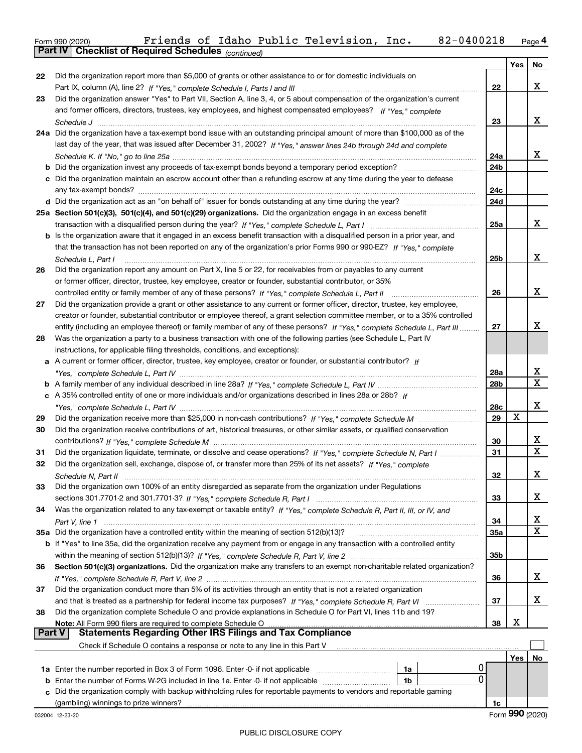Form 990 (2020) Friends of Idaho Public Television, Inc**.** 82-0400218 <sub>Page</sub> 4<br>**Part IV | Checklist of Required Schedules** <sub>(continued)</sub>

|                 | <b>Part IV</b>   GNECKIISTOI REQUITED SCREDUIES $_{(continued)}$                                                                                                                                                                                        |     |                 |                |  |
|-----------------|---------------------------------------------------------------------------------------------------------------------------------------------------------------------------------------------------------------------------------------------------------|-----|-----------------|----------------|--|
|                 |                                                                                                                                                                                                                                                         |     | Yes             | N <sub>o</sub> |  |
| 22              | Did the organization report more than \$5,000 of grants or other assistance to or for domestic individuals on                                                                                                                                           |     |                 |                |  |
|                 | Part IX, column (A), line 2? If "Yes," complete Schedule I, Parts I and III [[11]] [11] [11] [11] [11] [11] [1                                                                                                                                          | 22  |                 | X              |  |
| 23              | Did the organization answer "Yes" to Part VII, Section A, line 3, 4, or 5 about compensation of the organization's current                                                                                                                              |     |                 |                |  |
|                 | and former officers, directors, trustees, key employees, and highest compensated employees? If "Yes," complete                                                                                                                                          |     |                 |                |  |
|                 |                                                                                                                                                                                                                                                         | 23  |                 | x              |  |
|                 | 24a Did the organization have a tax-exempt bond issue with an outstanding principal amount of more than \$100,000 as of the<br>last day of the year, that was issued after December 31, 2002? If "Yes," answer lines 24b through 24d and complete       |     |                 |                |  |
|                 |                                                                                                                                                                                                                                                         | 24a |                 | x              |  |
|                 | <b>b</b> Did the organization invest any proceeds of tax-exempt bonds beyond a temporary period exception?                                                                                                                                              | 24b |                 |                |  |
|                 | c Did the organization maintain an escrow account other than a refunding escrow at any time during the year to defease                                                                                                                                  |     |                 |                |  |
|                 |                                                                                                                                                                                                                                                         | 24c |                 |                |  |
|                 |                                                                                                                                                                                                                                                         | 24d |                 |                |  |
|                 | 25a Section 501(c)(3), 501(c)(4), and 501(c)(29) organizations. Did the organization engage in an excess benefit                                                                                                                                        |     |                 |                |  |
|                 |                                                                                                                                                                                                                                                         | 25a |                 | х              |  |
|                 | b Is the organization aware that it engaged in an excess benefit transaction with a disqualified person in a prior year, and                                                                                                                            |     |                 |                |  |
|                 | that the transaction has not been reported on any of the organization's prior Forms 990 or 990-EZ? If "Yes," complete                                                                                                                                   |     |                 |                |  |
|                 | Schedule L, Part I                                                                                                                                                                                                                                      | 25b |                 | х              |  |
| 26              | Did the organization report any amount on Part X, line 5 or 22, for receivables from or payables to any current                                                                                                                                         |     |                 |                |  |
|                 | or former officer, director, trustee, key employee, creator or founder, substantial contributor, or 35%                                                                                                                                                 |     |                 |                |  |
|                 |                                                                                                                                                                                                                                                         | 26  |                 | X              |  |
| 27              | Did the organization provide a grant or other assistance to any current or former officer, director, trustee, key employee,                                                                                                                             |     |                 |                |  |
|                 | creator or founder, substantial contributor or employee thereof, a grant selection committee member, or to a 35% controlled<br>entity (including an employee thereof) or family member of any of these persons? If "Yes," complete Schedule L, Part III | 27  |                 | x              |  |
| 28              | Was the organization a party to a business transaction with one of the following parties (see Schedule L, Part IV                                                                                                                                       |     |                 |                |  |
|                 | instructions, for applicable filing thresholds, conditions, and exceptions):                                                                                                                                                                            |     |                 |                |  |
|                 | a A current or former officer, director, trustee, key employee, creator or founder, or substantial contributor? If                                                                                                                                      |     |                 |                |  |
|                 |                                                                                                                                                                                                                                                         | 28a |                 | x              |  |
|                 |                                                                                                                                                                                                                                                         | 28b |                 | х              |  |
|                 | c A 35% controlled entity of one or more individuals and/or organizations described in lines 28a or 28b? If                                                                                                                                             |     |                 |                |  |
|                 |                                                                                                                                                                                                                                                         | 28c |                 | х              |  |
| 29              |                                                                                                                                                                                                                                                         | 29  | х               |                |  |
| 30              | Did the organization receive contributions of art, historical treasures, or other similar assets, or qualified conservation                                                                                                                             |     |                 |                |  |
|                 |                                                                                                                                                                                                                                                         | 30  |                 | x              |  |
| 31              | Did the organization liquidate, terminate, or dissolve and cease operations? If "Yes," complete Schedule N, Part I                                                                                                                                      | 31  |                 | X              |  |
| 32              | Did the organization sell, exchange, dispose of, or transfer more than 25% of its net assets? If "Yes," complete                                                                                                                                        |     |                 | х              |  |
|                 | Schedule N. Part II                                                                                                                                                                                                                                     | 32  |                 |                |  |
| 33              | Did the organization own 100% of an entity disregarded as separate from the organization under Regulations                                                                                                                                              | 33  |                 | X              |  |
| 34              | Was the organization related to any tax-exempt or taxable entity? If "Yes," complete Schedule R, Part II, III, or IV, and                                                                                                                               |     |                 |                |  |
|                 |                                                                                                                                                                                                                                                         | 34  |                 | х              |  |
|                 | 35a Did the organization have a controlled entity within the meaning of section 512(b)(13)?                                                                                                                                                             | 35a |                 | x              |  |
|                 | b If "Yes" to line 35a, did the organization receive any payment from or engage in any transaction with a controlled entity                                                                                                                             |     |                 |                |  |
|                 |                                                                                                                                                                                                                                                         | 35b |                 |                |  |
| 36              | Section 501(c)(3) organizations. Did the organization make any transfers to an exempt non-charitable related organization?                                                                                                                              |     |                 |                |  |
|                 |                                                                                                                                                                                                                                                         | 36  |                 | X              |  |
| 37              | Did the organization conduct more than 5% of its activities through an entity that is not a related organization                                                                                                                                        |     |                 |                |  |
|                 |                                                                                                                                                                                                                                                         | 37  |                 | х              |  |
| 38              | Did the organization complete Schedule O and provide explanations in Schedule O for Part VI, lines 11b and 19?                                                                                                                                          |     | х               |                |  |
| Part V          | Note: All Form 990 filers are required to complete Schedule O<br><b>Statements Regarding Other IRS Filings and Tax Compliance</b>                                                                                                                       | 38  |                 |                |  |
|                 | Check if Schedule O contains a response or note to any line in this Part V                                                                                                                                                                              |     |                 |                |  |
|                 |                                                                                                                                                                                                                                                         |     | Yes             | No             |  |
|                 | 1a                                                                                                                                                                                                                                                      |     |                 |                |  |
|                 | 0<br><b>b</b> Enter the number of Forms W-2G included in line 1a. Enter -0- if not applicable <i>manumerances</i><br>1b                                                                                                                                 |     |                 |                |  |
|                 | c Did the organization comply with backup withholding rules for reportable payments to vendors and reportable gaming                                                                                                                                    |     |                 |                |  |
|                 | (gambling) winnings to prize winners?                                                                                                                                                                                                                   | 1c  |                 |                |  |
| 032004 12-23-20 |                                                                                                                                                                                                                                                         |     | Form 990 (2020) |                |  |
|                 |                                                                                                                                                                                                                                                         |     |                 |                |  |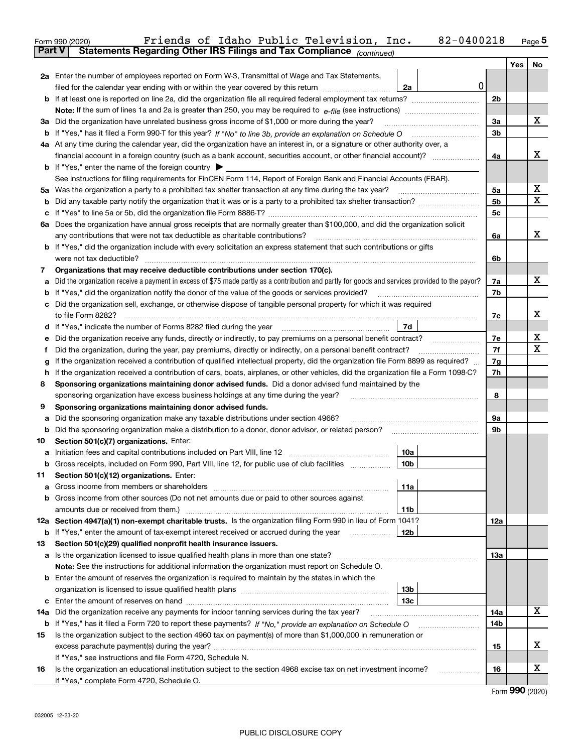|               | 82-0400218<br>Friends of Idaho Public Television, Inc.<br>Form 990 (2020)                                                                       |                |     | $_{\text{Page}}$ 5 |  |  |  |  |  |
|---------------|-------------------------------------------------------------------------------------------------------------------------------------------------|----------------|-----|--------------------|--|--|--|--|--|
| <b>Part V</b> | Statements Regarding Other IRS Filings and Tax Compliance (continued)                                                                           |                |     |                    |  |  |  |  |  |
|               |                                                                                                                                                 |                | Yes | No                 |  |  |  |  |  |
|               | 2a Enter the number of employees reported on Form W-3, Transmittal of Wage and Tax Statements,                                                  |                |     |                    |  |  |  |  |  |
|               | 0<br>filed for the calendar year ending with or within the year covered by this return<br>2a                                                    |                |     |                    |  |  |  |  |  |
|               |                                                                                                                                                 | 2 <sub>b</sub> |     |                    |  |  |  |  |  |
|               |                                                                                                                                                 |                |     | х                  |  |  |  |  |  |
|               | 3a Did the organization have unrelated business gross income of \$1,000 or more during the year?                                                |                |     |                    |  |  |  |  |  |
|               |                                                                                                                                                 | 3b             |     |                    |  |  |  |  |  |
|               | 4a At any time during the calendar year, did the organization have an interest in, or a signature or other authority over, a                    |                |     |                    |  |  |  |  |  |
|               |                                                                                                                                                 | 4a             |     | х                  |  |  |  |  |  |
|               | <b>b</b> If "Yes," enter the name of the foreign country $\triangleright$                                                                       |                |     |                    |  |  |  |  |  |
|               | See instructions for filing requirements for FinCEN Form 114, Report of Foreign Bank and Financial Accounts (FBAR).                             |                |     |                    |  |  |  |  |  |
|               |                                                                                                                                                 | 5а             |     | х                  |  |  |  |  |  |
| b             |                                                                                                                                                 | 5 <sub>b</sub> |     | Χ                  |  |  |  |  |  |
| c             |                                                                                                                                                 | 5c             |     |                    |  |  |  |  |  |
|               | 6a Does the organization have annual gross receipts that are normally greater than \$100,000, and did the organization solicit                  |                |     |                    |  |  |  |  |  |
|               |                                                                                                                                                 | 6a             |     | х                  |  |  |  |  |  |
|               | <b>b</b> If "Yes," did the organization include with every solicitation an express statement that such contributions or gifts                   |                |     |                    |  |  |  |  |  |
|               | were not tax deductible?                                                                                                                        | 6b             |     |                    |  |  |  |  |  |
| 7             | Organizations that may receive deductible contributions under section 170(c).                                                                   |                |     |                    |  |  |  |  |  |
| а             | Did the organization receive a payment in excess of \$75 made partly as a contribution and partly for goods and services provided to the payor? | 7a             |     | х                  |  |  |  |  |  |
| b             | If "Yes," did the organization notify the donor of the value of the goods or services provided?                                                 | 7b             |     |                    |  |  |  |  |  |
|               | c Did the organization sell, exchange, or otherwise dispose of tangible personal property for which it was required                             |                |     |                    |  |  |  |  |  |
|               |                                                                                                                                                 | 7c             |     | х                  |  |  |  |  |  |
|               | 7d                                                                                                                                              |                |     |                    |  |  |  |  |  |
| е             | Did the organization receive any funds, directly or indirectly, to pay premiums on a personal benefit contract?                                 | 7е             |     | X                  |  |  |  |  |  |
| f             | Did the organization, during the year, pay premiums, directly or indirectly, on a personal benefit contract?                                    | 7f             |     | Χ                  |  |  |  |  |  |
| g             | If the organization received a contribution of qualified intellectual property, did the organization file Form 8899 as required?                | 7g             |     |                    |  |  |  |  |  |
| h.            | If the organization received a contribution of cars, boats, airplanes, or other vehicles, did the organization file a Form 1098-C?              | 7h             |     |                    |  |  |  |  |  |
| 8             | Sponsoring organizations maintaining donor advised funds. Did a donor advised fund maintained by the                                            |                |     |                    |  |  |  |  |  |
|               | sponsoring organization have excess business holdings at any time during the year?                                                              | 8              |     |                    |  |  |  |  |  |
| 9             | Sponsoring organizations maintaining donor advised funds.                                                                                       |                |     |                    |  |  |  |  |  |
| а             | Did the sponsoring organization make any taxable distributions under section 4966?                                                              | 9а             |     |                    |  |  |  |  |  |
| b             |                                                                                                                                                 | 9b             |     |                    |  |  |  |  |  |
| 10            | Section 501(c)(7) organizations. Enter:                                                                                                         |                |     |                    |  |  |  |  |  |
|               | 10a                                                                                                                                             |                |     |                    |  |  |  |  |  |
|               | 10 <sub>b</sub><br>Gross receipts, included on Form 990, Part VIII, line 12, for public use of club facilities                                  |                |     |                    |  |  |  |  |  |
| 11            | Section 501(c)(12) organizations. Enter:                                                                                                        |                |     |                    |  |  |  |  |  |
|               | 11a                                                                                                                                             |                |     |                    |  |  |  |  |  |
|               | b Gross income from other sources (Do not net amounts due or paid to other sources against                                                      |                |     |                    |  |  |  |  |  |
|               | 11b<br>12a Section 4947(a)(1) non-exempt charitable trusts. Is the organization filing Form 990 in lieu of Form 1041?                           | 12a            |     |                    |  |  |  |  |  |
|               | 12b<br><b>b</b> If "Yes," enter the amount of tax-exempt interest received or accrued during the year                                           |                |     |                    |  |  |  |  |  |
| 13            | Section 501(c)(29) qualified nonprofit health insurance issuers.                                                                                |                |     |                    |  |  |  |  |  |
|               | a Is the organization licensed to issue qualified health plans in more than one state?                                                          | 13a            |     |                    |  |  |  |  |  |
|               | Note: See the instructions for additional information the organization must report on Schedule O.                                               |                |     |                    |  |  |  |  |  |
|               | <b>b</b> Enter the amount of reserves the organization is required to maintain by the states in which the                                       |                |     |                    |  |  |  |  |  |
|               | 13b                                                                                                                                             |                |     |                    |  |  |  |  |  |
|               | 13 <sub>c</sub>                                                                                                                                 |                |     |                    |  |  |  |  |  |
| 14a           | Did the organization receive any payments for indoor tanning services during the tax year?                                                      | 14a            |     | x                  |  |  |  |  |  |
| b             | If "Yes," has it filed a Form 720 to report these payments? If "No," provide an explanation on Schedule O                                       | 14b            |     |                    |  |  |  |  |  |
| 15            | Is the organization subject to the section 4960 tax on payment(s) of more than \$1,000,000 in remuneration or                                   |                |     |                    |  |  |  |  |  |
|               |                                                                                                                                                 | 15             |     | х                  |  |  |  |  |  |
|               | If "Yes," see instructions and file Form 4720, Schedule N.                                                                                      |                |     |                    |  |  |  |  |  |
| 16            | Is the organization an educational institution subject to the section 4968 excise tax on net investment income?                                 | 16             |     | х                  |  |  |  |  |  |
|               | If "Yes," complete Form 4720, Schedule O.                                                                                                       |                |     |                    |  |  |  |  |  |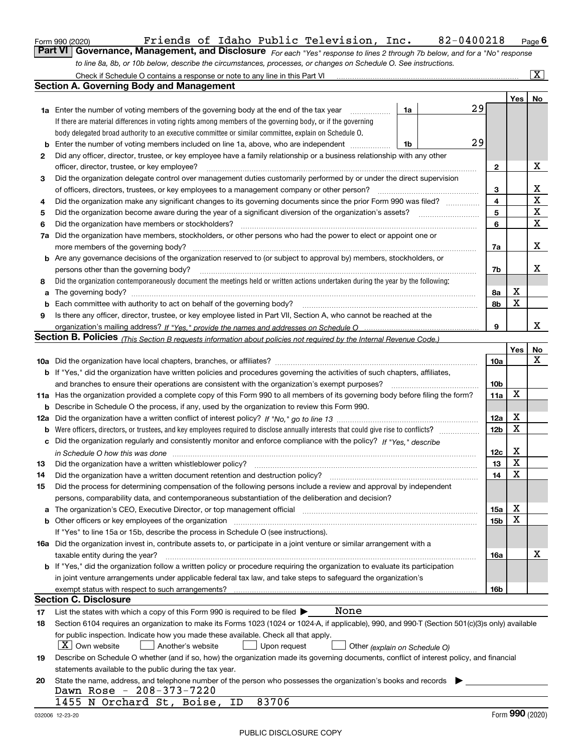|  | Form 990 (2020) |
|--|-----------------|
|  |                 |

# Form 990 (2020) Page **6Part VI Governance, Management, and Disclosure**  Friends of Idaho Public Television, Inc. 82-0400218

*For each "Yes" response to lines 2 through 7b below, and for a "No" response to line 8a, 8b, or 10b below, describe the circumstances, processes, or changes on Schedule O. See instructions.*

|    | Check if Schedule O contains a response or note to any line in this Part VI [11] [12] [13] Check if Schedule O contains a response or note to any line in this Part VI                                                         |                 |        | $\overline{\mathbf{x}}$ |  |  |  |  |  |  |  |
|----|--------------------------------------------------------------------------------------------------------------------------------------------------------------------------------------------------------------------------------|-----------------|--------|-------------------------|--|--|--|--|--|--|--|
|    | Section A. Governing Body and Management                                                                                                                                                                                       |                 |        |                         |  |  |  |  |  |  |  |
|    |                                                                                                                                                                                                                                |                 | Yes    | No                      |  |  |  |  |  |  |  |
|    | 29<br>1a<br><b>1a</b> Enter the number of voting members of the governing body at the end of the tax year<br>.                                                                                                                 |                 |        |                         |  |  |  |  |  |  |  |
|    | If there are material differences in voting rights among members of the governing body, or if the governing                                                                                                                    |                 |        |                         |  |  |  |  |  |  |  |
|    | body delegated broad authority to an executive committee or similar committee, explain on Schedule O.                                                                                                                          |                 |        |                         |  |  |  |  |  |  |  |
| b  | 29<br>Enter the number of voting members included on line 1a, above, who are independent<br>1b                                                                                                                                 |                 |        |                         |  |  |  |  |  |  |  |
| 2  | Did any officer, director, trustee, or key employee have a family relationship or a business relationship with any other                                                                                                       |                 |        |                         |  |  |  |  |  |  |  |
|    | officer, director, trustee, or key employee?                                                                                                                                                                                   | $\mathbf{2}$    |        | x                       |  |  |  |  |  |  |  |
| 3  | Did the organization delegate control over management duties customarily performed by or under the direct supervision                                                                                                          |                 |        |                         |  |  |  |  |  |  |  |
|    | of officers, directors, trustees, or key employees to a management company or other person?                                                                                                                                    | 3               |        | X<br>$\mathbf X$        |  |  |  |  |  |  |  |
| 4  | Did the organization make any significant changes to its governing documents since the prior Form 990 was filed?                                                                                                               |                 |        |                         |  |  |  |  |  |  |  |
| 5  | Did the organization become aware during the year of a significant diversion of the organization's assets?                                                                                                                     |                 |        |                         |  |  |  |  |  |  |  |
| 6  | Did the organization have members or stockholders?                                                                                                                                                                             | 6               |        | $\mathbf X$             |  |  |  |  |  |  |  |
|    | 7a Did the organization have members, stockholders, or other persons who had the power to elect or appoint one or                                                                                                              |                 |        |                         |  |  |  |  |  |  |  |
|    | more members of the governing body?                                                                                                                                                                                            | 7a              |        | х                       |  |  |  |  |  |  |  |
|    | <b>b</b> Are any governance decisions of the organization reserved to (or subject to approval by) members, stockholders, or                                                                                                    |                 |        |                         |  |  |  |  |  |  |  |
|    | persons other than the governing body?                                                                                                                                                                                         | 7b              |        | х                       |  |  |  |  |  |  |  |
| 8  | Did the organization contemporaneously document the meetings held or written actions undertaken during the year by the following:                                                                                              |                 |        |                         |  |  |  |  |  |  |  |
| a  |                                                                                                                                                                                                                                | 8a              | х<br>X |                         |  |  |  |  |  |  |  |
| b  | Each committee with authority to act on behalf of the governing body?                                                                                                                                                          | 8b              |        |                         |  |  |  |  |  |  |  |
| 9  | Is there any officer, director, trustee, or key employee listed in Part VII, Section A, who cannot be reached at the                                                                                                           | 9               |        | х                       |  |  |  |  |  |  |  |
|    |                                                                                                                                                                                                                                |                 |        |                         |  |  |  |  |  |  |  |
|    | Section B. Policies (This Section B requests information about policies not required by the Internal Revenue Code.)                                                                                                            |                 | Yes    | No                      |  |  |  |  |  |  |  |
|    |                                                                                                                                                                                                                                | 10a             |        | x                       |  |  |  |  |  |  |  |
|    | b If "Yes," did the organization have written policies and procedures governing the activities of such chapters, affiliates,                                                                                                   |                 |        |                         |  |  |  |  |  |  |  |
|    | and branches to ensure their operations are consistent with the organization's exempt purposes?                                                                                                                                | 10 <sub>b</sub> |        |                         |  |  |  |  |  |  |  |
|    | 11a Has the organization provided a complete copy of this Form 990 to all members of its governing body before filing the form?                                                                                                | 11a             | X      |                         |  |  |  |  |  |  |  |
|    | <b>b</b> Describe in Schedule O the process, if any, used by the organization to review this Form 990.                                                                                                                         |                 |        |                         |  |  |  |  |  |  |  |
|    |                                                                                                                                                                                                                                | 12a             | х      |                         |  |  |  |  |  |  |  |
|    |                                                                                                                                                                                                                                | 12 <sub>b</sub> | X      |                         |  |  |  |  |  |  |  |
|    | c Did the organization regularly and consistently monitor and enforce compliance with the policy? If "Yes," describe                                                                                                           |                 |        |                         |  |  |  |  |  |  |  |
|    |                                                                                                                                                                                                                                | 12c             | х      |                         |  |  |  |  |  |  |  |
| 13 | Did the organization have a written whistleblower policy?                                                                                                                                                                      | 13              | X      |                         |  |  |  |  |  |  |  |
| 14 | Did the organization have a written document retention and destruction policy?                                                                                                                                                 | 14              | X      |                         |  |  |  |  |  |  |  |
| 15 | Did the process for determining compensation of the following persons include a review and approval by independent                                                                                                             |                 |        |                         |  |  |  |  |  |  |  |
|    | persons, comparability data, and contemporaneous substantiation of the deliberation and decision?                                                                                                                              |                 |        |                         |  |  |  |  |  |  |  |
|    | a The organization's CEO, Executive Director, or top management official manufactured content content of the organization's CEO, Executive Director, or top management official manufactured content of the state of the state | 15a             | х      |                         |  |  |  |  |  |  |  |
|    | b Other officers or key employees of the organization manufactured content to the organization of the organization manufactured content of the organization manufactured content of the organization manufactured content of t | 15b             | X      |                         |  |  |  |  |  |  |  |
|    | If "Yes" to line 15a or 15b, describe the process in Schedule O (see instructions).                                                                                                                                            |                 |        |                         |  |  |  |  |  |  |  |
|    | 16a Did the organization invest in, contribute assets to, or participate in a joint venture or similar arrangement with a                                                                                                      |                 |        |                         |  |  |  |  |  |  |  |
|    | taxable entity during the year?                                                                                                                                                                                                | 16a             |        | х                       |  |  |  |  |  |  |  |
|    | <b>b</b> If "Yes," did the organization follow a written policy or procedure requiring the organization to evaluate its participation                                                                                          |                 |        |                         |  |  |  |  |  |  |  |
|    | in joint venture arrangements under applicable federal tax law, and take steps to safeguard the organization's                                                                                                                 |                 |        |                         |  |  |  |  |  |  |  |
|    |                                                                                                                                                                                                                                | 16b             |        |                         |  |  |  |  |  |  |  |
|    | <b>Section C. Disclosure</b>                                                                                                                                                                                                   |                 |        |                         |  |  |  |  |  |  |  |
| 17 | None<br>List the states with which a copy of this Form 990 is required to be filed $\blacktriangleright$                                                                                                                       |                 |        |                         |  |  |  |  |  |  |  |
| 18 | Section 6104 requires an organization to make its Forms 1023 (1024 or 1024-A, if applicable), 990, and 990-T (Section 501(c)(3)s only) available                                                                               |                 |        |                         |  |  |  |  |  |  |  |
|    | for public inspection. Indicate how you made these available. Check all that apply.                                                                                                                                            |                 |        |                         |  |  |  |  |  |  |  |
|    | $X$ Own website<br>Another's website<br>Upon request<br>Other (explain on Schedule O)                                                                                                                                          |                 |        |                         |  |  |  |  |  |  |  |
| 19 | Describe on Schedule O whether (and if so, how) the organization made its governing documents, conflict of interest policy, and financial                                                                                      |                 |        |                         |  |  |  |  |  |  |  |
|    | statements available to the public during the tax year.                                                                                                                                                                        |                 |        |                         |  |  |  |  |  |  |  |
| 20 | State the name, address, and telephone number of the person who possesses the organization's books and records<br>Dawn Rose - 208-373-7220                                                                                     |                 |        |                         |  |  |  |  |  |  |  |
|    | 83706<br>1455 N Orchard St, Boise,<br>ID                                                                                                                                                                                       |                 |        |                         |  |  |  |  |  |  |  |
|    | 032006 12-23-20                                                                                                                                                                                                                |                 |        | Form 990 (2020)         |  |  |  |  |  |  |  |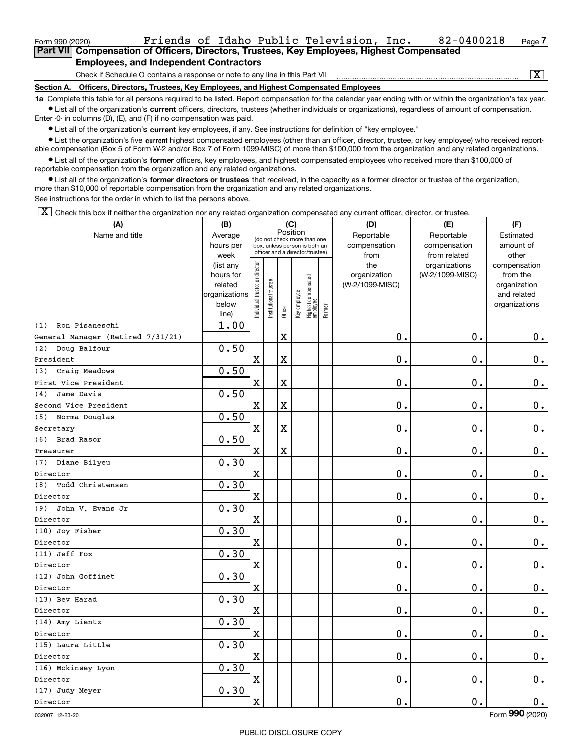| Form 990 (2020)                                                                             |                                                                              |  |  |  | Friends of Idaho Public Television, Inc. |                             | 82-0400218 | Page <i>I</i> |  |  |  |  |
|---------------------------------------------------------------------------------------------|------------------------------------------------------------------------------|--|--|--|------------------------------------------|-----------------------------|------------|---------------|--|--|--|--|
| Part VIII Compensation of Officers, Directors, Trustees, Key Employees, Highest Compensated |                                                                              |  |  |  |                                          |                             |            |               |  |  |  |  |
|                                                                                             | <b>Employees, and Independent Contractors</b>                                |  |  |  |                                          |                             |            |               |  |  |  |  |
|                                                                                             | Check if Schedule O contains a response or note to any line in this Part VII |  |  |  |                                          | $\overline{\textnormal{x}}$ |            |               |  |  |  |  |

**Section A. Officers, Directors, Trustees, Key Employees, and Highest Compensated Employees**

**1a**  Complete this table for all persons required to be listed. Report compensation for the calendar year ending with or within the organization's tax year. **•** List all of the organization's current officers, directors, trustees (whether individuals or organizations), regardless of amount of compensation.

Enter -0- in columns (D), (E), and (F) if no compensation was paid.

 $\bullet$  List all of the organization's  $\,$ current key employees, if any. See instructions for definition of "key employee."

• List the organization's five current highest compensated employees (other than an officer, director, trustee, or key employee) who received report-■ List the organization's five current highest compensated employees (other than an officer, director, trustee, or key employee) who received report-<br>able compensation (Box 5 of Form W-2 and/or Box 7 of Form 1099-MISC) of

**•** List all of the organization's former officers, key employees, and highest compensated employees who received more than \$100,000 of reportable compensation from the organization and any related organizations.

**former directors or trustees**  ¥ List all of the organization's that received, in the capacity as a former director or trustee of the organization, more than \$10,000 of reportable compensation from the organization and any related organizations.

See instructions for the order in which to list the persons above.

 $\boxed{\textbf{X}}$  Check this box if neither the organization nor any related organization compensated any current officer, director, or trustee.

| (A)                               | (B)                    | (C)<br>Position               |                                                                                                 |             |              |                                   |            | (D)                 | (E)                              | (F)                      |
|-----------------------------------|------------------------|-------------------------------|-------------------------------------------------------------------------------------------------|-------------|--------------|-----------------------------------|------------|---------------------|----------------------------------|--------------------------|
| Name and title                    | Average                |                               |                                                                                                 |             |              |                                   | Reportable | Reportable          | Estimated                        |                          |
|                                   | hours per              |                               | (do not check more than one<br>box, unless person is both an<br>officer and a director/trustee) |             |              |                                   |            | compensation        | compensation                     | amount of                |
|                                   | week                   |                               |                                                                                                 |             |              |                                   |            | from                | from related                     | other                    |
|                                   | (list any<br>hours for |                               |                                                                                                 |             |              |                                   |            | the<br>organization | organizations<br>(W-2/1099-MISC) | compensation<br>from the |
|                                   | related                |                               |                                                                                                 |             |              |                                   |            | (W-2/1099-MISC)     |                                  | organization             |
|                                   | organizations          |                               |                                                                                                 |             |              |                                   |            |                     |                                  | and related              |
|                                   | below                  | ndividual trustee or director | Institutional trustee                                                                           |             | Key employee |                                   |            |                     |                                  | organizations            |
|                                   | line)                  |                               |                                                                                                 | Officer     |              | Highest compensated<br>  employee | Former     |                     |                                  |                          |
| Ron Pisaneschi<br>(1)             | 1.00                   |                               |                                                                                                 |             |              |                                   |            |                     |                                  |                          |
| General Manager (Retired 7/31/21) |                        |                               |                                                                                                 | $\mathbf x$ |              |                                   |            | 0.                  | $\mathbf 0$ .                    | 0.                       |
| (2) Doug Balfour                  | 0.50                   |                               |                                                                                                 |             |              |                                   |            |                     |                                  |                          |
| President                         |                        | $\mathbf X$                   |                                                                                                 | $\mathbf x$ |              |                                   |            | $\mathbf 0$ .       | $\mathbf 0$ .                    | $\mathbf 0$ .            |
| Craig Meadows<br>(3)              | 0.50                   |                               |                                                                                                 |             |              |                                   |            |                     |                                  |                          |
| First Vice President              |                        | $\mathbf X$                   |                                                                                                 | $\mathbf X$ |              |                                   |            | 0.                  | $\mathbf 0$ .                    | $\mathbf 0$ .            |
| Jame Davis<br>(4)                 | 0.50                   |                               |                                                                                                 |             |              |                                   |            |                     |                                  |                          |
| Second Vice President             |                        | $\mathbf X$                   |                                                                                                 | $\mathbf X$ |              |                                   |            | 0.                  | 0.                               | 0.                       |
| (5) Norma Douglas                 | 0.50                   |                               |                                                                                                 |             |              |                                   |            |                     |                                  |                          |
| Secretary                         |                        | $\mathbf X$                   |                                                                                                 | $\mathbf X$ |              |                                   |            | 0.                  | $\mathbf 0$ .                    | $0_{.}$                  |
| (6) Brad Rasor                    | 0.50                   |                               |                                                                                                 |             |              |                                   |            |                     |                                  |                          |
| Treasurer                         |                        | $\mathbf X$                   |                                                                                                 | $\mathbf X$ |              |                                   |            | 0.                  | $\mathbf 0$ .                    | $\mathbf 0$ .            |
| (7) Diane Bilyeu                  | 0.30                   |                               |                                                                                                 |             |              |                                   |            |                     |                                  |                          |
| Director                          |                        | $\mathbf X$                   |                                                                                                 |             |              |                                   |            | 0.                  | $\mathbf 0$ .                    | $\mathbf 0$ .            |
| Todd Christensen<br>(8)           | 0.30                   |                               |                                                                                                 |             |              |                                   |            |                     |                                  |                          |
| Director                          |                        | $\mathbf x$                   |                                                                                                 |             |              |                                   |            | 0.                  | 0.                               | $\mathbf 0$ .            |
| John V. Evans Jr<br>(9)           | 0.30                   |                               |                                                                                                 |             |              |                                   |            |                     |                                  |                          |
| Director                          |                        | $\mathbf X$                   |                                                                                                 |             |              |                                   |            | 0.                  | $\mathbf 0$ .                    | $\mathbf 0$ .            |
| (10) Joy Fisher                   | 0.30                   |                               |                                                                                                 |             |              |                                   |            |                     |                                  |                          |
| Director                          |                        | $\mathbf X$                   |                                                                                                 |             |              |                                   |            | 0.                  | $\mathbf 0$ .                    | $\mathbf 0$ .            |
| (11) Jeff Fox                     | 0.30                   |                               |                                                                                                 |             |              |                                   |            |                     |                                  |                          |
| Director                          |                        | X                             |                                                                                                 |             |              |                                   |            | 0.                  | $\mathbf 0$ .                    | $0_{.}$                  |
| (12) John Goffinet                | 0.30                   |                               |                                                                                                 |             |              |                                   |            |                     |                                  |                          |
| Director                          |                        | $\mathbf X$                   |                                                                                                 |             |              |                                   |            | 0.                  | $\mathbf 0$ .                    | $\mathbf 0$ .            |
| (13) Bev Harad                    | 0.30                   |                               |                                                                                                 |             |              |                                   |            |                     |                                  |                          |
| Director                          |                        | $\mathbf X$                   |                                                                                                 |             |              |                                   |            | 0.                  | 0.                               | $0_{.}$                  |
| (14) Amy Lientz                   | 0.30                   |                               |                                                                                                 |             |              |                                   |            |                     |                                  |                          |
| Director                          |                        | $\mathbf X$                   |                                                                                                 |             |              |                                   |            | 0.                  | 0.                               | $\mathbf 0$ .            |
| (15) Laura Little                 | 0.30                   |                               |                                                                                                 |             |              |                                   |            |                     |                                  |                          |
| Director                          |                        | $\mathbf X$                   |                                                                                                 |             |              |                                   |            | 0.                  | $\mathbf 0$ .                    | $0_{.}$                  |
| (16) Mckinsey Lyon                | 0.30                   |                               |                                                                                                 |             |              |                                   |            |                     |                                  |                          |
| Director                          |                        | $\mathbf X$                   |                                                                                                 |             |              |                                   |            | $\mathbf 0$ .       | $\mathbf 0$ .                    | $\mathbf 0$ .            |
| (17) Judy Meyer                   | 0.30                   |                               |                                                                                                 |             |              |                                   |            |                     |                                  |                          |
| Director                          |                        | $\mathbf x$                   |                                                                                                 |             |              |                                   |            | $\mathbf 0$ .       | 0.                               | $\mathbf 0$ .            |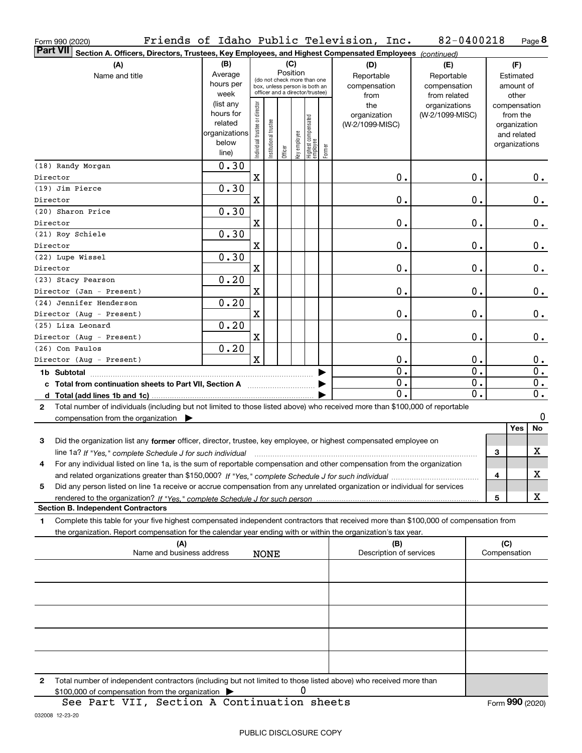| Form 990 (2020)                                                                                                                              |                        |                                         |                                 |         |   |                                                 |        | Friends of Idaho Public Television, Inc. | 82-0400218      |                  |               | Page 8           |
|----------------------------------------------------------------------------------------------------------------------------------------------|------------------------|-----------------------------------------|---------------------------------|---------|---|-------------------------------------------------|--------|------------------------------------------|-----------------|------------------|---------------|------------------|
| <b>Part VII</b><br>Section A. Officers, Directors, Trustees, Key Employees, and Highest Compensated Employees (continued)                    |                        |                                         |                                 |         |   |                                                 |        |                                          |                 |                  |               |                  |
| (A)                                                                                                                                          | (B)                    | (C)                                     |                                 |         |   |                                                 |        | (D)                                      | (E)             |                  | (F)           |                  |
| Name and title                                                                                                                               | Average                | Position<br>(do not check more than one |                                 |         |   |                                                 |        | Reportable                               | Reportable      |                  | Estimated     |                  |
|                                                                                                                                              | hours per              |                                         | box, unless person is both an   |         |   |                                                 |        | compensation                             | compensation    |                  | amount of     |                  |
|                                                                                                                                              | week                   |                                         | officer and a director/trustee) |         |   |                                                 |        | from                                     | from related    |                  | other         |                  |
|                                                                                                                                              | (list any              |                                         |                                 |         |   |                                                 |        | the                                      | organizations   |                  | compensation  |                  |
|                                                                                                                                              | hours for              |                                         |                                 |         |   |                                                 |        | organization                             | (W-2/1099-MISC) |                  | from the      |                  |
|                                                                                                                                              | related                |                                         |                                 |         |   |                                                 |        | (W-2/1099-MISC)                          |                 |                  | organization  |                  |
|                                                                                                                                              | organizations<br>below |                                         |                                 |         |   |                                                 |        |                                          |                 |                  | and related   |                  |
|                                                                                                                                              | line)                  | Individual trustee or director          | nstitutional trustee            | Officer |   | key employee<br>Highest compensated<br>employee | Former |                                          |                 |                  | organizations |                  |
|                                                                                                                                              |                        |                                         |                                 |         |   |                                                 |        |                                          |                 |                  |               |                  |
| (18) Randy Morgan                                                                                                                            | $\overline{0}$ .30     |                                         |                                 |         |   |                                                 |        |                                          |                 |                  |               |                  |
| Director                                                                                                                                     |                        | X                                       |                                 |         |   |                                                 |        | 0.                                       |                 | 0.               |               | 0.               |
| (19) Jim Pierce                                                                                                                              | 0.30                   |                                         |                                 |         |   |                                                 |        |                                          |                 |                  |               |                  |
| Director                                                                                                                                     |                        | X                                       |                                 |         |   |                                                 |        | 0.                                       |                 | 0.               |               | 0.               |
| (20) Sharon Price                                                                                                                            | 0.30                   |                                         |                                 |         |   |                                                 |        |                                          |                 |                  |               |                  |
| Director                                                                                                                                     |                        | X                                       |                                 |         |   |                                                 |        | 0.                                       |                 | 0.               |               | 0.               |
| (21) Roy Schiele                                                                                                                             | 0.30                   |                                         |                                 |         |   |                                                 |        |                                          |                 |                  |               |                  |
| Director                                                                                                                                     |                        | X                                       |                                 |         |   |                                                 |        | 0.                                       |                 | 0.               |               | 0.               |
| (22) Lupe Wissel                                                                                                                             | 0.30                   |                                         |                                 |         |   |                                                 |        |                                          |                 |                  |               |                  |
| Director                                                                                                                                     |                        | X                                       |                                 |         |   |                                                 |        | 0.                                       |                 | $\mathbf 0$ .    |               | 0.               |
| (23) Stacy Pearson                                                                                                                           | 0.20                   |                                         |                                 |         |   |                                                 |        |                                          |                 |                  |               |                  |
| Director (Jan - Present)                                                                                                                     |                        | X                                       |                                 |         |   |                                                 |        | 0.                                       |                 | $\mathbf 0$ .    |               | 0.               |
| (24) Jennifer Henderson                                                                                                                      | 0.20                   |                                         |                                 |         |   |                                                 |        |                                          |                 |                  |               |                  |
| Director (Aug - Present)                                                                                                                     |                        | X                                       |                                 |         |   |                                                 |        | 0.                                       |                 | $\mathbf 0$ .    |               | 0.               |
| (25) Liza Leonard                                                                                                                            | 0.20                   |                                         |                                 |         |   |                                                 |        |                                          |                 |                  |               |                  |
| Director (Aug - Present)                                                                                                                     |                        | X                                       |                                 |         |   |                                                 |        | 0.                                       |                 | $\mathbf 0$ .    |               | 0.               |
| (26) Con Paulos                                                                                                                              | 0.20                   |                                         |                                 |         |   |                                                 |        |                                          |                 |                  |               |                  |
| Director (Aug - Present)                                                                                                                     |                        | X                                       |                                 |         |   |                                                 |        | 0.                                       |                 | 0.               |               | 0.               |
|                                                                                                                                              |                        |                                         |                                 |         |   |                                                 |        | $\overline{0}$ .                         |                 | $\overline{0}$ . |               | 0.               |
| c Total from continuation sheets to Part VII, Section A                                                                                      |                        |                                         |                                 |         |   |                                                 |        | $\overline{0}$ .                         |                 | 0.               |               | 0.               |
|                                                                                                                                              |                        |                                         |                                 |         |   |                                                 |        | 0.                                       |                 | 0.               |               | $\overline{0}$ . |
| Total number of individuals (including but not limited to those listed above) who received more than \$100,000 of reportable<br>$\mathbf{2}$ |                        |                                         |                                 |         |   |                                                 |        |                                          |                 |                  |               |                  |
| compensation from the organization $\blacktriangleright$                                                                                     |                        |                                         |                                 |         |   |                                                 |        |                                          |                 |                  |               | 0                |
|                                                                                                                                              |                        |                                         |                                 |         |   |                                                 |        |                                          |                 |                  | Yes           | No               |
| Did the organization list any former officer, director, trustee, key employee, or highest compensated employee on<br>3                       |                        |                                         |                                 |         |   |                                                 |        |                                          |                 |                  |               |                  |
| line 1a? If "Yes," complete Schedule J for such individual manufactured contained and the contained manufactur                               |                        |                                         |                                 |         |   |                                                 |        |                                          |                 |                  | 3             | X                |
| For any individual listed on line 1a, is the sum of reportable compensation and other compensation from the organization                     |                        |                                         |                                 |         |   |                                                 |        |                                          |                 |                  |               |                  |
|                                                                                                                                              |                        |                                         |                                 |         |   |                                                 |        |                                          |                 |                  | 4             | х                |
| Did any person listed on line 1a receive or accrue compensation from any unrelated organization or individual for services<br>5              |                        |                                         |                                 |         |   |                                                 |        |                                          |                 |                  |               |                  |
|                                                                                                                                              |                        |                                         |                                 |         |   |                                                 |        |                                          |                 |                  | 5             | x                |
| <b>Section B. Independent Contractors</b>                                                                                                    |                        |                                         |                                 |         |   |                                                 |        |                                          |                 |                  |               |                  |
| Complete this table for your five highest compensated independent contractors that received more than \$100,000 of compensation from<br>1    |                        |                                         |                                 |         |   |                                                 |        |                                          |                 |                  |               |                  |
| the organization. Report compensation for the calendar year ending with or within the organization's tax year.                               |                        |                                         |                                 |         |   |                                                 |        |                                          |                 |                  |               |                  |
| (A)                                                                                                                                          |                        |                                         |                                 |         |   |                                                 |        | (B)                                      |                 |                  | (C)           |                  |
| Name and business address                                                                                                                    |                        |                                         | <b>NONE</b>                     |         |   |                                                 |        | Description of services                  |                 |                  | Compensation  |                  |
|                                                                                                                                              |                        |                                         |                                 |         |   |                                                 |        |                                          |                 |                  |               |                  |
|                                                                                                                                              |                        |                                         |                                 |         |   |                                                 |        |                                          |                 |                  |               |                  |
|                                                                                                                                              |                        |                                         |                                 |         |   |                                                 |        |                                          |                 |                  |               |                  |
|                                                                                                                                              |                        |                                         |                                 |         |   |                                                 |        |                                          |                 |                  |               |                  |
|                                                                                                                                              |                        |                                         |                                 |         |   |                                                 |        |                                          |                 |                  |               |                  |
|                                                                                                                                              |                        |                                         |                                 |         |   |                                                 |        |                                          |                 |                  |               |                  |
|                                                                                                                                              |                        |                                         |                                 |         |   |                                                 |        |                                          |                 |                  |               |                  |
|                                                                                                                                              |                        |                                         |                                 |         |   |                                                 |        |                                          |                 |                  |               |                  |
|                                                                                                                                              |                        |                                         |                                 |         |   |                                                 |        |                                          |                 |                  |               |                  |
|                                                                                                                                              |                        |                                         |                                 |         |   |                                                 |        |                                          |                 |                  |               |                  |
| Total number of independent contractors (including but not limited to those listed above) who received more than<br>2                        |                        |                                         |                                 |         | 0 |                                                 |        |                                          |                 |                  |               |                  |
| $$100.000$ of compensation from the organization $\triangleright$                                                                            |                        |                                         |                                 |         |   |                                                 |        |                                          |                 |                  |               |                  |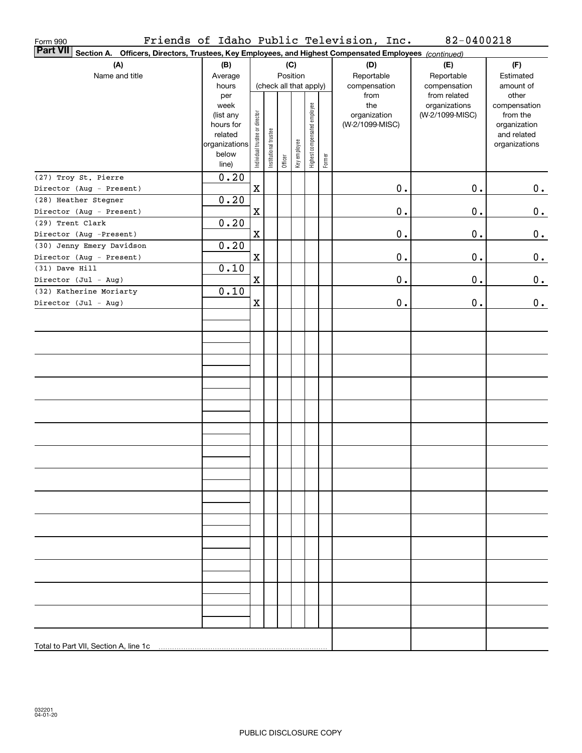| Section A.<br>Officers, Directors, Trustees, Key Employees, and Highest Compensated Employees (continued)<br>(A)<br>(B)<br>(C)<br>(D)<br>(F)<br>(E)<br>Position<br>Name and title<br>Reportable<br>Reportable<br>Estimated<br>Average<br>hours<br>(check all that apply)<br>compensation<br>compensation<br>amount of<br>from related<br>other<br>from<br>per<br>the<br>week<br>organizations<br>compensation<br>Highest compensated employee<br>Individual trustee or director<br>organization<br>(W-2/1099-MISC)<br>from the<br>(list any<br>(W-2/1099-MISC)<br>hours for<br>organization<br>Institutional trustee<br>related<br>and related<br>Key employee<br>organizations<br>organizations<br>below<br>Former<br>Officer<br>line)<br>0.20<br>(27) Troy St. Pierre<br>$0$ .<br>$\mathbf X$<br>0.<br>0.<br>Director (Aug - Present)<br>0.20<br>(28) Heather Stegner<br>0.<br>$\mathbf X$<br>$\mathbf 0$ .<br>0.<br>Director (Aug - Present)<br>0.20<br>(29) Trent Clark<br>0.<br>$\mathbf X$<br>$\mathbf 0$ .<br>0.<br>Director (Aug -Present)<br>0.20<br>(30) Jenny Emery Davidson<br>0.<br>$\mathbf X$<br>$\mathbf 0$ .<br>0.<br>Director (Aug - Present)<br>0.10<br>(31) Dave Hill<br>0.<br>$\mathbf X$<br>$0$ .<br>0.<br>Director (Jul - Aug)<br>0.10<br>(32) Katherine Moriarty<br>$\mathbf X$<br>$\mathbf 0$ .<br>$0$ .<br>0.<br>Director (Jul - Aug) | Form 990        |  |  |  | Friends of Idaho Public Television, Inc. | 82-0400218 |  |
|-----------------------------------------------------------------------------------------------------------------------------------------------------------------------------------------------------------------------------------------------------------------------------------------------------------------------------------------------------------------------------------------------------------------------------------------------------------------------------------------------------------------------------------------------------------------------------------------------------------------------------------------------------------------------------------------------------------------------------------------------------------------------------------------------------------------------------------------------------------------------------------------------------------------------------------------------------------------------------------------------------------------------------------------------------------------------------------------------------------------------------------------------------------------------------------------------------------------------------------------------------------------------------------------------------------------------------------------------------------------|-----------------|--|--|--|------------------------------------------|------------|--|
|                                                                                                                                                                                                                                                                                                                                                                                                                                                                                                                                                                                                                                                                                                                                                                                                                                                                                                                                                                                                                                                                                                                                                                                                                                                                                                                                                                 | <b>Part VII</b> |  |  |  |                                          |            |  |
|                                                                                                                                                                                                                                                                                                                                                                                                                                                                                                                                                                                                                                                                                                                                                                                                                                                                                                                                                                                                                                                                                                                                                                                                                                                                                                                                                                 |                 |  |  |  |                                          |            |  |
|                                                                                                                                                                                                                                                                                                                                                                                                                                                                                                                                                                                                                                                                                                                                                                                                                                                                                                                                                                                                                                                                                                                                                                                                                                                                                                                                                                 |                 |  |  |  |                                          |            |  |
|                                                                                                                                                                                                                                                                                                                                                                                                                                                                                                                                                                                                                                                                                                                                                                                                                                                                                                                                                                                                                                                                                                                                                                                                                                                                                                                                                                 |                 |  |  |  |                                          |            |  |
|                                                                                                                                                                                                                                                                                                                                                                                                                                                                                                                                                                                                                                                                                                                                                                                                                                                                                                                                                                                                                                                                                                                                                                                                                                                                                                                                                                 |                 |  |  |  |                                          |            |  |
|                                                                                                                                                                                                                                                                                                                                                                                                                                                                                                                                                                                                                                                                                                                                                                                                                                                                                                                                                                                                                                                                                                                                                                                                                                                                                                                                                                 |                 |  |  |  |                                          |            |  |
|                                                                                                                                                                                                                                                                                                                                                                                                                                                                                                                                                                                                                                                                                                                                                                                                                                                                                                                                                                                                                                                                                                                                                                                                                                                                                                                                                                 |                 |  |  |  |                                          |            |  |
|                                                                                                                                                                                                                                                                                                                                                                                                                                                                                                                                                                                                                                                                                                                                                                                                                                                                                                                                                                                                                                                                                                                                                                                                                                                                                                                                                                 |                 |  |  |  |                                          |            |  |
|                                                                                                                                                                                                                                                                                                                                                                                                                                                                                                                                                                                                                                                                                                                                                                                                                                                                                                                                                                                                                                                                                                                                                                                                                                                                                                                                                                 |                 |  |  |  |                                          |            |  |
|                                                                                                                                                                                                                                                                                                                                                                                                                                                                                                                                                                                                                                                                                                                                                                                                                                                                                                                                                                                                                                                                                                                                                                                                                                                                                                                                                                 |                 |  |  |  |                                          |            |  |
|                                                                                                                                                                                                                                                                                                                                                                                                                                                                                                                                                                                                                                                                                                                                                                                                                                                                                                                                                                                                                                                                                                                                                                                                                                                                                                                                                                 |                 |  |  |  |                                          |            |  |
|                                                                                                                                                                                                                                                                                                                                                                                                                                                                                                                                                                                                                                                                                                                                                                                                                                                                                                                                                                                                                                                                                                                                                                                                                                                                                                                                                                 |                 |  |  |  |                                          |            |  |
|                                                                                                                                                                                                                                                                                                                                                                                                                                                                                                                                                                                                                                                                                                                                                                                                                                                                                                                                                                                                                                                                                                                                                                                                                                                                                                                                                                 |                 |  |  |  |                                          |            |  |
|                                                                                                                                                                                                                                                                                                                                                                                                                                                                                                                                                                                                                                                                                                                                                                                                                                                                                                                                                                                                                                                                                                                                                                                                                                                                                                                                                                 |                 |  |  |  |                                          |            |  |
|                                                                                                                                                                                                                                                                                                                                                                                                                                                                                                                                                                                                                                                                                                                                                                                                                                                                                                                                                                                                                                                                                                                                                                                                                                                                                                                                                                 |                 |  |  |  |                                          |            |  |
|                                                                                                                                                                                                                                                                                                                                                                                                                                                                                                                                                                                                                                                                                                                                                                                                                                                                                                                                                                                                                                                                                                                                                                                                                                                                                                                                                                 |                 |  |  |  |                                          |            |  |
|                                                                                                                                                                                                                                                                                                                                                                                                                                                                                                                                                                                                                                                                                                                                                                                                                                                                                                                                                                                                                                                                                                                                                                                                                                                                                                                                                                 |                 |  |  |  |                                          |            |  |
|                                                                                                                                                                                                                                                                                                                                                                                                                                                                                                                                                                                                                                                                                                                                                                                                                                                                                                                                                                                                                                                                                                                                                                                                                                                                                                                                                                 |                 |  |  |  |                                          |            |  |
|                                                                                                                                                                                                                                                                                                                                                                                                                                                                                                                                                                                                                                                                                                                                                                                                                                                                                                                                                                                                                                                                                                                                                                                                                                                                                                                                                                 |                 |  |  |  |                                          |            |  |
|                                                                                                                                                                                                                                                                                                                                                                                                                                                                                                                                                                                                                                                                                                                                                                                                                                                                                                                                                                                                                                                                                                                                                                                                                                                                                                                                                                 |                 |  |  |  |                                          |            |  |
|                                                                                                                                                                                                                                                                                                                                                                                                                                                                                                                                                                                                                                                                                                                                                                                                                                                                                                                                                                                                                                                                                                                                                                                                                                                                                                                                                                 |                 |  |  |  |                                          |            |  |
|                                                                                                                                                                                                                                                                                                                                                                                                                                                                                                                                                                                                                                                                                                                                                                                                                                                                                                                                                                                                                                                                                                                                                                                                                                                                                                                                                                 |                 |  |  |  |                                          |            |  |
|                                                                                                                                                                                                                                                                                                                                                                                                                                                                                                                                                                                                                                                                                                                                                                                                                                                                                                                                                                                                                                                                                                                                                                                                                                                                                                                                                                 |                 |  |  |  |                                          |            |  |
|                                                                                                                                                                                                                                                                                                                                                                                                                                                                                                                                                                                                                                                                                                                                                                                                                                                                                                                                                                                                                                                                                                                                                                                                                                                                                                                                                                 |                 |  |  |  |                                          |            |  |
|                                                                                                                                                                                                                                                                                                                                                                                                                                                                                                                                                                                                                                                                                                                                                                                                                                                                                                                                                                                                                                                                                                                                                                                                                                                                                                                                                                 |                 |  |  |  |                                          |            |  |
|                                                                                                                                                                                                                                                                                                                                                                                                                                                                                                                                                                                                                                                                                                                                                                                                                                                                                                                                                                                                                                                                                                                                                                                                                                                                                                                                                                 |                 |  |  |  |                                          |            |  |
|                                                                                                                                                                                                                                                                                                                                                                                                                                                                                                                                                                                                                                                                                                                                                                                                                                                                                                                                                                                                                                                                                                                                                                                                                                                                                                                                                                 |                 |  |  |  |                                          |            |  |
|                                                                                                                                                                                                                                                                                                                                                                                                                                                                                                                                                                                                                                                                                                                                                                                                                                                                                                                                                                                                                                                                                                                                                                                                                                                                                                                                                                 |                 |  |  |  |                                          |            |  |
|                                                                                                                                                                                                                                                                                                                                                                                                                                                                                                                                                                                                                                                                                                                                                                                                                                                                                                                                                                                                                                                                                                                                                                                                                                                                                                                                                                 |                 |  |  |  |                                          |            |  |
|                                                                                                                                                                                                                                                                                                                                                                                                                                                                                                                                                                                                                                                                                                                                                                                                                                                                                                                                                                                                                                                                                                                                                                                                                                                                                                                                                                 |                 |  |  |  |                                          |            |  |
|                                                                                                                                                                                                                                                                                                                                                                                                                                                                                                                                                                                                                                                                                                                                                                                                                                                                                                                                                                                                                                                                                                                                                                                                                                                                                                                                                                 |                 |  |  |  |                                          |            |  |
|                                                                                                                                                                                                                                                                                                                                                                                                                                                                                                                                                                                                                                                                                                                                                                                                                                                                                                                                                                                                                                                                                                                                                                                                                                                                                                                                                                 |                 |  |  |  |                                          |            |  |
|                                                                                                                                                                                                                                                                                                                                                                                                                                                                                                                                                                                                                                                                                                                                                                                                                                                                                                                                                                                                                                                                                                                                                                                                                                                                                                                                                                 |                 |  |  |  |                                          |            |  |
|                                                                                                                                                                                                                                                                                                                                                                                                                                                                                                                                                                                                                                                                                                                                                                                                                                                                                                                                                                                                                                                                                                                                                                                                                                                                                                                                                                 |                 |  |  |  |                                          |            |  |
|                                                                                                                                                                                                                                                                                                                                                                                                                                                                                                                                                                                                                                                                                                                                                                                                                                                                                                                                                                                                                                                                                                                                                                                                                                                                                                                                                                 |                 |  |  |  |                                          |            |  |
|                                                                                                                                                                                                                                                                                                                                                                                                                                                                                                                                                                                                                                                                                                                                                                                                                                                                                                                                                                                                                                                                                                                                                                                                                                                                                                                                                                 |                 |  |  |  |                                          |            |  |
|                                                                                                                                                                                                                                                                                                                                                                                                                                                                                                                                                                                                                                                                                                                                                                                                                                                                                                                                                                                                                                                                                                                                                                                                                                                                                                                                                                 |                 |  |  |  |                                          |            |  |
|                                                                                                                                                                                                                                                                                                                                                                                                                                                                                                                                                                                                                                                                                                                                                                                                                                                                                                                                                                                                                                                                                                                                                                                                                                                                                                                                                                 |                 |  |  |  |                                          |            |  |
|                                                                                                                                                                                                                                                                                                                                                                                                                                                                                                                                                                                                                                                                                                                                                                                                                                                                                                                                                                                                                                                                                                                                                                                                                                                                                                                                                                 |                 |  |  |  |                                          |            |  |
|                                                                                                                                                                                                                                                                                                                                                                                                                                                                                                                                                                                                                                                                                                                                                                                                                                                                                                                                                                                                                                                                                                                                                                                                                                                                                                                                                                 |                 |  |  |  |                                          |            |  |
|                                                                                                                                                                                                                                                                                                                                                                                                                                                                                                                                                                                                                                                                                                                                                                                                                                                                                                                                                                                                                                                                                                                                                                                                                                                                                                                                                                 |                 |  |  |  |                                          |            |  |
|                                                                                                                                                                                                                                                                                                                                                                                                                                                                                                                                                                                                                                                                                                                                                                                                                                                                                                                                                                                                                                                                                                                                                                                                                                                                                                                                                                 |                 |  |  |  |                                          |            |  |
|                                                                                                                                                                                                                                                                                                                                                                                                                                                                                                                                                                                                                                                                                                                                                                                                                                                                                                                                                                                                                                                                                                                                                                                                                                                                                                                                                                 |                 |  |  |  |                                          |            |  |
|                                                                                                                                                                                                                                                                                                                                                                                                                                                                                                                                                                                                                                                                                                                                                                                                                                                                                                                                                                                                                                                                                                                                                                                                                                                                                                                                                                 |                 |  |  |  |                                          |            |  |
|                                                                                                                                                                                                                                                                                                                                                                                                                                                                                                                                                                                                                                                                                                                                                                                                                                                                                                                                                                                                                                                                                                                                                                                                                                                                                                                                                                 |                 |  |  |  |                                          |            |  |
|                                                                                                                                                                                                                                                                                                                                                                                                                                                                                                                                                                                                                                                                                                                                                                                                                                                                                                                                                                                                                                                                                                                                                                                                                                                                                                                                                                 |                 |  |  |  |                                          |            |  |
|                                                                                                                                                                                                                                                                                                                                                                                                                                                                                                                                                                                                                                                                                                                                                                                                                                                                                                                                                                                                                                                                                                                                                                                                                                                                                                                                                                 |                 |  |  |  |                                          |            |  |
|                                                                                                                                                                                                                                                                                                                                                                                                                                                                                                                                                                                                                                                                                                                                                                                                                                                                                                                                                                                                                                                                                                                                                                                                                                                                                                                                                                 |                 |  |  |  |                                          |            |  |
|                                                                                                                                                                                                                                                                                                                                                                                                                                                                                                                                                                                                                                                                                                                                                                                                                                                                                                                                                                                                                                                                                                                                                                                                                                                                                                                                                                 |                 |  |  |  |                                          |            |  |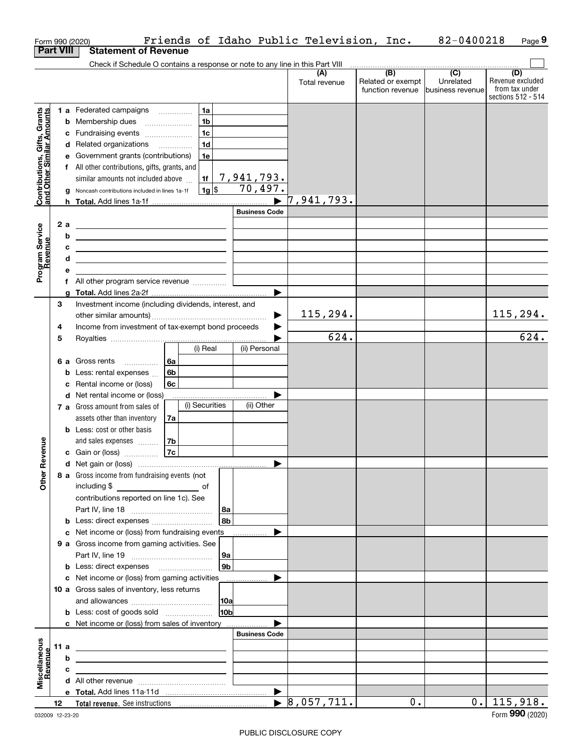|                                                           |      |    | Friends of Idaho Public Television, Inc.<br>Form 990 (2020)                                                           |                       |                                  |                                       | 82-0400218                    | Page 9                                                          |
|-----------------------------------------------------------|------|----|-----------------------------------------------------------------------------------------------------------------------|-----------------------|----------------------------------|---------------------------------------|-------------------------------|-----------------------------------------------------------------|
| <b>Part VIII</b>                                          |      |    | <b>Statement of Revenue</b>                                                                                           |                       |                                  |                                       |                               |                                                                 |
|                                                           |      |    | Check if Schedule O contains a response or note to any line in this Part VIII                                         |                       |                                  |                                       |                               |                                                                 |
|                                                           |      |    |                                                                                                                       |                       | (A)<br>Total revenue             | Related or exempt<br>function revenue | Unrelated<br>business revenue | (D)<br>Revenue excluded<br>from tax under<br>sections 512 - 514 |
|                                                           |      |    | 1 a Federated campaigns<br>1a                                                                                         |                       |                                  |                                       |                               |                                                                 |
| Contributions, Gifts, Grants<br>and Other Similar Amounts |      |    | 1 <sub>b</sub><br><b>b</b> Membership dues                                                                            |                       |                                  |                                       |                               |                                                                 |
|                                                           |      |    | 1 <sub>c</sub><br>c Fundraising events                                                                                |                       |                                  |                                       |                               |                                                                 |
|                                                           |      |    | 1 <sub>d</sub><br>d Related organizations                                                                             |                       |                                  |                                       |                               |                                                                 |
|                                                           |      |    | e Government grants (contributions)<br>1e                                                                             |                       |                                  |                                       |                               |                                                                 |
|                                                           |      |    | f All other contributions, gifts, grants, and                                                                         |                       |                                  |                                       |                               |                                                                 |
|                                                           |      |    | 1f<br>similar amounts not included above                                                                              | 7,941,793.            |                                  |                                       |                               |                                                                 |
|                                                           |      |    | 1g <br>g Noncash contributions included in lines 1a-1f                                                                | 70,497.               |                                  |                                       |                               |                                                                 |
|                                                           |      |    |                                                                                                                       | $\blacktriangleright$ | 7,941,793.                       |                                       |                               |                                                                 |
|                                                           |      |    |                                                                                                                       | <b>Business Code</b>  |                                  |                                       |                               |                                                                 |
|                                                           |      | 2a | <u> 1989 - Johann Barn, mars ann an t-Amhain an t-Amhain an t-Amhain an t-Amhain an t-Amhain an t-Amhain an t-A</u>   |                       |                                  |                                       |                               |                                                                 |
|                                                           |      | b  | <u> 1989 - Johann Barn, amerikansk politiker (</u>                                                                    |                       |                                  |                                       |                               |                                                                 |
|                                                           |      | с  | <u> 1989 - Johann Harry Harry Harry Harry Harry Harry Harry Harry Harry Harry Harry Harry Harry Harry Harry Harry</u> |                       |                                  |                                       |                               |                                                                 |
|                                                           |      | d  | <u> 1989 - Johann Barn, amerikansk politiker (d. 1989)</u>                                                            |                       |                                  |                                       |                               |                                                                 |
| Program Service<br>Revenue                                |      | е  |                                                                                                                       |                       |                                  |                                       |                               |                                                                 |
|                                                           |      |    | f All other program service revenue                                                                                   |                       |                                  |                                       |                               |                                                                 |
|                                                           |      | a  |                                                                                                                       |                       |                                  |                                       |                               |                                                                 |
|                                                           | 3    |    | Investment income (including dividends, interest, and                                                                 |                       |                                  |                                       |                               |                                                                 |
|                                                           |      |    |                                                                                                                       |                       | 115,294.                         |                                       |                               | 115, 294.                                                       |
|                                                           | 4    |    | Income from investment of tax-exempt bond proceeds                                                                    |                       |                                  |                                       |                               |                                                                 |
|                                                           | 5    |    |                                                                                                                       |                       | 624.                             |                                       |                               | 624.                                                            |
|                                                           |      |    | (i) Real                                                                                                              | (ii) Personal         |                                  |                                       |                               |                                                                 |
|                                                           |      |    | 6 a Gross rents<br>∣6a<br>$\overline{\phantom{a}}$                                                                    |                       |                                  |                                       |                               |                                                                 |
|                                                           |      |    | <b>b</b> Less: rental expenses $\ldots$<br>6b                                                                         |                       |                                  |                                       |                               |                                                                 |
|                                                           |      |    | c Rental income or (loss)<br>6с                                                                                       |                       |                                  |                                       |                               |                                                                 |
|                                                           |      |    | <b>d</b> Net rental income or (loss)<br>(i) Securities                                                                | (ii) Other            |                                  |                                       |                               |                                                                 |
|                                                           |      |    | 7 a Gross amount from sales of                                                                                        |                       |                                  |                                       |                               |                                                                 |
|                                                           |      |    | assets other than inventory<br>7a                                                                                     |                       |                                  |                                       |                               |                                                                 |
|                                                           |      |    | <b>b</b> Less: cost or other basis                                                                                    |                       |                                  |                                       |                               |                                                                 |
| evenue                                                    |      |    | and sales expenses<br>7b<br><b>7c</b><br>c Gain or (loss)                                                             |                       |                                  |                                       |                               |                                                                 |
|                                                           |      |    |                                                                                                                       |                       |                                  |                                       |                               |                                                                 |
| œ                                                         |      |    | 8 a Gross income from fundraising events (not                                                                         |                       |                                  |                                       |                               |                                                                 |
| Other                                                     |      |    | including \$                                                                                                          |                       |                                  |                                       |                               |                                                                 |
|                                                           |      |    | contributions reported on line 1c). See                                                                               |                       |                                  |                                       |                               |                                                                 |
|                                                           |      |    | 8a                                                                                                                    |                       |                                  |                                       |                               |                                                                 |
|                                                           |      |    | 8 <sub>b</sub><br><b>b</b> Less: direct expenses <b>constants</b> b                                                   |                       |                                  |                                       |                               |                                                                 |
|                                                           |      |    | c Net income or (loss) from fundraising events                                                                        |                       |                                  |                                       |                               |                                                                 |
|                                                           |      |    | 9 a Gross income from gaming activities. See                                                                          |                       |                                  |                                       |                               |                                                                 |
|                                                           |      |    | 9а                                                                                                                    |                       |                                  |                                       |                               |                                                                 |
|                                                           |      |    | 9b<br><b>b</b> Less: direct expenses <b>manually</b>                                                                  |                       |                                  |                                       |                               |                                                                 |
|                                                           |      |    | c Net income or (loss) from gaming activities                                                                         | .                     |                                  |                                       |                               |                                                                 |
|                                                           |      |    | 10 a Gross sales of inventory, less returns                                                                           |                       |                                  |                                       |                               |                                                                 |
|                                                           |      |    | 10a                                                                                                                   |                       |                                  |                                       |                               |                                                                 |
|                                                           |      |    | 10b<br><b>b</b> Less: cost of goods sold                                                                              |                       |                                  |                                       |                               |                                                                 |
|                                                           |      |    | c Net income or (loss) from sales of inventory                                                                        |                       |                                  |                                       |                               |                                                                 |
|                                                           |      |    |                                                                                                                       | <b>Business Code</b>  |                                  |                                       |                               |                                                                 |
|                                                           | 11 a |    | <u> 1989 - Johann Stein, marwolaethau a bhann an t-Amhair an t-Amhair an t-Amhair an t-Amhair an t-Amhair an t-A</u>  |                       |                                  |                                       |                               |                                                                 |
|                                                           |      | b  | the contract of the contract of the contract of the contract of the contract of                                       |                       |                                  |                                       |                               |                                                                 |
| Miscellaneous<br>Revenue                                  |      | c  | the control of the control of the control of the control of the control of                                            |                       |                                  |                                       |                               |                                                                 |
|                                                           |      |    |                                                                                                                       |                       |                                  |                                       |                               |                                                                 |
|                                                           |      |    |                                                                                                                       |                       |                                  |                                       |                               |                                                                 |
|                                                           | 12   |    |                                                                                                                       |                       | $\blacktriangleright$ 8,057,711. | $0$ .                                 | $0$ .                         | 115,918.<br>$000 \times 000$                                    |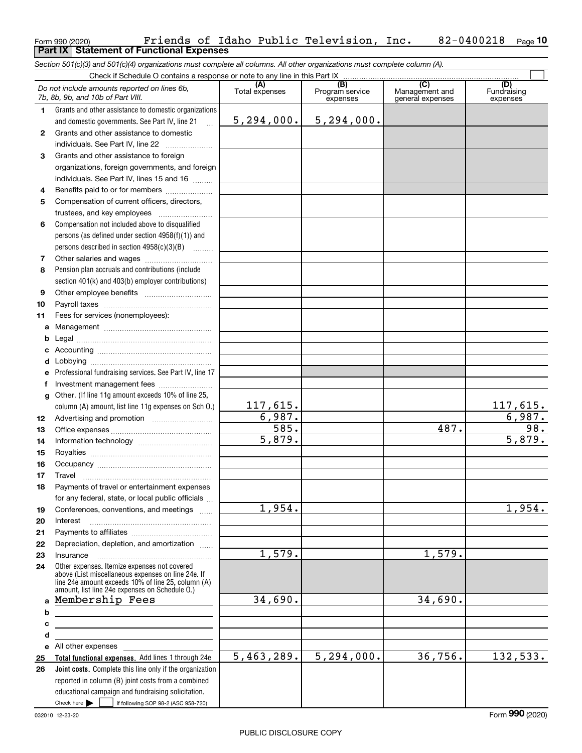### Form 990 (2020) Friends of Idaho Public Television, Inc**.** 82-0400218 <sub>Page</sub><br>**Part IX | Statement of Functional Expenses 10**

*Section 501(c)(3) and 501(c)(4) organizations must complete all columns. All other organizations must complete column (A).*

|              | Check if Schedule O contains a response or note to any line in this Part IX                                                                                                                                |                       |                                    |                                           |                                |  |  |  |  |  |
|--------------|------------------------------------------------------------------------------------------------------------------------------------------------------------------------------------------------------------|-----------------------|------------------------------------|-------------------------------------------|--------------------------------|--|--|--|--|--|
|              | Do not include amounts reported on lines 6b,<br>7b, 8b, 9b, and 10b of Part VIII.                                                                                                                          | (A)<br>Total expenses | (B)<br>Program service<br>expenses | (C)<br>Management and<br>general expenses | (D)<br>Fundraising<br>expenses |  |  |  |  |  |
| 1.           | Grants and other assistance to domestic organizations                                                                                                                                                      |                       |                                    |                                           |                                |  |  |  |  |  |
|              | and domestic governments. See Part IV, line 21<br>$\ddotsc$                                                                                                                                                | 5,294,000.            | 5, 294, 000.                       |                                           |                                |  |  |  |  |  |
| $\mathbf{2}$ | Grants and other assistance to domestic                                                                                                                                                                    |                       |                                    |                                           |                                |  |  |  |  |  |
|              | individuals. See Part IV, line 22                                                                                                                                                                          |                       |                                    |                                           |                                |  |  |  |  |  |
| 3            | Grants and other assistance to foreign                                                                                                                                                                     |                       |                                    |                                           |                                |  |  |  |  |  |
|              | organizations, foreign governments, and foreign                                                                                                                                                            |                       |                                    |                                           |                                |  |  |  |  |  |
|              | individuals. See Part IV, lines 15 and 16                                                                                                                                                                  |                       |                                    |                                           |                                |  |  |  |  |  |
| 4            | Benefits paid to or for members                                                                                                                                                                            |                       |                                    |                                           |                                |  |  |  |  |  |
| 5            | Compensation of current officers, directors,                                                                                                                                                               |                       |                                    |                                           |                                |  |  |  |  |  |
|              | trustees, and key employees                                                                                                                                                                                |                       |                                    |                                           |                                |  |  |  |  |  |
| 6            | Compensation not included above to disqualified                                                                                                                                                            |                       |                                    |                                           |                                |  |  |  |  |  |
|              | persons (as defined under section 4958(f)(1)) and                                                                                                                                                          |                       |                                    |                                           |                                |  |  |  |  |  |
|              | persons described in section $4958(c)(3)(B)$                                                                                                                                                               |                       |                                    |                                           |                                |  |  |  |  |  |
| 7            |                                                                                                                                                                                                            |                       |                                    |                                           |                                |  |  |  |  |  |
| 8            | Pension plan accruals and contributions (include                                                                                                                                                           |                       |                                    |                                           |                                |  |  |  |  |  |
|              | section 401(k) and 403(b) employer contributions)                                                                                                                                                          |                       |                                    |                                           |                                |  |  |  |  |  |
| 9            |                                                                                                                                                                                                            |                       |                                    |                                           |                                |  |  |  |  |  |
| 10           |                                                                                                                                                                                                            |                       |                                    |                                           |                                |  |  |  |  |  |
| 11           | Fees for services (nonemployees):                                                                                                                                                                          |                       |                                    |                                           |                                |  |  |  |  |  |
| a            |                                                                                                                                                                                                            |                       |                                    |                                           |                                |  |  |  |  |  |
| b            |                                                                                                                                                                                                            |                       |                                    |                                           |                                |  |  |  |  |  |
| c            |                                                                                                                                                                                                            |                       |                                    |                                           |                                |  |  |  |  |  |
| d            |                                                                                                                                                                                                            |                       |                                    |                                           |                                |  |  |  |  |  |
| е            | Professional fundraising services. See Part IV, line 17                                                                                                                                                    |                       |                                    |                                           |                                |  |  |  |  |  |
| f            | Investment management fees                                                                                                                                                                                 |                       |                                    |                                           |                                |  |  |  |  |  |
| g            | Other. (If line 11g amount exceeds 10% of line 25,                                                                                                                                                         |                       |                                    |                                           |                                |  |  |  |  |  |
|              | column (A) amount, list line 11g expenses on Sch O.)                                                                                                                                                       | 117,615.              |                                    |                                           | 117,615.                       |  |  |  |  |  |
| 12           |                                                                                                                                                                                                            | 6,987.                |                                    |                                           | 6,987.                         |  |  |  |  |  |
| 13           |                                                                                                                                                                                                            | $\overline{585}$ .    |                                    | 487.                                      | $\overline{98}$ .              |  |  |  |  |  |
| 14           |                                                                                                                                                                                                            | 5,879.                |                                    |                                           | 5,879.                         |  |  |  |  |  |
| 15           |                                                                                                                                                                                                            |                       |                                    |                                           |                                |  |  |  |  |  |
| 16           |                                                                                                                                                                                                            |                       |                                    |                                           |                                |  |  |  |  |  |
| 17           | Travel                                                                                                                                                                                                     |                       |                                    |                                           |                                |  |  |  |  |  |
| 18           | Payments of travel or entertainment expenses                                                                                                                                                               |                       |                                    |                                           |                                |  |  |  |  |  |
|              | for any federal, state, or local public officials                                                                                                                                                          |                       |                                    |                                           |                                |  |  |  |  |  |
| 19           | Conferences, conventions, and meetings                                                                                                                                                                     | 1,954.                |                                    |                                           | 1,954.                         |  |  |  |  |  |
| 20           | Interest                                                                                                                                                                                                   |                       |                                    |                                           |                                |  |  |  |  |  |
| 21           |                                                                                                                                                                                                            |                       |                                    |                                           |                                |  |  |  |  |  |
| 22           | Depreciation, depletion, and amortization                                                                                                                                                                  |                       |                                    |                                           |                                |  |  |  |  |  |
| 23           | Insurance                                                                                                                                                                                                  | 1,579.                |                                    | 1,579.                                    |                                |  |  |  |  |  |
| 24           | Other expenses. Itemize expenses not covered<br>above (List miscellaneous expenses on line 24e. If<br>line 24e amount exceeds 10% of line 25, column (A)<br>amount, list line 24e expenses on Schedule O.) |                       |                                    |                                           |                                |  |  |  |  |  |
| a            | Membership Fees                                                                                                                                                                                            | 34,690.               |                                    | 34,690.                                   |                                |  |  |  |  |  |
| b            |                                                                                                                                                                                                            |                       |                                    |                                           |                                |  |  |  |  |  |
| с            | <u> 1989 - Johann Barbara, martxa alemaniar amerikan basar da a</u>                                                                                                                                        |                       |                                    |                                           |                                |  |  |  |  |  |
| d            | <u> 1989 - Johann Barn, mars ann an t-Amhain Aonaich an t-Aonaich an t-Aonaich ann an t-Aonaich ann an t-Aonaich</u>                                                                                       |                       |                                    |                                           |                                |  |  |  |  |  |
| е            |                                                                                                                                                                                                            |                       |                                    |                                           |                                |  |  |  |  |  |
| 25           | Total functional expenses. Add lines 1 through 24e                                                                                                                                                         | 5,463,289.            | 5, 294, 000.                       | 36,756.                                   | 132,533.                       |  |  |  |  |  |
| 26           | Joint costs. Complete this line only if the organization                                                                                                                                                   |                       |                                    |                                           |                                |  |  |  |  |  |
|              | reported in column (B) joint costs from a combined                                                                                                                                                         |                       |                                    |                                           |                                |  |  |  |  |  |
|              | educational campaign and fundraising solicitation.                                                                                                                                                         |                       |                                    |                                           |                                |  |  |  |  |  |
|              | Check here $\blacktriangleright$<br>if following SOP 98-2 (ASC 958-720)                                                                                                                                    |                       |                                    |                                           |                                |  |  |  |  |  |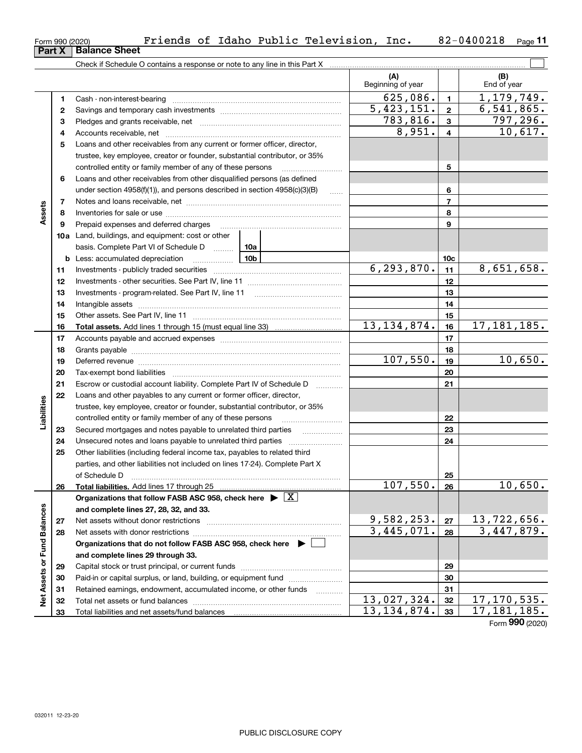| Form 990 (2020) |                                                                            | Friends of Idaho Public Tel |  |  |
|-----------------|----------------------------------------------------------------------------|-----------------------------|--|--|
|                 | <b>Part X   Balance Sheet</b>                                              |                             |  |  |
|                 | Check if Schedule O contains a response or note to any line in this Part X |                             |  |  |
|                 |                                                                            |                             |  |  |

|                             |    |                                                                                                                                                                                                                                |          | (A)<br>Beginning of year |                 | (B)<br>End of year                         |
|-----------------------------|----|--------------------------------------------------------------------------------------------------------------------------------------------------------------------------------------------------------------------------------|----------|--------------------------|-----------------|--------------------------------------------|
|                             | 1. |                                                                                                                                                                                                                                |          | 625,086.                 | $\mathbf{1}$    | 1,179,749.                                 |
|                             | 2  |                                                                                                                                                                                                                                |          | $\overline{5,423,151}$ . | $\mathbf{2}$    | 6,541,865.                                 |
|                             | з  |                                                                                                                                                                                                                                |          | 783,816.                 | 3               | 797,296.                                   |
|                             | 4  |                                                                                                                                                                                                                                |          | 8,951.                   | 4               | 10,617.                                    |
|                             | 5  | Loans and other receivables from any current or former officer, director,                                                                                                                                                      |          |                          |                 |                                            |
|                             |    | trustee, key employee, creator or founder, substantial contributor, or 35%                                                                                                                                                     |          |                          |                 |                                            |
|                             |    | controlled entity or family member of any of these persons                                                                                                                                                                     |          |                          | 5               |                                            |
|                             | 6  | Loans and other receivables from other disqualified persons (as defined                                                                                                                                                        |          |                          |                 |                                            |
|                             |    | under section 4958(f)(1)), and persons described in section 4958(c)(3)(B)                                                                                                                                                      | $\ldots$ |                          | 6               |                                            |
|                             | 7  |                                                                                                                                                                                                                                |          |                          | $\overline{7}$  |                                            |
| Assets                      | 8  |                                                                                                                                                                                                                                |          |                          | 8               |                                            |
|                             | 9  | Prepaid expenses and deferred charges                                                                                                                                                                                          |          |                          | 9               |                                            |
|                             |    | 10a Land, buildings, and equipment: cost or other                                                                                                                                                                              |          |                          |                 |                                            |
|                             |    | basis. Complete Part VI of Schedule D                                                                                                                                                                                          | 10a      |                          |                 |                                            |
|                             |    | <b>b</b> Less: accumulated depreciation<br>. 1                                                                                                                                                                                 | 10b      |                          | 10 <sub>c</sub> |                                            |
|                             | 11 |                                                                                                                                                                                                                                |          | 6, 293, 870.             | 11              | 8,651,658.                                 |
|                             | 12 |                                                                                                                                                                                                                                |          |                          | 12              |                                            |
|                             | 13 | Investments - program-related. See Part IV, line 11                                                                                                                                                                            |          | 13                       |                 |                                            |
|                             | 14 |                                                                                                                                                                                                                                |          | 14                       |                 |                                            |
|                             | 15 |                                                                                                                                                                                                                                |          |                          | 15              |                                            |
|                             | 16 |                                                                                                                                                                                                                                |          | 13, 134, 874.            | 16              | 17, 181, 185.                              |
|                             | 17 |                                                                                                                                                                                                                                |          |                          | 17              |                                            |
|                             | 18 |                                                                                                                                                                                                                                |          | 18                       |                 |                                            |
|                             | 19 | Deferred revenue manual contracts and contracts are contracted and contract and contract are contracted and contract are contracted and contract are contracted and contract are contracted and contract are contracted and co | 107,550. | 19                       | 10,650.         |                                            |
|                             | 20 |                                                                                                                                                                                                                                |          | 20                       |                 |                                            |
|                             | 21 | Escrow or custodial account liability. Complete Part IV of Schedule D                                                                                                                                                          | .        |                          | 21              |                                            |
|                             | 22 | Loans and other payables to any current or former officer, director,                                                                                                                                                           |          |                          |                 |                                            |
| Liabilities                 |    | trustee, key employee, creator or founder, substantial contributor, or 35%                                                                                                                                                     |          |                          |                 |                                            |
|                             |    | controlled entity or family member of any of these persons                                                                                                                                                                     |          |                          | 22              |                                            |
|                             | 23 | Secured mortgages and notes payable to unrelated third parties                                                                                                                                                                 |          |                          | 23              |                                            |
|                             | 24 |                                                                                                                                                                                                                                |          |                          | 24              |                                            |
|                             | 25 | Other liabilities (including federal income tax, payables to related third                                                                                                                                                     |          |                          |                 |                                            |
|                             |    | parties, and other liabilities not included on lines 17-24). Complete Part X                                                                                                                                                   |          |                          |                 |                                            |
|                             |    | of Schedule D                                                                                                                                                                                                                  |          |                          | 25              |                                            |
|                             | 26 |                                                                                                                                                                                                                                |          | 107,550.                 | 26              | 10,650.                                    |
|                             |    | Organizations that follow FASB ASC 958, check here $\blacktriangleright \boxed{X}$                                                                                                                                             |          |                          |                 |                                            |
|                             |    | and complete lines 27, 28, 32, and 33.                                                                                                                                                                                         |          |                          |                 |                                            |
|                             | 27 | Net assets without donor restrictions                                                                                                                                                                                          |          | 9,582,253.               | 27              | 13,722,656.                                |
|                             | 28 |                                                                                                                                                                                                                                |          | 3,445,071.               | 28              | 3,447,879.                                 |
|                             |    | Organizations that do not follow FASB ASC 958, check here $\blacktriangleright$                                                                                                                                                |          |                          |                 |                                            |
|                             |    | and complete lines 29 through 33.                                                                                                                                                                                              |          |                          |                 |                                            |
|                             | 29 |                                                                                                                                                                                                                                |          |                          | 29              |                                            |
|                             | 30 | Paid-in or capital surplus, or land, building, or equipment fund                                                                                                                                                               |          |                          | 30              |                                            |
| Net Assets or Fund Balances | 31 | Retained earnings, endowment, accumulated income, or other funds                                                                                                                                                               | .        |                          | 31              |                                            |
|                             | 32 |                                                                                                                                                                                                                                |          | 13,027,324.              | 32              | 17, 170, 535.                              |
|                             | 33 |                                                                                                                                                                                                                                |          | 13, 134, 874.            | 33              | 17,181,185.<br>$F_{\text{sum}}$ 990 (2020) |

Form 990 (2020) Friends of Idaho Public Television, Inc. 82-0400218 <sub>Page</sub> 11

Form (2020) **990**

 $\mathcal{L}^{\text{max}}$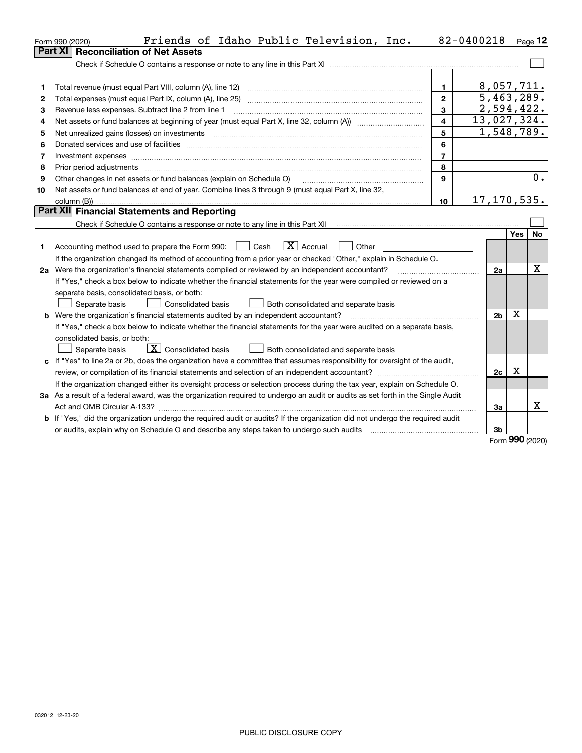|    | Friends of Idaho Public Television, Inc.<br>Form 990 (2020)                                                                     |                         | 82-0400218     |            | $_{Page}$ 12 |
|----|---------------------------------------------------------------------------------------------------------------------------------|-------------------------|----------------|------------|--------------|
|    | <b>Part XI</b><br><b>Reconciliation of Net Assets</b>                                                                           |                         |                |            |              |
|    |                                                                                                                                 |                         |                |            |              |
|    |                                                                                                                                 |                         |                |            |              |
|    | Total revenue (must equal Part VIII, column (A), line 12)                                                                       | $\mathbf{1}$            | 8,057,711.     |            |              |
| 2  | Total expenses (must equal Part IX, column (A), line 25)                                                                        | $\overline{2}$          | 5,463,289.     |            |              |
| З  | Revenue less expenses. Subtract line 2 from line 1                                                                              | $\overline{3}$          | 2,594,422.     |            |              |
| 4  |                                                                                                                                 | $\overline{\mathbf{4}}$ | 13,027,324.    |            |              |
| 5  | Net unrealized gains (losses) on investments                                                                                    | 5                       | 1,548,789.     |            |              |
| 6  |                                                                                                                                 | 6                       |                |            |              |
| 7  | Investment expenses www.communication.com/www.communication.com/www.communication.com/www.com                                   | $\overline{7}$          |                |            |              |
| 8  | Prior period adjustments                                                                                                        | 8                       |                |            |              |
| 9  | Other changes in net assets or fund balances (explain on Schedule O)                                                            | 9                       |                |            | 0.           |
| 10 | Net assets or fund balances at end of year. Combine lines 3 through 9 (must equal Part X, line 32,                              |                         |                |            |              |
|    |                                                                                                                                 | 10                      | 17, 170, 535.  |            |              |
|    | <b>Part XII</b> Financial Statements and Reporting                                                                              |                         |                |            |              |
|    |                                                                                                                                 |                         |                |            |              |
|    |                                                                                                                                 |                         |                | Yes        | <b>No</b>    |
| 1. | $\boxed{\text{X}}$ Accrual<br>Cash<br>Other<br>Accounting method used to prepare the Form 990:                                  |                         |                |            |              |
|    | If the organization changed its method of accounting from a prior year or checked "Other," explain in Schedule O.               |                         |                |            |              |
|    | 2a Were the organization's financial statements compiled or reviewed by an independent accountant?                              |                         | 2a             |            | x            |
|    | If "Yes," check a box below to indicate whether the financial statements for the year were compiled or reviewed on a            |                         |                |            |              |
|    | separate basis, consolidated basis, or both:                                                                                    |                         |                |            |              |
|    | Separate basis<br>Both consolidated and separate basis<br><b>Consolidated basis</b>                                             |                         |                |            |              |
| b  | Were the organization's financial statements audited by an independent accountant?                                              |                         | 2 <sub>b</sub> | X          |              |
|    | If "Yes," check a box below to indicate whether the financial statements for the year were audited on a separate basis,         |                         |                |            |              |
|    | consolidated basis, or both:                                                                                                    |                         |                |            |              |
|    | $\boxed{\mathbf{X}}$ Consolidated basis<br>Separate basis<br>Both consolidated and separate basis                               |                         |                |            |              |
|    | c If "Yes" to line 2a or 2b, does the organization have a committee that assumes responsibility for oversight of the audit,     |                         |                |            |              |
|    |                                                                                                                                 |                         | 2c             | Χ          |              |
|    | If the organization changed either its oversight process or selection process during the tax year, explain on Schedule O.       |                         |                |            |              |
|    | 3a As a result of a federal award, was the organization required to undergo an audit or audits as set forth in the Single Audit |                         |                |            |              |
|    |                                                                                                                                 |                         | 3a             |            | x            |
|    | If "Yes," did the organization undergo the required audit or audits? If the organization did not undergo the required audit     |                         |                |            |              |
|    |                                                                                                                                 |                         | 3b             | <u>nnn</u> |              |

Form (2020) **990**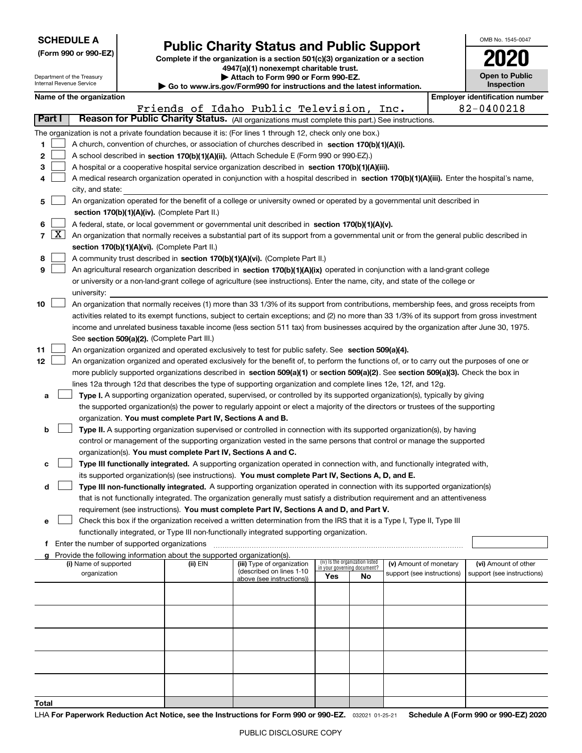| <b>SCHEDULE A</b><br>(Form 990 or 990-EZ)                                                                                                                                                                          | <b>Public Charity Status and Public Support</b><br>Complete if the organization is a section 501(c)(3) organization or a section |  |  |  |  |  |  |  |
|--------------------------------------------------------------------------------------------------------------------------------------------------------------------------------------------------------------------|----------------------------------------------------------------------------------------------------------------------------------|--|--|--|--|--|--|--|
| 4947(a)(1) nonexempt charitable trust.<br>Attach to Form 990 or Form 990-EZ.<br>Department of the Treasury<br>Internal Revenue Service<br>► Go to www.irs.gov/Form990 for instructions and the latest information. |                                                                                                                                  |  |  |  |  |  |  |  |
|                                                                                                                                                                                                                    | Name of the organization                                                                                                         |  |  |  |  |  |  |  |
|                                                                                                                                                                                                                    | Friends of Idaho Public Television,<br>Inc.                                                                                      |  |  |  |  |  |  |  |
| Part I                                                                                                                                                                                                             | Reason for Public Charity Status. (All organizations must complete this part.) See instructions.                                 |  |  |  |  |  |  |  |
|                                                                                                                                                                                                                    | The organization is not a private foundation because it is: (For lines 1 through 12, check only one box.)                        |  |  |  |  |  |  |  |
|                                                                                                                                                                                                                    | A church, convention of churches, or association of churches described in section 170(b)(1)(A)(i).                               |  |  |  |  |  |  |  |
| $\mathbf{2}$                                                                                                                                                                                                       | A school described in section 170(b)(1)(A)(ii). (Attach Schedule E (Form 990 or 990-EZ).)                                        |  |  |  |  |  |  |  |

A hospital or a cooperative hospital service organization described in section 170(b)(1)(A)(iii).

**4567**  $\boxed{\textbf{X}}$  An organization that normally receives a substantial part of its support from a governmental unit or from the general public described in **891011**A medical research organization operated in conjunction with a hospital described in **section 170(b)(1)(A)(iii).** Enter the hospital's name, **section 170(b)(1)(A)(iv).**  (Complete Part II.) A federal, state, or local government or governmental unit described in section 170(b)(1)(A)(v). **section 170(b)(1)(A)(vi).** (Complete Part II.) A community trust described in **section 170(b)(1)(A)(vi).** (Complete Part II.) An agricultural research organization described in **section 170(b)(1)(A)(ix)** operated in conjunction with a land-grant college See **section 509(a)(2).** (Complete Part III.) An organization organized and operated exclusively to test for public safety. See section 509(a)(4). city, and state: An organization operated for the benefit of a college or university owned or operated by a governmental unit described in or university or a non-land-grant college of agriculture (see instructions). Enter the name, city, and state of the college or university: An organization that normally receives (1) more than 33 1/3% of its support from contributions, membership fees, and gross receipts from activities related to its exempt functions, subject to certain exceptions; and (2) no more than 33 1/3% of its support from gross investment income and unrelated business taxable income (less section 511 tax) from businesses acquired by the organization after June 30, 1975.  $\mathcal{L}^{\text{max}}$  $\mathcal{L}^{\text{max}}$  $\mathcal{L}^{\text{max}}$  $\mathcal{L}^{\text{max}}$  $\mathcal{L}^{\text{max}}$  $\mathcal{L}^{\text{max}}$  $\mathcal{L}^{\text{max}}$ 

OMB No. 1545-0047

**Open to Public Inspection**

**2020**

**Employer identification number** 

82-0400218

**12**more publicly supported organizations described in s**ection 509(a)(1)** or section 509(a)(2). See section 509(a)(3). Check the box in<br>lines 12a through 12d that describes the type of supporting examization and complete line An organization organized and operated exclusively for the benefit of, to perform the functions of, or to carry out the purposes of one or lines 12a through 12d that describes the type of supporting organization and complete lines 12e, 12f, and 12g.  $\mathcal{L}^{\text{max}}$ 

**aType I.** A supporting organization operated, supervised, or controlled by its supported organization(s), typically by giving organization. **You must complete Part IV, Sections A and B.** the supported organization(s) the power to regularly appoint or elect a majority of the directors or trustees of the supporting

**bType II.** A supporting organization supervised or controlled in connection with its supported organization(s), by having organization(s). **You must complete Part IV, Sections A and C.** control or management of the supporting organization vested in the same persons that control or manage the supported  $\mathcal{L}^{\text{max}}$ 

**cType III functionally integrated.** A supporting organization operated in connection with, and functionally integrated with, its supported organization(s) (see instructions). **You must complete Part IV, Sections A, D, and E.**  $\mathcal{L}^{\text{max}}$ 

**dType III non-functionally integrated.** A supporting organization operated in connection with its supported organization(s) requirement (see instructions). **You must complete Part IV, Sections A and D, and Part V.** that is not functionally integrated. The organization generally must satisfy a distribution requirement and an attentiveness  $\mathcal{L}^{\text{max}}$ 

**e**Check this box if the organization received a written determination from the IRS that it is a Type I, Type II, Type III functionally integrated, or Type III non-functionally integrated supporting organization.  $\mathcal{L}^{\text{max}}$ 

**f**Enter the number of supported organizations ~~~~~~~~~~~~~~~~~~~~~~~~~~~~~~~~~~~~~

**3**

 $\mathcal{L}^{\text{max}}$ 

| Provide the following information about the supported organization(s). |          |                                                       |                                                                |     |                            |                            |  |  |  |
|------------------------------------------------------------------------|----------|-------------------------------------------------------|----------------------------------------------------------------|-----|----------------------------|----------------------------|--|--|--|
| (i) Name of supported                                                  | (ii) EIN | (iii) Type of organization                            | (iv) Is the organization listed<br>in your governing document? |     | (v) Amount of monetary     | (vi) Amount of other       |  |  |  |
| organization                                                           |          | (described on lines 1-10<br>above (see instructions)) | Yes                                                            | No. | support (see instructions) | support (see instructions) |  |  |  |
|                                                                        |          |                                                       |                                                                |     |                            |                            |  |  |  |
|                                                                        |          |                                                       |                                                                |     |                            |                            |  |  |  |
|                                                                        |          |                                                       |                                                                |     |                            |                            |  |  |  |
|                                                                        |          |                                                       |                                                                |     |                            |                            |  |  |  |
|                                                                        |          |                                                       |                                                                |     |                            |                            |  |  |  |
|                                                                        |          |                                                       |                                                                |     |                            |                            |  |  |  |
|                                                                        |          |                                                       |                                                                |     |                            |                            |  |  |  |
|                                                                        |          |                                                       |                                                                |     |                            |                            |  |  |  |
|                                                                        |          |                                                       |                                                                |     |                            |                            |  |  |  |
|                                                                        |          |                                                       |                                                                |     |                            |                            |  |  |  |
|                                                                        |          |                                                       |                                                                |     |                            |                            |  |  |  |
|                                                                        |          |                                                       |                                                                |     |                            |                            |  |  |  |
|                                                                        |          |                                                       |                                                                |     |                            |                            |  |  |  |
| Total                                                                  |          |                                                       |                                                                |     |                            |                            |  |  |  |

### LHA For Paperwork Reduction Act Notice, see the Instructions for Form 990 or 990-EZ. <sub>032021</sub> o1-25-21 Schedule A (Form 990 or 990-EZ) 2020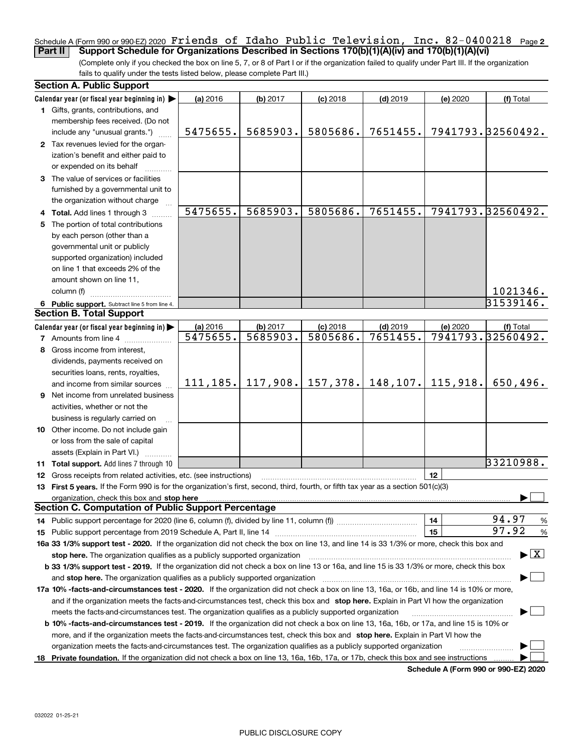### <u>Schedule A (Form 990 or 990-EZ) 2020 <code>Friends of Idaho Public</code> 'Television, Inc. 82-0400218 Page 2</u> Friends of Idaho Public Television, Inc. 82-0400218

(Complete only if you checked the box on line 5, 7, or 8 of Part I or if the organization failed to qualify under Part III. If the organization fails to qualify under the tests listed below, please complete Part III.) **Part II Support Schedule for Organizations Described in Sections 170(b)(1)(A)(iv) and 170(b)(1)(A)(vi)**

|    | <b>Section A. Public Support</b>                                                                                                                                                                                               |           |          |            |            |          |                                          |
|----|--------------------------------------------------------------------------------------------------------------------------------------------------------------------------------------------------------------------------------|-----------|----------|------------|------------|----------|------------------------------------------|
|    | Calendar year (or fiscal year beginning in)                                                                                                                                                                                    | (a) 2016  | (b) 2017 | $(c)$ 2018 | $(d)$ 2019 | (e) 2020 | (f) Total                                |
|    | 1 Gifts, grants, contributions, and                                                                                                                                                                                            |           |          |            |            |          |                                          |
|    | membership fees received. (Do not                                                                                                                                                                                              |           |          |            |            |          |                                          |
|    | include any "unusual grants.")                                                                                                                                                                                                 | 5475655.  | 5685903. | 5805686.   | 7651455.   |          | 7941793.32560492.                        |
|    | 2 Tax revenues levied for the organ-                                                                                                                                                                                           |           |          |            |            |          |                                          |
|    | ization's benefit and either paid to                                                                                                                                                                                           |           |          |            |            |          |                                          |
|    | or expended on its behalf                                                                                                                                                                                                      |           |          |            |            |          |                                          |
|    | 3 The value of services or facilities                                                                                                                                                                                          |           |          |            |            |          |                                          |
|    | furnished by a governmental unit to                                                                                                                                                                                            |           |          |            |            |          |                                          |
|    | the organization without charge                                                                                                                                                                                                |           |          |            |            |          |                                          |
|    | 4 Total. Add lines 1 through 3                                                                                                                                                                                                 | 5475655.  | 5685903. | 5805686.   | 7651455.   |          | 7941793.32560492.                        |
| 5. | The portion of total contributions                                                                                                                                                                                             |           |          |            |            |          |                                          |
|    | by each person (other than a                                                                                                                                                                                                   |           |          |            |            |          |                                          |
|    | governmental unit or publicly                                                                                                                                                                                                  |           |          |            |            |          |                                          |
|    | supported organization) included                                                                                                                                                                                               |           |          |            |            |          |                                          |
|    | on line 1 that exceeds 2% of the                                                                                                                                                                                               |           |          |            |            |          |                                          |
|    | amount shown on line 11,                                                                                                                                                                                                       |           |          |            |            |          |                                          |
|    | column (f)                                                                                                                                                                                                                     |           |          |            |            |          | 1021346.                                 |
|    | 6 Public support. Subtract line 5 from line 4.                                                                                                                                                                                 |           |          |            |            |          | 31539146.                                |
|    | <b>Section B. Total Support</b>                                                                                                                                                                                                |           |          |            |            |          |                                          |
|    | Calendar year (or fiscal year beginning in)                                                                                                                                                                                    | (a) 2016  | (b) 2017 | $(c)$ 2018 | $(d)$ 2019 | (e) 2020 | (f) Total                                |
|    | <b>7</b> Amounts from line 4                                                                                                                                                                                                   | 5475655.  | 5685903. | 5805686.   | 7651455.   |          | 7941793.32560492.                        |
|    | 8 Gross income from interest,                                                                                                                                                                                                  |           |          |            |            |          |                                          |
|    | dividends, payments received on                                                                                                                                                                                                |           |          |            |            |          |                                          |
|    | securities loans, rents, royalties,                                                                                                                                                                                            |           |          |            |            |          |                                          |
|    | and income from similar sources                                                                                                                                                                                                | 111, 185. | 117,908. | 157, 378.  | 148, 107.  | 115,918. | 650,496.                                 |
|    | 9 Net income from unrelated business                                                                                                                                                                                           |           |          |            |            |          |                                          |
|    | activities, whether or not the                                                                                                                                                                                                 |           |          |            |            |          |                                          |
|    | business is regularly carried on                                                                                                                                                                                               |           |          |            |            |          |                                          |
|    | 10 Other income. Do not include gain                                                                                                                                                                                           |           |          |            |            |          |                                          |
|    | or loss from the sale of capital                                                                                                                                                                                               |           |          |            |            |          |                                          |
|    | assets (Explain in Part VI.)                                                                                                                                                                                                   |           |          |            |            |          |                                          |
|    | 11 Total support. Add lines 7 through 10                                                                                                                                                                                       |           |          |            |            |          | 33210988.                                |
|    | 12 Gross receipts from related activities, etc. (see instructions)                                                                                                                                                             |           |          |            |            | 12       |                                          |
|    | 13 First 5 years. If the Form 990 is for the organization's first, second, third, fourth, or fifth tax year as a section 501(c)(3)                                                                                             |           |          |            |            |          |                                          |
|    | organization, check this box and stop here manufactured and according to the state of the state of the state of the state of the state of the state of the state of the state of the state of the state of the state of the st |           |          |            |            |          |                                          |
|    | <b>Section C. Computation of Public Support Percentage</b>                                                                                                                                                                     |           |          |            |            |          |                                          |
|    | 14 Public support percentage for 2020 (line 6, column (f), divided by line 11, column (f) <i>marroummaname</i>                                                                                                                 |           |          |            |            | 14       | 94.97<br>%                               |
|    |                                                                                                                                                                                                                                |           |          |            |            | 15       | 97.92<br>%                               |
|    | 16a 33 1/3% support test - 2020. If the organization did not check the box on line 13, and line 14 is 33 1/3% or more, check this box and                                                                                      |           |          |            |            |          |                                          |
|    | stop here. The organization qualifies as a publicly supported organization                                                                                                                                                     |           |          |            |            |          | $\blacktriangleright$ $\boxed{\text{X}}$ |
|    | b 33 1/3% support test - 2019. If the organization did not check a box on line 13 or 16a, and line 15 is 33 1/3% or more, check this box                                                                                       |           |          |            |            |          |                                          |
|    | and stop here. The organization qualifies as a publicly supported organization                                                                                                                                                 |           |          |            |            |          |                                          |
|    | 17a 10% -facts-and-circumstances test - 2020. If the organization did not check a box on line 13, 16a, or 16b, and line 14 is 10% or more,                                                                                     |           |          |            |            |          |                                          |
|    | and if the organization meets the facts-and-circumstances test, check this box and stop here. Explain in Part VI how the organization                                                                                          |           |          |            |            |          |                                          |
|    | meets the facts-and-circumstances test. The organization qualifies as a publicly supported organization                                                                                                                        |           |          |            |            |          |                                          |
|    | <b>b 10% -facts-and-circumstances test - 2019.</b> If the organization did not check a box on line 13, 16a, 16b, or 17a, and line 15 is 10% or                                                                                 |           |          |            |            |          |                                          |
|    | more, and if the organization meets the facts-and-circumstances test, check this box and stop here. Explain in Part VI how the                                                                                                 |           |          |            |            |          |                                          |
|    | organization meets the facts-and-circumstances test. The organization qualifies as a publicly supported organization                                                                                                           |           |          |            |            |          |                                          |
| 18 | Private foundation. If the organization did not check a box on line 13, 16a, 16b, 17a, or 17b, check this box and see instructions                                                                                             |           |          |            |            |          |                                          |
|    |                                                                                                                                                                                                                                |           |          |            |            |          | Schodule A (Form 000 or 000 EZ) 2020     |

**Schedule A (Form 990 or 990-EZ) 2020**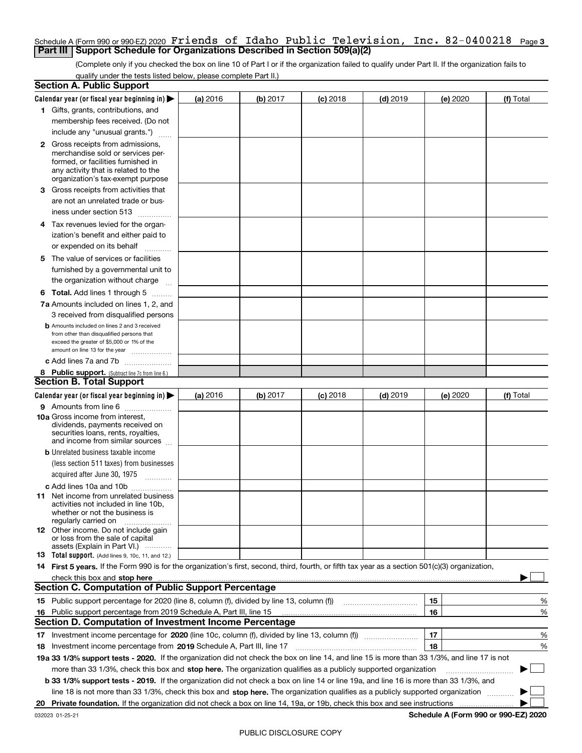### Schedule A (Form 990 or 990-EZ) 2020 Friends of Idaho Public Television, Inc. 82-0400218 <sub>Page 3</sub><br>| Part III | Support Schedule for Organizations Described in Section 509(a)(2) **Part III | Support Schedule for Organizations Described in Section 509(a)(2)**

(Complete only if you checked the box on line 10 of Part I or if the organization failed to qualify under Part II. If the organization fails to qualify under the tests listed below, please complete Part II.)

|    | <b>Section A. Public Support</b>                                                                                                                                                                                                                        |          |          |            |            |    |          |                                      |          |
|----|---------------------------------------------------------------------------------------------------------------------------------------------------------------------------------------------------------------------------------------------------------|----------|----------|------------|------------|----|----------|--------------------------------------|----------|
|    | Calendar year (or fiscal year beginning in)                                                                                                                                                                                                             | (a) 2016 | (b) 2017 | $(c)$ 2018 | $(d)$ 2019 |    | (e) 2020 | (f) Total                            |          |
|    | 1 Gifts, grants, contributions, and                                                                                                                                                                                                                     |          |          |            |            |    |          |                                      |          |
|    | membership fees received. (Do not                                                                                                                                                                                                                       |          |          |            |            |    |          |                                      |          |
|    | include any "unusual grants.")                                                                                                                                                                                                                          |          |          |            |            |    |          |                                      |          |
|    | <b>2</b> Gross receipts from admissions,<br>merchandise sold or services per-<br>formed, or facilities furnished in<br>any activity that is related to the<br>organization's tax-exempt purpose                                                         |          |          |            |            |    |          |                                      |          |
| З. | Gross receipts from activities that<br>are not an unrelated trade or bus-                                                                                                                                                                               |          |          |            |            |    |          |                                      |          |
|    | iness under section 513                                                                                                                                                                                                                                 |          |          |            |            |    |          |                                      |          |
|    | 4 Tax revenues levied for the organ-<br>ization's benefit and either paid to                                                                                                                                                                            |          |          |            |            |    |          |                                      |          |
|    | or expended on its behalf<br>.                                                                                                                                                                                                                          |          |          |            |            |    |          |                                      |          |
| 5  | The value of services or facilities<br>furnished by a governmental unit to<br>the organization without charge                                                                                                                                           |          |          |            |            |    |          |                                      |          |
|    | <b>6 Total.</b> Add lines 1 through 5                                                                                                                                                                                                                   |          |          |            |            |    |          |                                      |          |
|    | 7a Amounts included on lines 1, 2, and                                                                                                                                                                                                                  |          |          |            |            |    |          |                                      |          |
|    | 3 received from disqualified persons                                                                                                                                                                                                                    |          |          |            |            |    |          |                                      |          |
|    | <b>b</b> Amounts included on lines 2 and 3 received<br>from other than disqualified persons that<br>exceed the greater of \$5,000 or 1% of the<br>amount on line 13 for the year                                                                        |          |          |            |            |    |          |                                      |          |
|    | c Add lines 7a and 7b                                                                                                                                                                                                                                   |          |          |            |            |    |          |                                      |          |
|    | 8 Public support. (Subtract line 7c from line 6.)                                                                                                                                                                                                       |          |          |            |            |    |          |                                      |          |
|    | <b>Section B. Total Support</b>                                                                                                                                                                                                                         |          |          |            |            |    |          |                                      |          |
|    | Calendar year (or fiscal year beginning in)                                                                                                                                                                                                             | (a) 2016 | (b) 2017 | $(c)$ 2018 | $(d)$ 2019 |    | (e) 2020 | (f) Total                            |          |
|    | 9 Amounts from line 6                                                                                                                                                                                                                                   |          |          |            |            |    |          |                                      |          |
|    | <b>10a</b> Gross income from interest,<br>dividends, payments received on<br>securities loans, rents, royalties,<br>and income from similar sources                                                                                                     |          |          |            |            |    |          |                                      |          |
|    | <b>b</b> Unrelated business taxable income                                                                                                                                                                                                              |          |          |            |            |    |          |                                      |          |
|    | (less section 511 taxes) from businesses                                                                                                                                                                                                                |          |          |            |            |    |          |                                      |          |
|    | acquired after June 30, 1975                                                                                                                                                                                                                            |          |          |            |            |    |          |                                      |          |
|    | c Add lines 10a and 10b                                                                                                                                                                                                                                 |          |          |            |            |    |          |                                      |          |
|    | 11 Net income from unrelated business<br>activities not included in line 10b.<br>whether or not the business is<br>regularly carried on                                                                                                                 |          |          |            |            |    |          |                                      |          |
|    | <b>12</b> Other income. Do not include gain<br>or loss from the sale of capital<br>assets (Explain in Part VI.)                                                                                                                                         |          |          |            |            |    |          |                                      |          |
|    | 13 Total support. (Add lines 9, 10c, 11, and 12.)                                                                                                                                                                                                       |          |          |            |            |    |          |                                      |          |
|    | 14 First 5 years. If the Form 990 is for the organization's first, second, third, fourth, or fifth tax year as a section 501(c)(3) organization,                                                                                                        |          |          |            |            |    |          |                                      |          |
|    | check this box and stop here <i>macuum construction construction construction</i> and stop here <i>maximum</i> construction and stop here <i>maximum</i> construction and stop here <i>maximum</i> construction and stop here <i>maximum</i> constructi |          |          |            |            |    |          |                                      |          |
|    | <b>Section C. Computation of Public Support Percentage</b>                                                                                                                                                                                              |          |          |            |            |    |          |                                      |          |
|    | 15 Public support percentage for 2020 (line 8, column (f), divided by line 13, column (f))                                                                                                                                                              |          |          |            |            | 15 |          |                                      | %        |
|    | 16 Public support percentage from 2019 Schedule A, Part III, line 15                                                                                                                                                                                    |          |          |            |            | 16 |          |                                      | %        |
|    | <b>Section D. Computation of Investment Income Percentage</b>                                                                                                                                                                                           |          |          |            |            |    |          |                                      |          |
| 17 | Investment income percentage for 2020 (line 10c, column (f), divided by line 13, column (f))                                                                                                                                                            |          |          |            |            | 17 |          |                                      | %        |
| 18 | Investment income percentage from 2019 Schedule A, Part III, line 17                                                                                                                                                                                    |          |          |            |            | 18 |          |                                      | %        |
|    | 19a 33 1/3% support tests - 2020. If the organization did not check the box on line 14, and line 15 is more than 33 1/3%, and line 17 is not                                                                                                            |          |          |            |            |    |          |                                      |          |
|    | more than 33 1/3%, check this box and stop here. The organization qualifies as a publicly supported organization                                                                                                                                        |          |          |            |            |    |          |                                      | $\sim$ 1 |
|    | b 33 1/3% support tests - 2019. If the organization did not check a box on line 14 or line 19a, and line 16 is more than 33 1/3%, and                                                                                                                   |          |          |            |            |    |          |                                      |          |
|    | line 18 is not more than 33 1/3%, check this box and stop here. The organization qualifies as a publicly supported organization                                                                                                                         |          |          |            |            |    |          |                                      |          |
| 20 | Private foundation. If the organization did not check a box on line 14, 19a, or 19b, check this box and see instructions                                                                                                                                |          |          |            |            |    |          |                                      |          |
|    | 032023 01-25-21                                                                                                                                                                                                                                         |          |          |            |            |    |          | Schedule A (Form 990 or 990-EZ) 2020 |          |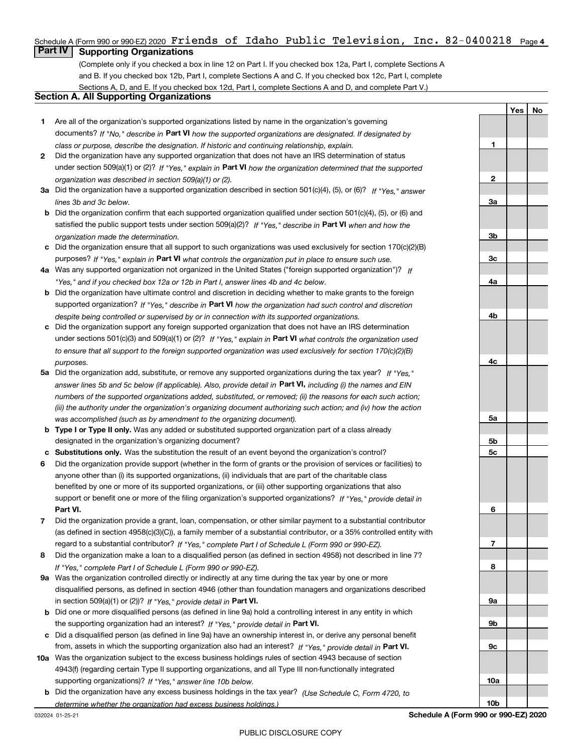## Schedule A (Form 990 or 990-EZ) 2020 **Friends of Idaho Public Television, Inc. 82-0400218** Page 4<br>**Friend Supporting Organizations**

**Part IV Supporting Organizations**

(Complete only if you checked a box in line 12 on Part I. If you checked box 12a, Part I, complete Sections A and B. If you checked box 12b, Part I, complete Sections A and C. If you checked box 12c, Part I, complete Sections A, D, and E. If you checked box 12d, Part I, complete Sections A and D, and complete Part V.)

### **Section A. All Supporting Organizations**

- **1** Are all of the organization's supported organizations listed by name in the organization's governing documents? If "No," describe in **Part VI** how the supported organizations are designated. If designated by *class or purpose, describe the designation. If historic and continuing relationship, explain.*
- **2** Did the organization have any supported organization that does not have an IRS determination of status under section 509(a)(1) or (2)? If "Yes," explain in Part VI how the organization determined that the supported *organization was described in section 509(a)(1) or (2).*
- **3a** Did the organization have a supported organization described in section 501(c)(4), (5), or (6)? If "Yes," answer *lines 3b and 3c below.*
- **b** Did the organization confirm that each supported organization qualified under section 501(c)(4), (5), or (6) and satisfied the public support tests under section 509(a)(2)? If "Yes," describe in **Part VI** when and how the *organization made the determination.*
- **c**Did the organization ensure that all support to such organizations was used exclusively for section 170(c)(2)(B) purposes? If "Yes," explain in **Part VI** what controls the organization put in place to ensure such use.
- **4a***If* Was any supported organization not organized in the United States ("foreign supported organization")? *"Yes," and if you checked box 12a or 12b in Part I, answer lines 4b and 4c below.*
- **b** Did the organization have ultimate control and discretion in deciding whether to make grants to the foreign supported organization? If "Yes," describe in **Part VI** how the organization had such control and discretion *despite being controlled or supervised by or in connection with its supported organizations.*
- **c** Did the organization support any foreign supported organization that does not have an IRS determination under sections 501(c)(3) and 509(a)(1) or (2)? If "Yes," explain in **Part VI** what controls the organization used *to ensure that all support to the foreign supported organization was used exclusively for section 170(c)(2)(B) purposes.*
- **5a***If "Yes,"* Did the organization add, substitute, or remove any supported organizations during the tax year? answer lines 5b and 5c below (if applicable). Also, provide detail in **Part VI,** including (i) the names and EIN *numbers of the supported organizations added, substituted, or removed; (ii) the reasons for each such action; (iii) the authority under the organization's organizing document authorizing such action; and (iv) how the action was accomplished (such as by amendment to the organizing document).*
- **b** Type I or Type II only. Was any added or substituted supported organization part of a class already designated in the organization's organizing document?
- **cSubstitutions only.**  Was the substitution the result of an event beyond the organization's control?
- **6** Did the organization provide support (whether in the form of grants or the provision of services or facilities) to **Part VI.** *If "Yes," provide detail in* support or benefit one or more of the filing organization's supported organizations? anyone other than (i) its supported organizations, (ii) individuals that are part of the charitable class benefited by one or more of its supported organizations, or (iii) other supporting organizations that also
- **7**Did the organization provide a grant, loan, compensation, or other similar payment to a substantial contributor *If "Yes," complete Part I of Schedule L (Form 990 or 990-EZ).* regard to a substantial contributor? (as defined in section 4958(c)(3)(C)), a family member of a substantial contributor, or a 35% controlled entity with
- **8** Did the organization make a loan to a disqualified person (as defined in section 4958) not described in line 7? *If "Yes," complete Part I of Schedule L (Form 990 or 990-EZ).*
- **9a** Was the organization controlled directly or indirectly at any time during the tax year by one or more in section 509(a)(1) or (2))? If "Yes," *provide detail in* <code>Part VI.</code> disqualified persons, as defined in section 4946 (other than foundation managers and organizations described
- **b** Did one or more disqualified persons (as defined in line 9a) hold a controlling interest in any entity in which the supporting organization had an interest? If "Yes," provide detail in P**art VI**.
- **c**Did a disqualified person (as defined in line 9a) have an ownership interest in, or derive any personal benefit from, assets in which the supporting organization also had an interest? If "Yes," provide detail in P**art VI.**
- **10a** Was the organization subject to the excess business holdings rules of section 4943 because of section supporting organizations)? If "Yes," answer line 10b below. 4943(f) (regarding certain Type II supporting organizations, and all Type III non-functionally integrated
- **b** Did the organization have any excess business holdings in the tax year? (Use Schedule C, Form 4720, to *determine whether the organization had excess business holdings.)*

**Yes No**

**1**

**2**

**3a**

**3b**

**3c**

**4a**

**4b**

**4c**

**5a**

**5b5c**

**6**

**7**

**8**

**9a**

**9b**

**9c**

**10a**

**10b**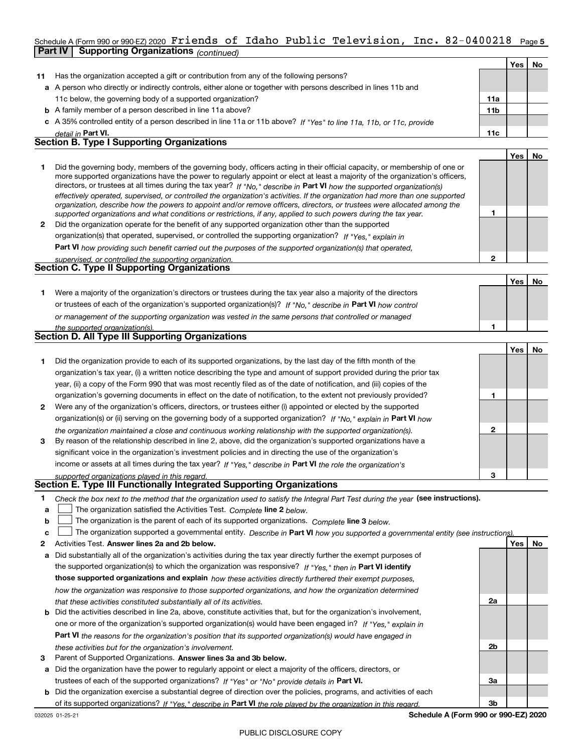### Schedule A (Form 990 or 990-EZ) 2020 Friends of Idaho Public Television, Inc. 82-0400218 <sub>Page 5</sub><br>L**Part IV L Supporting Organizations** / www.h **Part IV Supporting Organizations** *(continued)*

|              |                                                                                                                                                                                                                                                                                                                                                                                                                                                                                                                                                                                                                                                      |                 | Yes l | No. |
|--------------|------------------------------------------------------------------------------------------------------------------------------------------------------------------------------------------------------------------------------------------------------------------------------------------------------------------------------------------------------------------------------------------------------------------------------------------------------------------------------------------------------------------------------------------------------------------------------------------------------------------------------------------------------|-----------------|-------|-----|
| 11           | Has the organization accepted a gift or contribution from any of the following persons?                                                                                                                                                                                                                                                                                                                                                                                                                                                                                                                                                              |                 |       |     |
|              | a A person who directly or indirectly controls, either alone or together with persons described in lines 11b and                                                                                                                                                                                                                                                                                                                                                                                                                                                                                                                                     |                 |       |     |
|              | 11c below, the governing body of a supported organization?                                                                                                                                                                                                                                                                                                                                                                                                                                                                                                                                                                                           | 11a             |       |     |
|              | <b>b</b> A family member of a person described in line 11a above?                                                                                                                                                                                                                                                                                                                                                                                                                                                                                                                                                                                    | 11 <sub>b</sub> |       |     |
|              | c A 35% controlled entity of a person described in line 11a or 11b above? If "Yes" to line 11a, 11b, or 11c, provide                                                                                                                                                                                                                                                                                                                                                                                                                                                                                                                                 |                 |       |     |
|              | detail in Part VI.                                                                                                                                                                                                                                                                                                                                                                                                                                                                                                                                                                                                                                   | 11c             |       |     |
|              | <b>Section B. Type I Supporting Organizations</b>                                                                                                                                                                                                                                                                                                                                                                                                                                                                                                                                                                                                    |                 |       |     |
|              |                                                                                                                                                                                                                                                                                                                                                                                                                                                                                                                                                                                                                                                      |                 | Yes   | No. |
|              | Did the governing body, members of the governing body, officers acting in their official capacity, or membership of one or<br>more supported organizations have the power to regularly appoint or elect at least a majority of the organization's officers,<br>directors, or trustees at all times during the tax year? If "No." describe in Part VI how the supported organization(s)<br>effectively operated, supervised, or controlled the organization's activities. If the organization had more than one supported<br>organization, describe how the powers to appoint and/or remove officers, directors, or trustees were allocated among the |                 |       |     |
|              | supported organizations and what conditions or restrictions, if any, applied to such powers during the tax year.                                                                                                                                                                                                                                                                                                                                                                                                                                                                                                                                     |                 |       |     |
| $\mathbf{2}$ | Did the organization operate for the benefit of any supported organization other than the supported                                                                                                                                                                                                                                                                                                                                                                                                                                                                                                                                                  |                 |       |     |
|              | organization(s) that operated, supervised, or controlled the supporting organization? If "Yes," explain in                                                                                                                                                                                                                                                                                                                                                                                                                                                                                                                                           |                 |       |     |

**Part VI**  *how providing such benefit carried out the purposes of the supported organization(s) that operated,*

| supervised, or controlled the supporting organization. |     |
|--------------------------------------------------------|-----|
| <b>Section C. Type II Supporting Organizations</b>     |     |
|                                                        | Yes |
|                                                        |     |

**1**or trustees of each of the organization's supported organization(s)? If "No," describe in **Part VI** how control *or management of the supporting organization was vested in the same persons that controlled or managed the supported organization(s).* Were a majority of the organization's directors or trustees during the tax year also a majority of the directors

| Section D. All Type III Supporting Organizations |  |  |  |  |  |  |
|--------------------------------------------------|--|--|--|--|--|--|
|                                                  |  |  |  |  |  |  |

|              |                                                                                                                        |   | Yes l | No |
|--------------|------------------------------------------------------------------------------------------------------------------------|---|-------|----|
|              | Did the organization provide to each of its supported organizations, by the last day of the fifth month of the         |   |       |    |
|              | organization's tax year, (i) a written notice describing the type and amount of support provided during the prior tax  |   |       |    |
|              | year, (ii) a copy of the Form 990 that was most recently filed as of the date of notification, and (iii) copies of the |   |       |    |
|              | organization's governing documents in effect on the date of notification, to the extent not previously provided?       |   |       |    |
| $\mathbf{2}$ | Were any of the organization's officers, directors, or trustees either (i) appointed or elected by the supported       |   |       |    |
|              | organization(s) or (ii) serving on the governing body of a supported organization? If "No," explain in Part VI how     |   |       |    |
|              | the organization maintained a close and continuous working relationship with the supported organization(s).            | 2 |       |    |
| 3            | By reason of the relationship described in line 2, above, did the organization's supported organizations have a        |   |       |    |
|              | significant voice in the organization's investment policies and in directing the use of the organization's             |   |       |    |
|              | income or assets at all times during the tax year? If "Yes," describe in Part VI the role the organization's           |   |       |    |
|              | supported organizations played in this regard                                                                          | з |       |    |

## *supported organizations played in this regard.* **Section E. Type III Functionally Integrated Supporting Organizations**

| Check the box next to the method that the organization used to satisfy the Integral Part Test during the year (see instructions). |  |
|-----------------------------------------------------------------------------------------------------------------------------------|--|
|                                                                                                                                   |  |

- **alinupy** The organization satisfied the Activities Test. Complete line 2 below.
- **b**The organization is the parent of each of its supported organizations. Complete **line 3** below.

|  |  | c $\Box$ The organization supported a governmental entity. Describe in Part VI how you supported a governmental entity (see instructions) |
|--|--|-------------------------------------------------------------------------------------------------------------------------------------------|
|--|--|-------------------------------------------------------------------------------------------------------------------------------------------|

- **2**Activities Test.
- **Activities Test. Answer lines 2a and 2b below.**<br>**a** Did substantially all of the organization's activities during the tax year directly further the exempt purposes of the supported organization(s) to which the organization was responsive? If "Yes," then in **Part VI identify those supported organizations and explain**  *how these activities directly furthered their exempt purposes, how the organization was responsive to those supported organizations, and how the organization determined that these activities constituted substantially all of its activities.*
- **b** Did the activities described in line 2a, above, constitute activities that, but for the organization's involvement, **Part VI**  *the reasons for the organization's position that its supported organization(s) would have engaged in* one or more of the organization's supported organization(s) would have been engaged in? If "Yes," e*xplain in these activities but for the organization's involvement.*
- **3** Parent of Supported Organizations. Answer lines 3a and 3b below.
- **a** Did the organization have the power to regularly appoint or elect a majority of the officers, directors, or trustees of each of the supported organizations? If "Yes" or "No" provide details in P**art VI.**
- **b** Did the organization exercise a substantial degree of direction over the policies, programs, and activities of each **Part VI**  *If "Yes," describe in the role played by the organization in this regard.* of its supported organizations?

**Schedule A (Form 990 or 990-EZ) 2020**

**2a**

**2b**

**3a**

**3b**

 **No**

**1**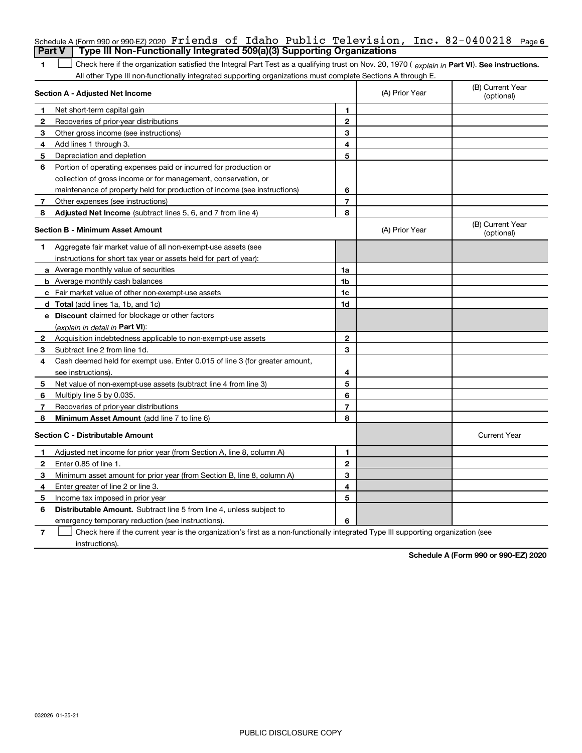|              | Schedule A (Form 990 or 990-EZ) 2020 Friends of Idaho Public Television, Inc. $82-0400218$ Page 6                                              |                |                |                                |  |  |  |
|--------------|------------------------------------------------------------------------------------------------------------------------------------------------|----------------|----------------|--------------------------------|--|--|--|
|              | Type III Non-Functionally Integrated 509(a)(3) Supporting Organizations<br><b>Part V</b>                                                       |                |                |                                |  |  |  |
| 1            | Check here if the organization satisfied the Integral Part Test as a qualifying trust on Nov. 20, 1970 (explain in Part VI). See instructions. |                |                |                                |  |  |  |
|              | All other Type III non-functionally integrated supporting organizations must complete Sections A through E.                                    |                |                |                                |  |  |  |
|              | <b>Section A - Adjusted Net Income</b>                                                                                                         |                | (A) Prior Year | (B) Current Year<br>(optional) |  |  |  |
| 1            | Net short-term capital gain                                                                                                                    | 1              |                |                                |  |  |  |
| 2            | Recoveries of prior-year distributions                                                                                                         | $\overline{2}$ |                |                                |  |  |  |
| 3            | Other gross income (see instructions)                                                                                                          | 3              |                |                                |  |  |  |
| 4            | Add lines 1 through 3.                                                                                                                         | 4              |                |                                |  |  |  |
| 5            | Depreciation and depletion                                                                                                                     | 5              |                |                                |  |  |  |
| 6            | Portion of operating expenses paid or incurred for production or                                                                               |                |                |                                |  |  |  |
|              | collection of gross income or for management, conservation, or                                                                                 |                |                |                                |  |  |  |
|              | maintenance of property held for production of income (see instructions)                                                                       | 6              |                |                                |  |  |  |
| 7            | Other expenses (see instructions)                                                                                                              | $\overline{7}$ |                |                                |  |  |  |
| 8            | Adjusted Net Income (subtract lines 5, 6, and 7 from line 4)                                                                                   | 8              |                |                                |  |  |  |
|              | <b>Section B - Minimum Asset Amount</b>                                                                                                        |                | (A) Prior Year | (B) Current Year<br>(optional) |  |  |  |
| 1            | Aggregate fair market value of all non-exempt-use assets (see                                                                                  |                |                |                                |  |  |  |
|              | instructions for short tax year or assets held for part of year):                                                                              |                |                |                                |  |  |  |
|              | <b>a</b> Average monthly value of securities                                                                                                   | 1a             |                |                                |  |  |  |
|              | <b>b</b> Average monthly cash balances                                                                                                         | 1b             |                |                                |  |  |  |
|              | c Fair market value of other non-exempt-use assets                                                                                             | 1c             |                |                                |  |  |  |
|              | d Total (add lines 1a, 1b, and 1c)                                                                                                             | 1 <sub>d</sub> |                |                                |  |  |  |
|              | <b>e</b> Discount claimed for blockage or other factors                                                                                        |                |                |                                |  |  |  |
|              | (explain in detail in Part VI):                                                                                                                |                |                |                                |  |  |  |
| 2            | Acquisition indebtedness applicable to non-exempt-use assets                                                                                   | $\mathbf{2}$   |                |                                |  |  |  |
| 3            | Subtract line 2 from line 1d.                                                                                                                  | 3              |                |                                |  |  |  |
| 4            | Cash deemed held for exempt use. Enter 0.015 of line 3 (for greater amount,                                                                    |                |                |                                |  |  |  |
|              | see instructions)                                                                                                                              | 4              |                |                                |  |  |  |
| 5            | Net value of non-exempt-use assets (subtract line 4 from line 3)                                                                               | 5              |                |                                |  |  |  |
| 6            | Multiply line 5 by 0.035.                                                                                                                      | 6              |                |                                |  |  |  |
| 7            | Recoveries of prior-year distributions                                                                                                         | $\overline{7}$ |                |                                |  |  |  |
| 8            | Minimum Asset Amount (add line 7 to line 6)                                                                                                    | 8              |                |                                |  |  |  |
|              | <b>Section C - Distributable Amount</b>                                                                                                        |                |                | <b>Current Year</b>            |  |  |  |
| 1            | Adjusted net income for prior year (from Section A, line 8, column A)                                                                          | 1              |                |                                |  |  |  |
| $\mathbf{2}$ | Enter 0.85 of line 1.                                                                                                                          | $\mathbf 2$    |                |                                |  |  |  |
| 3            | Minimum asset amount for prior year (from Section B, line 8, column A)                                                                         | 3              |                |                                |  |  |  |
| 4            | Enter greater of line 2 or line 3.                                                                                                             | 4              |                |                                |  |  |  |
| 5            | Income tax imposed in prior year                                                                                                               | 5              |                |                                |  |  |  |
| 6            | <b>Distributable Amount.</b> Subtract line 5 from line 4, unless subject to                                                                    |                |                |                                |  |  |  |
|              | emergency temporary reduction (see instructions).                                                                                              | 6              |                |                                |  |  |  |
|              |                                                                                                                                                |                |                |                                |  |  |  |

**7** Check here if the current year is the organization's first as a non-functionally integrated Type III supporting organization (see instructions).

**Schedule A (Form 990 or 990-EZ) 2020**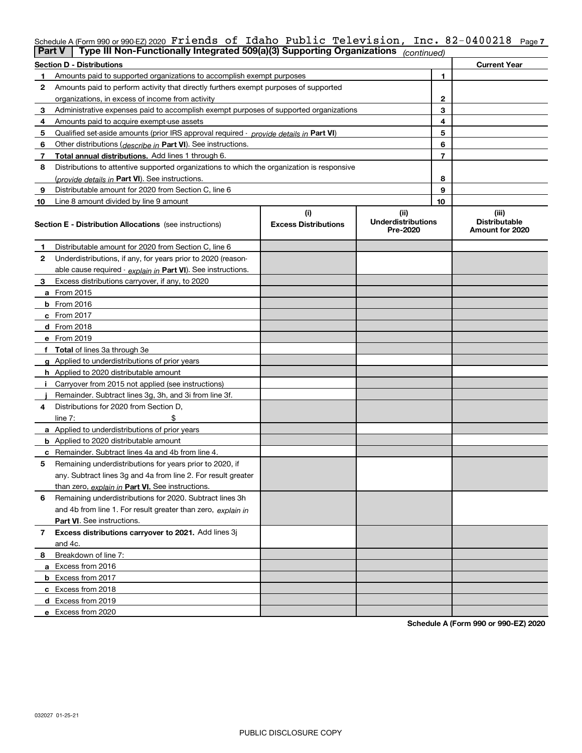## Schedule A (Form 990 or 990-EZ) 2020 Friends of Idaho Public Television, Inc. 82-0400218 <sub>Page 7</sub><br>L**Part V** L Type III Non-Eunctionally Integrated 509(a)(3) Supporting Organizations <u>Kentendo</u>

| Part V | Type III Non-Functionally Integrated 509(a)(3) Supporting Organizations                       |                             | (continued)                           |    |                                         |
|--------|-----------------------------------------------------------------------------------------------|-----------------------------|---------------------------------------|----|-----------------------------------------|
|        | <b>Section D - Distributions</b>                                                              |                             |                                       |    | <b>Current Year</b>                     |
|        | Amounts paid to supported organizations to accomplish exempt purposes                         |                             | 1                                     |    |                                         |
| 2      | Amounts paid to perform activity that directly furthers exempt purposes of supported          |                             |                                       |    |                                         |
|        | organizations, in excess of income from activity                                              | $\mathbf{2}$                |                                       |    |                                         |
| 3      | Administrative expenses paid to accomplish exempt purposes of supported organizations         |                             | 3                                     |    |                                         |
| 4      | Amounts paid to acquire exempt-use assets                                                     |                             |                                       | 4  |                                         |
| 5      | Qualified set-aside amounts (prior IRS approval required - <i>provide details in</i> Part VI) |                             |                                       | 5  |                                         |
| 6      | Other distributions ( <i>describe in</i> Part VI). See instructions.                          |                             |                                       | 6  |                                         |
| 7      | Total annual distributions. Add lines 1 through 6.                                            |                             |                                       | 7  |                                         |
| 8      | Distributions to attentive supported organizations to which the organization is responsive    |                             |                                       |    |                                         |
|        | (provide details in Part VI). See instructions.                                               |                             |                                       | 8  |                                         |
| 9      | Distributable amount for 2020 from Section C, line 6                                          |                             |                                       | 9  |                                         |
| 10     | Line 8 amount divided by line 9 amount                                                        |                             |                                       | 10 |                                         |
|        |                                                                                               | (i)                         | (ii)                                  |    | (iii)                                   |
|        | <b>Section E - Distribution Allocations</b> (see instructions)                                | <b>Excess Distributions</b> | <b>Underdistributions</b><br>Pre-2020 |    | <b>Distributable</b><br>Amount for 2020 |
| 1      | Distributable amount for 2020 from Section C, line 6                                          |                             |                                       |    |                                         |
| 2      | Underdistributions, if any, for years prior to 2020 (reason-                                  |                             |                                       |    |                                         |
|        | able cause required - explain in Part VI). See instructions.                                  |                             |                                       |    |                                         |
| 3      | Excess distributions carryover, if any, to 2020                                               |                             |                                       |    |                                         |
|        | a From 2015                                                                                   |                             |                                       |    |                                         |
|        | $b$ From 2016                                                                                 |                             |                                       |    |                                         |
|        | $c$ From 2017                                                                                 |                             |                                       |    |                                         |
|        | <b>d</b> From 2018                                                                            |                             |                                       |    |                                         |
|        | e From 2019                                                                                   |                             |                                       |    |                                         |
|        | f Total of lines 3a through 3e                                                                |                             |                                       |    |                                         |
|        | g Applied to underdistributions of prior years                                                |                             |                                       |    |                                         |
|        | h Applied to 2020 distributable amount                                                        |                             |                                       |    |                                         |
|        | Carryover from 2015 not applied (see instructions)                                            |                             |                                       |    |                                         |
|        | Remainder. Subtract lines 3g, 3h, and 3i from line 3f.                                        |                             |                                       |    |                                         |
| 4      | Distributions for 2020 from Section D,                                                        |                             |                                       |    |                                         |
|        | line $7:$                                                                                     |                             |                                       |    |                                         |
|        | a Applied to underdistributions of prior years                                                |                             |                                       |    |                                         |
|        | <b>b</b> Applied to 2020 distributable amount                                                 |                             |                                       |    |                                         |
|        | c Remainder. Subtract lines 4a and 4b from line 4.                                            |                             |                                       |    |                                         |
| 5      | Remaining underdistributions for years prior to 2020, if                                      |                             |                                       |    |                                         |
|        | any. Subtract lines 3g and 4a from line 2. For result greater                                 |                             |                                       |    |                                         |
|        | than zero, explain in Part VI. See instructions.                                              |                             |                                       |    |                                         |
| 6      | Remaining underdistributions for 2020. Subtract lines 3h                                      |                             |                                       |    |                                         |
|        | and 4b from line 1. For result greater than zero, explain in                                  |                             |                                       |    |                                         |
|        | Part VI. See instructions.                                                                    |                             |                                       |    |                                         |
| 7      | Excess distributions carryover to 2021. Add lines 3j                                          |                             |                                       |    |                                         |
|        | and 4c.                                                                                       |                             |                                       |    |                                         |
| 8      | Breakdown of line 7:                                                                          |                             |                                       |    |                                         |
|        | a Excess from 2016                                                                            |                             |                                       |    |                                         |
|        | <b>b</b> Excess from 2017                                                                     |                             |                                       |    |                                         |
|        | c Excess from 2018                                                                            |                             |                                       |    |                                         |
|        | d Excess from 2019                                                                            |                             |                                       |    |                                         |
|        | e Excess from 2020                                                                            |                             |                                       |    |                                         |

**Schedule A (Form 990 or 990-EZ) 2020**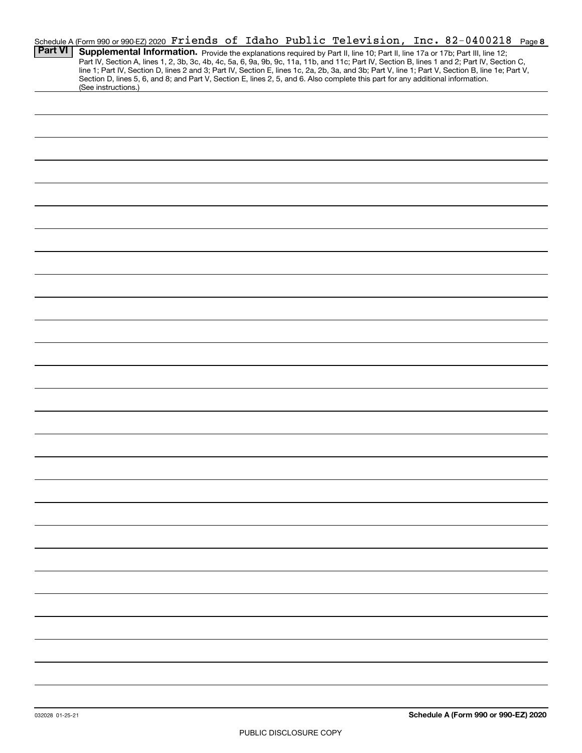|                |                     |  |  |  |  | Schedule A (Form 990 or 990-EZ) 2020 Friends of Idaho Public Television, Inc. 82-0400218                                                         | Page 8 |
|----------------|---------------------|--|--|--|--|--------------------------------------------------------------------------------------------------------------------------------------------------|--------|
| <b>Part VI</b> |                     |  |  |  |  | Supplemental Information. Provide the explanations required by Part II, line 10; Part II, line 17a or 17b; Part III, line 12;                    |        |
|                |                     |  |  |  |  | Part IV, Section A, lines 1, 2, 3b, 3c, 4b, 4c, 5a, 6, 9a, 9b, 9c, 11a, 11b, and 11c; Part IV, Section B, lines 1 and 2; Part IV, Section C,     |        |
|                |                     |  |  |  |  | line 1; Part IV, Section D, lines 2 and 3; Part IV, Section E, lines 1c, 2a, 2b, 3a, and 3b; Part V, line 1; Part V, Section B, line 1e; Part V, |        |
|                | (See instructions.) |  |  |  |  | Section D, lines 5, 6, and 8; and Part V, Section E, lines 2, 5, and 6. Also complete this part for any additional information.                  |        |
|                |                     |  |  |  |  |                                                                                                                                                  |        |
|                |                     |  |  |  |  |                                                                                                                                                  |        |
|                |                     |  |  |  |  |                                                                                                                                                  |        |
|                |                     |  |  |  |  |                                                                                                                                                  |        |
|                |                     |  |  |  |  |                                                                                                                                                  |        |
|                |                     |  |  |  |  |                                                                                                                                                  |        |
|                |                     |  |  |  |  |                                                                                                                                                  |        |
|                |                     |  |  |  |  |                                                                                                                                                  |        |
|                |                     |  |  |  |  |                                                                                                                                                  |        |
|                |                     |  |  |  |  |                                                                                                                                                  |        |
|                |                     |  |  |  |  |                                                                                                                                                  |        |
|                |                     |  |  |  |  |                                                                                                                                                  |        |
|                |                     |  |  |  |  |                                                                                                                                                  |        |
|                |                     |  |  |  |  |                                                                                                                                                  |        |
|                |                     |  |  |  |  |                                                                                                                                                  |        |
|                |                     |  |  |  |  |                                                                                                                                                  |        |
|                |                     |  |  |  |  |                                                                                                                                                  |        |
|                |                     |  |  |  |  |                                                                                                                                                  |        |
|                |                     |  |  |  |  |                                                                                                                                                  |        |
|                |                     |  |  |  |  |                                                                                                                                                  |        |
|                |                     |  |  |  |  |                                                                                                                                                  |        |
|                |                     |  |  |  |  |                                                                                                                                                  |        |
|                |                     |  |  |  |  |                                                                                                                                                  |        |
|                |                     |  |  |  |  |                                                                                                                                                  |        |
|                |                     |  |  |  |  |                                                                                                                                                  |        |
|                |                     |  |  |  |  |                                                                                                                                                  |        |
|                |                     |  |  |  |  |                                                                                                                                                  |        |
|                |                     |  |  |  |  |                                                                                                                                                  |        |
|                |                     |  |  |  |  |                                                                                                                                                  |        |
|                |                     |  |  |  |  |                                                                                                                                                  |        |
|                |                     |  |  |  |  |                                                                                                                                                  |        |
|                |                     |  |  |  |  |                                                                                                                                                  |        |
|                |                     |  |  |  |  |                                                                                                                                                  |        |
|                |                     |  |  |  |  |                                                                                                                                                  |        |
|                |                     |  |  |  |  |                                                                                                                                                  |        |
|                |                     |  |  |  |  |                                                                                                                                                  |        |
|                |                     |  |  |  |  |                                                                                                                                                  |        |
|                |                     |  |  |  |  |                                                                                                                                                  |        |
|                |                     |  |  |  |  |                                                                                                                                                  |        |
|                |                     |  |  |  |  |                                                                                                                                                  |        |
|                |                     |  |  |  |  |                                                                                                                                                  |        |
|                |                     |  |  |  |  |                                                                                                                                                  |        |
|                |                     |  |  |  |  |                                                                                                                                                  |        |
|                |                     |  |  |  |  |                                                                                                                                                  |        |
|                |                     |  |  |  |  |                                                                                                                                                  |        |
|                |                     |  |  |  |  |                                                                                                                                                  |        |
|                |                     |  |  |  |  |                                                                                                                                                  |        |
|                |                     |  |  |  |  |                                                                                                                                                  |        |
|                |                     |  |  |  |  |                                                                                                                                                  |        |
|                |                     |  |  |  |  |                                                                                                                                                  |        |
|                |                     |  |  |  |  |                                                                                                                                                  |        |
|                |                     |  |  |  |  |                                                                                                                                                  |        |
|                |                     |  |  |  |  |                                                                                                                                                  |        |
|                |                     |  |  |  |  |                                                                                                                                                  |        |
|                |                     |  |  |  |  |                                                                                                                                                  |        |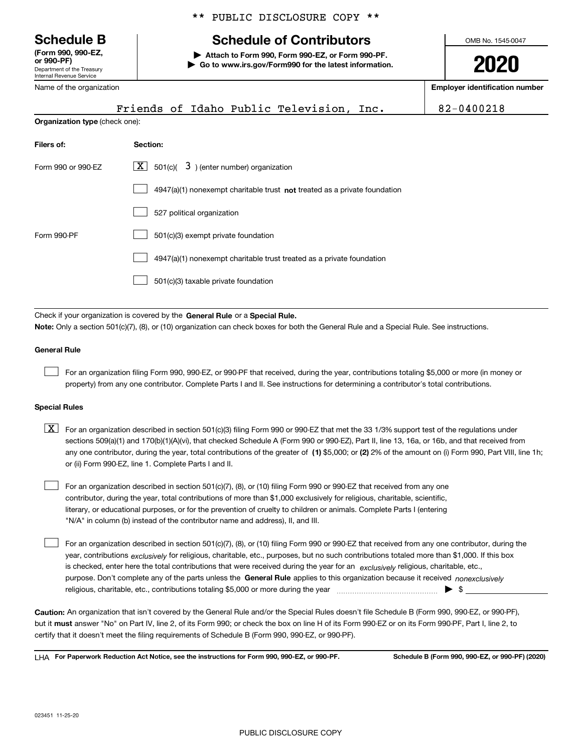Department of the Treasury Internal Revenue Service **(Form 990, 990-EZ, or 990-PF)**

Name of the organization

### \*\* PUBLIC DISCLOSURE COPY \*\*

## **Schedule B Schedule of Contributors**

**| Attach to Form 990, Form 990-EZ, or Form 990-PF. | Go to www.irs.gov/Form990 for the latest information.** OMB No. 1545-0047

**2020**

**Employer identification number**

|                                                                                   | Friends of Idaho Public Television, Inc.                                                                                                                                                                                                                                         | 82-0400218 |  |  |  |  |
|-----------------------------------------------------------------------------------|----------------------------------------------------------------------------------------------------------------------------------------------------------------------------------------------------------------------------------------------------------------------------------|------------|--|--|--|--|
| Organization type (check one):                                                    |                                                                                                                                                                                                                                                                                  |            |  |  |  |  |
| Filers of:                                                                        | Section:                                                                                                                                                                                                                                                                         |            |  |  |  |  |
| $\boxed{\textbf{X}}$ 501(c)( 3) (enter number) organization<br>Form 990 or 990-EZ |                                                                                                                                                                                                                                                                                  |            |  |  |  |  |
|                                                                                   | $4947(a)(1)$ nonexempt charitable trust not treated as a private foundation                                                                                                                                                                                                      |            |  |  |  |  |
|                                                                                   | 527 political organization                                                                                                                                                                                                                                                       |            |  |  |  |  |
| Form 990-PF                                                                       | 501(c)(3) exempt private foundation                                                                                                                                                                                                                                              |            |  |  |  |  |
|                                                                                   | 4947(a)(1) nonexempt charitable trust treated as a private foundation                                                                                                                                                                                                            |            |  |  |  |  |
|                                                                                   | 501(c)(3) taxable private foundation                                                                                                                                                                                                                                             |            |  |  |  |  |
|                                                                                   |                                                                                                                                                                                                                                                                                  |            |  |  |  |  |
|                                                                                   | Check if your organization is covered by the General Rule or a Special Rule.                                                                                                                                                                                                     |            |  |  |  |  |
|                                                                                   | Note: Only a section 501(c)(7), (8), or (10) organization can check boxes for both the General Rule and a Special Rule. See instructions.                                                                                                                                        |            |  |  |  |  |
| <b>General Rule</b>                                                               |                                                                                                                                                                                                                                                                                  |            |  |  |  |  |
|                                                                                   | For an organization filing Form 990, 990-EZ, or 990-PF that received, during the year, contributions totaling \$5,000 or more (in money or<br>property) from any one contributor. Complete Parts I and II. See instructions for determining a contributor's total contributions. |            |  |  |  |  |
|                                                                                   |                                                                                                                                                                                                                                                                                  |            |  |  |  |  |

### **Special Rules**

| $\boxed{X}$ For an organization described in section 501(c)(3) filing Form 990 or 990-EZ that met the 33 1/3% support test of the regulations under   |
|-------------------------------------------------------------------------------------------------------------------------------------------------------|
| sections 509(a)(1) and 170(b)(1)(A)(vi), that checked Schedule A (Form 990 or 990-EZ), Part II, line 13, 16a, or 16b, and that received from          |
| any one contributor, during the year, total contributions of the greater of (1) \$5,000; or (2) 2% of the amount on (i) Form 990, Part VIII, line 1h; |
| or (ii) Form 990-EZ, line 1. Complete Parts I and II.                                                                                                 |

For an organization described in section 501(c)(7), (8), or (10) filing Form 990 or 990-EZ that received from any one contributor, during the year, total contributions of more than \$1,000 exclusively for religious, charitable, scientific, literary, or educational purposes, or for the prevention of cruelty to children or animals. Complete Parts I (entering "N/A" in column (b) instead of the contributor name and address), II, and III.

purpose. Don't complete any of the parts unless the **General Rule** applies to this organization because it received *nonexclusively* year, contributions <sub>exclusively</sub> for religious, charitable, etc., purposes, but no such contributions totaled more than \$1,000. If this box is checked, enter here the total contributions that were received during the year for an  $\;$ exclusively religious, charitable, etc., For an organization described in section 501(c)(7), (8), or (10) filing Form 990 or 990-EZ that received from any one contributor, during the religious, charitable, etc., contributions totaling \$5,000 or more during the year  $\Box$ — $\Box$   $\Box$  $\mathcal{L}^{\text{max}}$ 

**Caution:**  An organization that isn't covered by the General Rule and/or the Special Rules doesn't file Schedule B (Form 990, 990-EZ, or 990-PF), but it **must** answer "No" on Part IV, line 2, of its Form 990; or check the box on line H of its Form 990-EZ or on its Form 990-PF, Part I, line 2, to<br>cortify that it doesn't meet the filipe requirements of Schodule B (Fer certify that it doesn't meet the filing requirements of Schedule B (Form 990, 990-EZ, or 990-PF).

**For Paperwork Reduction Act Notice, see the instructions for Form 990, 990-EZ, or 990-PF. Schedule B (Form 990, 990-EZ, or 990-PF) (2020)** LHA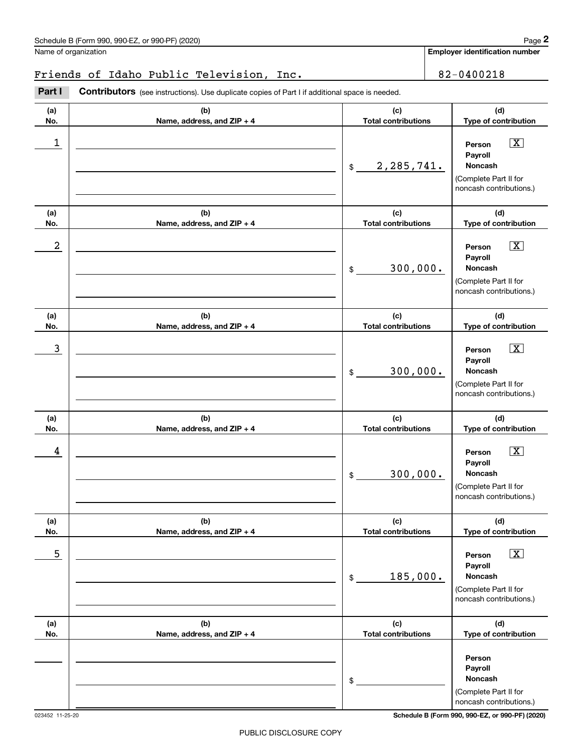|                  | Schedule B (Form 990, 990-EZ, or 990-PF) (2020)                                                       |                                   | Page 2                                                                                                        |
|------------------|-------------------------------------------------------------------------------------------------------|-----------------------------------|---------------------------------------------------------------------------------------------------------------|
|                  | Name of organization                                                                                  |                                   | Employer identification number                                                                                |
|                  | Friends of Idaho Public Television, Inc.                                                              |                                   | 82-0400218                                                                                                    |
| Part I           | <b>Contributors</b> (see instructions). Use duplicate copies of Part I if additional space is needed. |                                   |                                                                                                               |
| (a)<br>No.       | (b)<br>Name, address, and ZIP + 4                                                                     | (c)<br><b>Total contributions</b> | (d)<br>Type of contribution                                                                                   |
| $\mathbf 1$      |                                                                                                       | 2,285,741.<br>$\frac{1}{2}$       | $\boxed{\text{X}}$<br>Person<br>Payroll<br>Noncash<br>(Complete Part II for<br>noncash contributions.)        |
| (a)<br>No.       | (b)<br>Name, address, and ZIP + 4                                                                     | (c)<br><b>Total contributions</b> | (d)<br>Type of contribution                                                                                   |
| $\boldsymbol{2}$ |                                                                                                       | 300,000.<br>\$                    | $\boxed{\text{X}}$<br>Person<br>Payroll<br>Noncash<br>(Complete Part II for<br>noncash contributions.)        |
| (a)<br>No.       | (b)<br>Name, address, and ZIP + 4                                                                     | (c)<br><b>Total contributions</b> | (d)<br>Type of contribution                                                                                   |
| 3                |                                                                                                       | 300,000.<br>\$                    | $\boxed{\text{X}}$<br>Person<br>Payroll<br>Noncash<br>(Complete Part II for<br>noncash contributions.)        |
| (a)<br>No.       | (b)<br>Name, address, and ZIP + 4                                                                     | (c)<br><b>Total contributions</b> | (d)<br>Type of contribution                                                                                   |
| 4                |                                                                                                       | 300,000.<br>\$                    | $\overline{\mathbf{X}}$<br>Person<br>Payroll<br>Noncash<br>(Complete Part II for<br>noncash contributions.)   |
| (a)<br>No.       | (b)<br>Name, address, and ZIP + 4                                                                     | (c)<br><b>Total contributions</b> | (d)<br>Type of contribution                                                                                   |
| 5                |                                                                                                       | 185,000.<br>\$                    | $\boxed{\text{X}}$<br>Person<br>Payroll<br><b>Noncash</b><br>(Complete Part II for<br>noncash contributions.) |
| (a)<br>No.       | (b)<br>Name, address, and ZIP + 4                                                                     | (c)<br><b>Total contributions</b> | (d)<br>Type of contribution                                                                                   |
|                  |                                                                                                       | \$                                | Person<br>Payroll<br>Noncash<br>(Complete Part II for<br>noncash contributions.)                              |

023452 11-25-20 **Schedule B (Form 990, 990-EZ, or 990-PF) (2020)**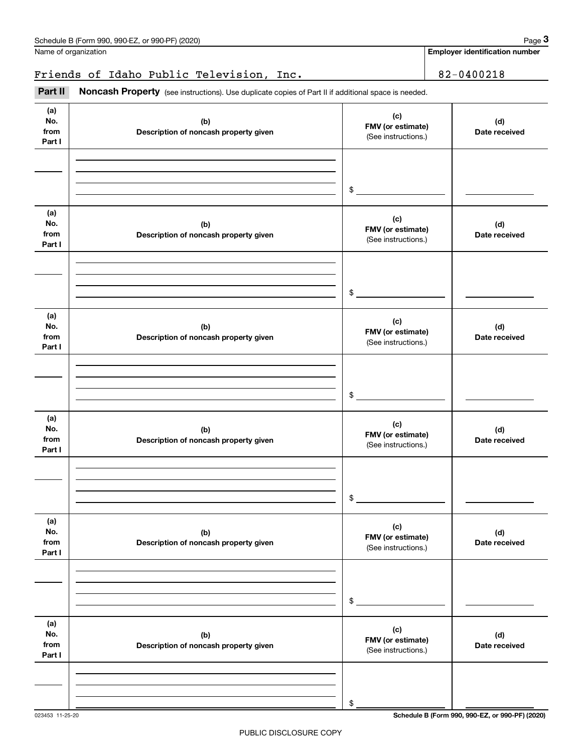|                              | Schedule B (Form 990, 990-EZ, or 990-PF) (2020)                                                     |                                                                  | Page 3                                |
|------------------------------|-----------------------------------------------------------------------------------------------------|------------------------------------------------------------------|---------------------------------------|
|                              | Name of organization                                                                                |                                                                  | <b>Employer identification number</b> |
|                              | Friends of Idaho Public Television, Inc.                                                            |                                                                  | 82-0400218                            |
| Part II                      | Noncash Property (see instructions). Use duplicate copies of Part II if additional space is needed. |                                                                  |                                       |
| (a)<br>No.<br>from<br>Part I | (b)<br>Description of noncash property given                                                        | (d)<br>FMV (or estimate)<br>Date received<br>(See instructions.) |                                       |
|                              |                                                                                                     | \$                                                               |                                       |
| (a)<br>No.<br>from<br>Part I | (b)<br>Description of noncash property given                                                        | (c)<br>FMV (or estimate)<br>(See instructions.)                  | (d)<br>Date received                  |
|                              |                                                                                                     | \$                                                               |                                       |
| (a)<br>No.<br>from<br>Part I | (b)<br>Description of noncash property given                                                        | (c)<br>FMV (or estimate)<br>(See instructions.)                  | (d)<br>Date received                  |
|                              |                                                                                                     | \$                                                               |                                       |
| (a)<br>No.<br>from<br>Part I | (b)<br>Description of noncash property given                                                        | (c)<br>FMV (or estimate)<br>(See instructions.)                  | (d)<br>Date received                  |
|                              |                                                                                                     | \$                                                               |                                       |
| (a)<br>No.<br>from<br>Part I | (b)<br>Description of noncash property given                                                        | (c)<br>FMV (or estimate)<br>(See instructions.)                  | (d)<br>Date received                  |
|                              |                                                                                                     | \$                                                               |                                       |
| (a)<br>No.<br>from<br>Part I | (b)<br>Description of noncash property given                                                        | (c)<br>FMV (or estimate)<br>(See instructions.)                  | (d)<br>Date received                  |
|                              |                                                                                                     |                                                                  |                                       |

023453 11-25-20 **Schedule B (Form 990, 990-EZ, or 990-PF) (2020)**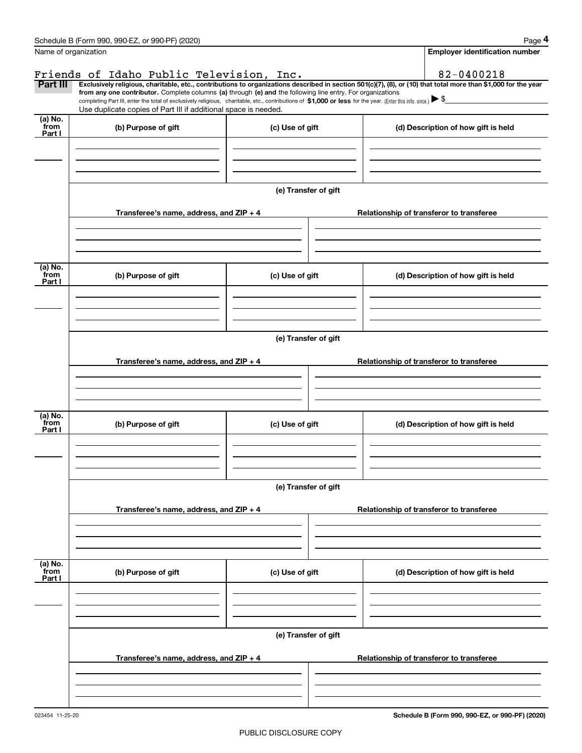|                | Schedule B (Form 990, 990-EZ, or 990-PF) (2020)                                                                                                                                                                                                                                                                                                                                                                                                                                                                                       |                      |  | Page 4                                   |  |  |  |
|----------------|---------------------------------------------------------------------------------------------------------------------------------------------------------------------------------------------------------------------------------------------------------------------------------------------------------------------------------------------------------------------------------------------------------------------------------------------------------------------------------------------------------------------------------------|----------------------|--|------------------------------------------|--|--|--|
|                | Name of organization                                                                                                                                                                                                                                                                                                                                                                                                                                                                                                                  |                      |  | <b>Employer identification number</b>    |  |  |  |
|                | Friends of Idaho Public Television, Inc.                                                                                                                                                                                                                                                                                                                                                                                                                                                                                              |                      |  | 82-0400218                               |  |  |  |
| Part III       | Exclusively religious, charitable, etc., contributions to organizations described in section 501(c)(7), (8), or (10) that total more than \$1,000 for the year<br>from any one contributor. Complete columns (a) through (e) and the following line entry. For organizations<br>completing Part III, enter the total of exclusively religious, charitable, etc., contributions of $$1,000$ or less for the year. (Enter this info. once.) $\blacktriangleright$ \$<br>Use duplicate copies of Part III if additional space is needed. |                      |  |                                          |  |  |  |
| (a) No.        |                                                                                                                                                                                                                                                                                                                                                                                                                                                                                                                                       |                      |  |                                          |  |  |  |
| from<br>Part I | (b) Purpose of gift                                                                                                                                                                                                                                                                                                                                                                                                                                                                                                                   | (c) Use of gift      |  | (d) Description of how gift is held      |  |  |  |
|                |                                                                                                                                                                                                                                                                                                                                                                                                                                                                                                                                       | (e) Transfer of gift |  |                                          |  |  |  |
|                | Transferee's name, address, and $ZIP + 4$                                                                                                                                                                                                                                                                                                                                                                                                                                                                                             |                      |  | Relationship of transferor to transferee |  |  |  |
| (a) No.        |                                                                                                                                                                                                                                                                                                                                                                                                                                                                                                                                       |                      |  |                                          |  |  |  |
| from<br>Part I | (b) Purpose of gift                                                                                                                                                                                                                                                                                                                                                                                                                                                                                                                   | (c) Use of gift      |  | (d) Description of how gift is held      |  |  |  |
|                |                                                                                                                                                                                                                                                                                                                                                                                                                                                                                                                                       |                      |  |                                          |  |  |  |
|                | (e) Transfer of gift                                                                                                                                                                                                                                                                                                                                                                                                                                                                                                                  |                      |  |                                          |  |  |  |
|                | Transferee's name, address, and ZIP + 4                                                                                                                                                                                                                                                                                                                                                                                                                                                                                               |                      |  | Relationship of transferor to transferee |  |  |  |
| (a) No.        |                                                                                                                                                                                                                                                                                                                                                                                                                                                                                                                                       |                      |  |                                          |  |  |  |
| from<br>Part I | (b) Purpose of gift                                                                                                                                                                                                                                                                                                                                                                                                                                                                                                                   | (c) Use of gift      |  | (d) Description of how gift is held      |  |  |  |
|                |                                                                                                                                                                                                                                                                                                                                                                                                                                                                                                                                       | (e) Transfer of gift |  |                                          |  |  |  |
|                | Transferee's name, address, and $ZIP + 4$                                                                                                                                                                                                                                                                                                                                                                                                                                                                                             |                      |  | Relationship of transferor to transferee |  |  |  |
| (a) No.        |                                                                                                                                                                                                                                                                                                                                                                                                                                                                                                                                       |                      |  |                                          |  |  |  |
| from<br>Part I | (b) Purpose of gift                                                                                                                                                                                                                                                                                                                                                                                                                                                                                                                   | (c) Use of gift      |  | (d) Description of how gift is held      |  |  |  |
|                |                                                                                                                                                                                                                                                                                                                                                                                                                                                                                                                                       | (e) Transfer of gift |  |                                          |  |  |  |
|                | Transferee's name, address, and ZIP + 4                                                                                                                                                                                                                                                                                                                                                                                                                                                                                               |                      |  | Relationship of transferor to transferee |  |  |  |
|                |                                                                                                                                                                                                                                                                                                                                                                                                                                                                                                                                       |                      |  |                                          |  |  |  |

**Schedule B (Form 990, 990-EZ, or 990-PF) (2020)**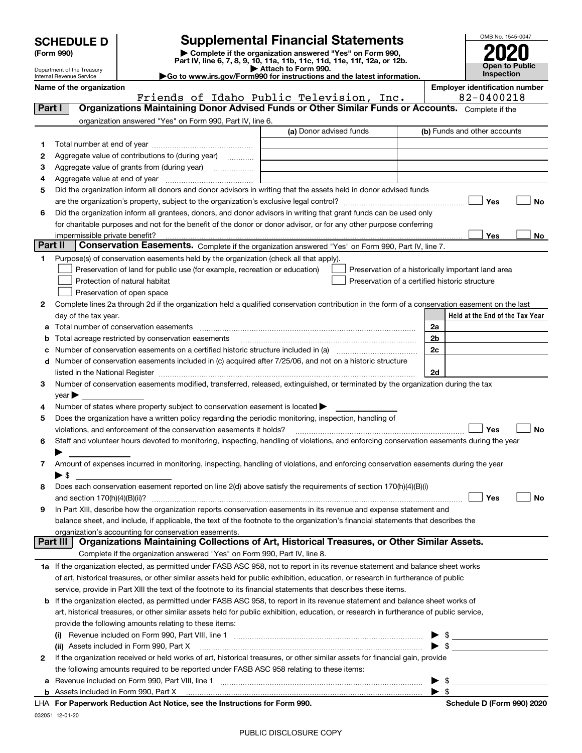| <b>SCHEDULE D</b> |  |
|-------------------|--|
|-------------------|--|

Department of the Treasury Internal Revenue Service

| (Form 990) |  |
|------------|--|
|------------|--|

## **SCHEDULE D Supplemental Financial Statements**

(Form 990)<br>
Pepartment of the Treasury<br>
Department of the Treasury<br>
Department of the Treasury<br>
Department of the Treasury<br> **Co to www.irs.gov/Form990 for instructions and the latest information.**<br> **Co to www.irs.gov/Form9** 





|                | name or the organization<br>Friends of Idaho Public Television, Inc.                                                                                                                                                                                                                                                                                              |                         | Employer identification number<br>82-0400218       |    |
|----------------|-------------------------------------------------------------------------------------------------------------------------------------------------------------------------------------------------------------------------------------------------------------------------------------------------------------------------------------------------------------------|-------------------------|----------------------------------------------------|----|
| <b>Part I</b>  | Organizations Maintaining Donor Advised Funds or Other Similar Funds or Accounts. Complete if the                                                                                                                                                                                                                                                                 |                         |                                                    |    |
|                | organization answered "Yes" on Form 990, Part IV, line 6.                                                                                                                                                                                                                                                                                                         |                         |                                                    |    |
|                |                                                                                                                                                                                                                                                                                                                                                                   | (a) Donor advised funds | (b) Funds and other accounts                       |    |
| 1.             |                                                                                                                                                                                                                                                                                                                                                                   |                         |                                                    |    |
| 2              | Aggregate value of contributions to (during year)                                                                                                                                                                                                                                                                                                                 |                         |                                                    |    |
| з              | Aggregate value of grants from (during year)                                                                                                                                                                                                                                                                                                                      |                         |                                                    |    |
| 4              |                                                                                                                                                                                                                                                                                                                                                                   |                         |                                                    |    |
| 5              | Did the organization inform all donors and donor advisors in writing that the assets held in donor advised funds                                                                                                                                                                                                                                                  |                         |                                                    |    |
|                |                                                                                                                                                                                                                                                                                                                                                                   |                         | Yes                                                | No |
| 6              | Did the organization inform all grantees, donors, and donor advisors in writing that grant funds can be used only                                                                                                                                                                                                                                                 |                         |                                                    |    |
|                | for charitable purposes and not for the benefit of the donor or donor advisor, or for any other purpose conferring                                                                                                                                                                                                                                                |                         |                                                    |    |
| <b>Part II</b> | impermissible private benefit?                                                                                                                                                                                                                                                                                                                                    |                         | Yes                                                | No |
|                | Conservation Easements. Complete if the organization answered "Yes" on Form 990, Part IV, line 7.                                                                                                                                                                                                                                                                 |                         |                                                    |    |
| 1              | Purpose(s) of conservation easements held by the organization (check all that apply).                                                                                                                                                                                                                                                                             |                         |                                                    |    |
|                | Preservation of land for public use (for example, recreation or education)                                                                                                                                                                                                                                                                                        |                         | Preservation of a historically important land area |    |
|                | Protection of natural habitat                                                                                                                                                                                                                                                                                                                                     |                         | Preservation of a certified historic structure     |    |
|                | Preservation of open space                                                                                                                                                                                                                                                                                                                                        |                         |                                                    |    |
| 2.             | Complete lines 2a through 2d if the organization held a qualified conservation contribution in the form of a conservation easement on the last                                                                                                                                                                                                                    |                         |                                                    |    |
|                | day of the tax year.                                                                                                                                                                                                                                                                                                                                              |                         | Held at the End of the Tax Year                    |    |
|                | Total number of conservation easements                                                                                                                                                                                                                                                                                                                            |                         | 2a                                                 |    |
| b              | Total acreage restricted by conservation easements                                                                                                                                                                                                                                                                                                                |                         | 2 <sub>b</sub>                                     |    |
| c              | Number of conservation easements on a certified historic structure included in (a) manufacture of conservation<br>Number of conservation easements included in (c) acquired after 7/25/06, and not on a historic structure                                                                                                                                        |                         | 2c                                                 |    |
| d              |                                                                                                                                                                                                                                                                                                                                                                   |                         |                                                    |    |
| 3.             | listed in the National Register [111] Marshall Register [11] Marshall Register [11] Marshall Register [11] Marshall Register [11] Marshall Register [11] Marshall Register [11] Marshall Register [11] Marshall Register [11]<br>Number of conservation easements modified, transferred, released, extinguished, or terminated by the organization during the tax |                         | 2d                                                 |    |
|                | $year \blacktriangleright$                                                                                                                                                                                                                                                                                                                                        |                         |                                                    |    |
| 4              | Number of states where property subject to conservation easement is located >                                                                                                                                                                                                                                                                                     |                         |                                                    |    |
| 5              | Does the organization have a written policy regarding the periodic monitoring, inspection, handling of                                                                                                                                                                                                                                                            |                         |                                                    |    |
|                | violations, and enforcement of the conservation easements it holds?                                                                                                                                                                                                                                                                                               |                         | Yes                                                | No |
| 6              | Staff and volunteer hours devoted to monitoring, inspecting, handling of violations, and enforcing conservation easements during the year                                                                                                                                                                                                                         |                         |                                                    |    |
|                |                                                                                                                                                                                                                                                                                                                                                                   |                         |                                                    |    |
| 7              | Amount of expenses incurred in monitoring, inspecting, handling of violations, and enforcing conservation easements during the year                                                                                                                                                                                                                               |                         |                                                    |    |
|                | $\blacktriangleright$ \$                                                                                                                                                                                                                                                                                                                                          |                         |                                                    |    |
| 8              | Does each conservation easement reported on line 2(d) above satisfy the requirements of section 170(h)(4)(B)(i)                                                                                                                                                                                                                                                   |                         |                                                    |    |
|                | and section $170(h)(4)(B)(ii)?$                                                                                                                                                                                                                                                                                                                                   |                         | Yes                                                | No |
| 9              | In Part XIII, describe how the organization reports conservation easements in its revenue and expense statement and                                                                                                                                                                                                                                               |                         |                                                    |    |
|                | balance sheet, and include, if applicable, the text of the footnote to the organization's financial statements that describes the                                                                                                                                                                                                                                 |                         |                                                    |    |
|                | organization's accounting for conservation easements.                                                                                                                                                                                                                                                                                                             |                         |                                                    |    |
|                | Organizations Maintaining Collections of Art, Historical Treasures, or Other Similar Assets.<br><b>Part III</b>                                                                                                                                                                                                                                                   |                         |                                                    |    |
|                | Complete if the organization answered "Yes" on Form 990, Part IV, line 8.                                                                                                                                                                                                                                                                                         |                         |                                                    |    |
|                | 1a If the organization elected, as permitted under FASB ASC 958, not to report in its revenue statement and balance sheet works                                                                                                                                                                                                                                   |                         |                                                    |    |
|                | of art, historical treasures, or other similar assets held for public exhibition, education, or research in furtherance of public                                                                                                                                                                                                                                 |                         |                                                    |    |
|                | service, provide in Part XIII the text of the footnote to its financial statements that describes these items.                                                                                                                                                                                                                                                    |                         |                                                    |    |
| b              | If the organization elected, as permitted under FASB ASC 958, to report in its revenue statement and balance sheet works of                                                                                                                                                                                                                                       |                         |                                                    |    |
|                | art, historical treasures, or other similar assets held for public exhibition, education, or research in furtherance of public service,                                                                                                                                                                                                                           |                         |                                                    |    |
|                | provide the following amounts relating to these items:                                                                                                                                                                                                                                                                                                            |                         |                                                    |    |
|                | (i)                                                                                                                                                                                                                                                                                                                                                               |                         | $\frac{1}{2}$                                      |    |
|                |                                                                                                                                                                                                                                                                                                                                                                   |                         | $\blacktriangleright$ \$                           |    |
| 2              | If the organization received or held works of art, historical treasures, or other similar assets for financial gain, provide                                                                                                                                                                                                                                      |                         |                                                    |    |
|                | the following amounts required to be reported under FASB ASC 958 relating to these items:                                                                                                                                                                                                                                                                         |                         |                                                    |    |
|                |                                                                                                                                                                                                                                                                                                                                                                   |                         | - \$                                               |    |
|                |                                                                                                                                                                                                                                                                                                                                                                   |                         | $\blacktriangleright$ s                            |    |
|                | For Departually Reduction Act Notice, and the Instructions for Form 000                                                                                                                                                                                                                                                                                           |                         | Schodule D (Form 000) 2020                         |    |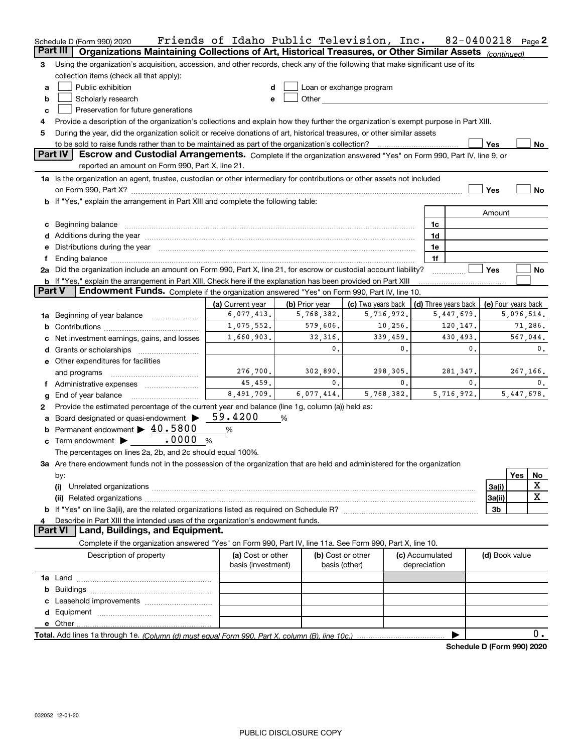|               | Schedule D (Form 990) 2020                                                                                                                                                                                                     | Friends of Idaho Public Television, Inc. |                |                                                                                                                                                                                                                                |                                 | 82-0400218                 |                     |     | Page 2     |  |  |  |  |
|---------------|--------------------------------------------------------------------------------------------------------------------------------------------------------------------------------------------------------------------------------|------------------------------------------|----------------|--------------------------------------------------------------------------------------------------------------------------------------------------------------------------------------------------------------------------------|---------------------------------|----------------------------|---------------------|-----|------------|--|--|--|--|
|               | Part III<br>Organizations Maintaining Collections of Art, Historical Treasures, or Other Similar Assets (continued)                                                                                                            |                                          |                |                                                                                                                                                                                                                                |                                 |                            |                     |     |            |  |  |  |  |
| 3             | Using the organization's acquisition, accession, and other records, check any of the following that make significant use of its                                                                                                |                                          |                |                                                                                                                                                                                                                                |                                 |                            |                     |     |            |  |  |  |  |
|               | collection items (check all that apply):                                                                                                                                                                                       |                                          |                |                                                                                                                                                                                                                                |                                 |                            |                     |     |            |  |  |  |  |
| a             | Public exhibition                                                                                                                                                                                                              | d                                        |                | Loan or exchange program                                                                                                                                                                                                       |                                 |                            |                     |     |            |  |  |  |  |
| b             | Scholarly research                                                                                                                                                                                                             | e                                        |                | Other and the control of the control of the control of the control of the control of the control of the control of the control of the control of the control of the control of the control of the control of the control of th |                                 |                            |                     |     |            |  |  |  |  |
| c             | Preservation for future generations                                                                                                                                                                                            |                                          |                |                                                                                                                                                                                                                                |                                 |                            |                     |     |            |  |  |  |  |
| 4             | Provide a description of the organization's collections and explain how they further the organization's exempt purpose in Part XIII.                                                                                           |                                          |                |                                                                                                                                                                                                                                |                                 |                            |                     |     |            |  |  |  |  |
| 5             | During the year, did the organization solicit or receive donations of art, historical treasures, or other similar assets                                                                                                       |                                          |                |                                                                                                                                                                                                                                |                                 |                            |                     |     |            |  |  |  |  |
|               | Yes<br>No                                                                                                                                                                                                                      |                                          |                |                                                                                                                                                                                                                                |                                 |                            |                     |     |            |  |  |  |  |
|               | Part IV<br>Escrow and Custodial Arrangements. Complete if the organization answered "Yes" on Form 990, Part IV, line 9, or<br>reported an amount on Form 990, Part X, line 21.                                                 |                                          |                |                                                                                                                                                                                                                                |                                 |                            |                     |     |            |  |  |  |  |
|               | 1a Is the organization an agent, trustee, custodian or other intermediary for contributions or other assets not included                                                                                                       |                                          |                |                                                                                                                                                                                                                                |                                 |                            |                     |     |            |  |  |  |  |
|               | on Form 990, Part X? [11] matter contracts and contracts and contracts are contracted as a function of the set of the set of the set of the set of the set of the set of the set of the set of the set of the set of the set o |                                          |                |                                                                                                                                                                                                                                |                                 |                            | Yes                 |     | No         |  |  |  |  |
|               | <b>b</b> If "Yes," explain the arrangement in Part XIII and complete the following table:                                                                                                                                      |                                          |                |                                                                                                                                                                                                                                |                                 |                            |                     |     |            |  |  |  |  |
|               |                                                                                                                                                                                                                                |                                          |                |                                                                                                                                                                                                                                |                                 |                            | Amount              |     |            |  |  |  |  |
|               | c Beginning balance measurements and the contract of the contract of the contract of the contract of the contract of the contract of the contract of the contract of the contract of the contract of the contract of the contr |                                          |                |                                                                                                                                                                                                                                | 1c                              |                            |                     |     |            |  |  |  |  |
|               | d Additions during the year manufactured and an account of the year manufactured and account of the year manufactured and account of the year manufactured and account of the year manufactured and account of the year manufa |                                          |                |                                                                                                                                                                                                                                | 1d                              |                            |                     |     |            |  |  |  |  |
|               | e Distributions during the year manufactured and an account of the year manufactured and account of the year manufactured and account of the US and the US and the US and the US and the US and the US and the US and the US a |                                          |                |                                                                                                                                                                                                                                | 1e                              |                            |                     |     |            |  |  |  |  |
| f             |                                                                                                                                                                                                                                |                                          |                |                                                                                                                                                                                                                                | 1f                              |                            |                     |     |            |  |  |  |  |
|               | 2a Did the organization include an amount on Form 990, Part X, line 21, for escrow or custodial account liability?                                                                                                             |                                          |                |                                                                                                                                                                                                                                |                                 |                            | Yes                 |     | No         |  |  |  |  |
|               | <b>b</b> If "Yes," explain the arrangement in Part XIII. Check here if the explanation has been provided on Part XIII                                                                                                          |                                          |                |                                                                                                                                                                                                                                |                                 |                            |                     |     |            |  |  |  |  |
| <b>Part V</b> | Endowment Funds. Complete if the organization answered "Yes" on Form 990, Part IV, line 10.                                                                                                                                    |                                          |                |                                                                                                                                                                                                                                |                                 |                            |                     |     |            |  |  |  |  |
|               |                                                                                                                                                                                                                                | (a) Current year                         | (b) Prior year | (c) Two years back                                                                                                                                                                                                             |                                 | (d) Three years back       | (e) Four years back |     |            |  |  |  |  |
|               | <b>1a</b> Beginning of year balance <i>manumumum</i>                                                                                                                                                                           | 6,077,413.                               | 5,768,382.     | 5,716,972.                                                                                                                                                                                                                     |                                 | 5,447,679.                 |                     |     | 5,076,514. |  |  |  |  |
|               |                                                                                                                                                                                                                                | 1,075,552.                               | 579,606.       | 10,256.                                                                                                                                                                                                                        |                                 | 120,147.                   |                     |     | 71,286.    |  |  |  |  |
|               | 1,660,903.<br>32,316.<br>339,459.<br>430,493.<br>567,044.<br>c Net investment earnings, gains, and losses                                                                                                                      |                                          |                |                                                                                                                                                                                                                                |                                 |                            |                     |     |            |  |  |  |  |
|               |                                                                                                                                                                                                                                |                                          | 0.             | 0.                                                                                                                                                                                                                             |                                 | 0.                         |                     |     | 0.         |  |  |  |  |
|               | e Other expenditures for facilities                                                                                                                                                                                            |                                          |                |                                                                                                                                                                                                                                |                                 |                            |                     |     |            |  |  |  |  |
|               | and programs                                                                                                                                                                                                                   | 276, 700.                                | 302,890.       | 298,305.                                                                                                                                                                                                                       |                                 | 281,347.                   |                     |     | 267,166.   |  |  |  |  |
|               | f Administrative expenses                                                                                                                                                                                                      | 45,459.                                  | 0.             | 0.                                                                                                                                                                                                                             |                                 | 0.                         |                     |     | 0.         |  |  |  |  |
| g             | End of year balance                                                                                                                                                                                                            | 8,491,709.                               | 6,077,414.     | 5,768,382.                                                                                                                                                                                                                     |                                 | 5,716,972.                 |                     |     | 5,447,678. |  |  |  |  |
| 2             | Provide the estimated percentage of the current year end balance (line 1g, column (a)) held as:                                                                                                                                |                                          |                |                                                                                                                                                                                                                                |                                 |                            |                     |     |            |  |  |  |  |
|               | a Board designated or quasi-endowment >                                                                                                                                                                                        | 59.4200                                  | %              |                                                                                                                                                                                                                                |                                 |                            |                     |     |            |  |  |  |  |
|               | <b>b</b> Permanent endowment $\blacktriangleright$ 40.5800                                                                                                                                                                     | %                                        |                |                                                                                                                                                                                                                                |                                 |                            |                     |     |            |  |  |  |  |
|               | .0000<br>$\mathbf c$ Term endowment $\blacktriangleright$<br>$\%$                                                                                                                                                              |                                          |                |                                                                                                                                                                                                                                |                                 |                            |                     |     |            |  |  |  |  |
|               | The percentages on lines 2a, 2b, and 2c should equal 100%.                                                                                                                                                                     |                                          |                |                                                                                                                                                                                                                                |                                 |                            |                     |     |            |  |  |  |  |
|               | 3a Are there endowment funds not in the possession of the organization that are held and administered for the organization                                                                                                     |                                          |                |                                                                                                                                                                                                                                |                                 |                            |                     |     |            |  |  |  |  |
|               | by:                                                                                                                                                                                                                            |                                          |                |                                                                                                                                                                                                                                |                                 |                            |                     | Yes | No         |  |  |  |  |
|               | (i)                                                                                                                                                                                                                            |                                          |                |                                                                                                                                                                                                                                |                                 |                            | 3a(i)               |     | X          |  |  |  |  |
|               |                                                                                                                                                                                                                                |                                          |                |                                                                                                                                                                                                                                |                                 |                            | 3a(ii)              |     | X          |  |  |  |  |
|               |                                                                                                                                                                                                                                |                                          |                |                                                                                                                                                                                                                                |                                 |                            | 3b                  |     |            |  |  |  |  |
| 4             | Describe in Part XIII the intended uses of the organization's endowment funds.                                                                                                                                                 |                                          |                |                                                                                                                                                                                                                                |                                 |                            |                     |     |            |  |  |  |  |
|               | Land, Buildings, and Equipment.<br><b>Part VI</b>                                                                                                                                                                              |                                          |                |                                                                                                                                                                                                                                |                                 |                            |                     |     |            |  |  |  |  |
|               | Complete if the organization answered "Yes" on Form 990, Part IV, line 11a. See Form 990, Part X, line 10.                                                                                                                     |                                          |                |                                                                                                                                                                                                                                |                                 |                            |                     |     |            |  |  |  |  |
|               | Description of property                                                                                                                                                                                                        | (a) Cost or other<br>basis (investment)  |                | (b) Cost or other<br>basis (other)                                                                                                                                                                                             | (c) Accumulated<br>depreciation |                            | (d) Book value      |     |            |  |  |  |  |
|               |                                                                                                                                                                                                                                |                                          |                |                                                                                                                                                                                                                                |                                 |                            |                     |     |            |  |  |  |  |
|               |                                                                                                                                                                                                                                |                                          |                |                                                                                                                                                                                                                                |                                 |                            |                     |     |            |  |  |  |  |
|               |                                                                                                                                                                                                                                |                                          |                |                                                                                                                                                                                                                                |                                 |                            |                     |     |            |  |  |  |  |
|               |                                                                                                                                                                                                                                |                                          |                |                                                                                                                                                                                                                                |                                 |                            |                     |     |            |  |  |  |  |
|               |                                                                                                                                                                                                                                |                                          |                |                                                                                                                                                                                                                                |                                 |                            |                     |     |            |  |  |  |  |
|               |                                                                                                                                                                                                                                |                                          |                |                                                                                                                                                                                                                                |                                 |                            |                     |     | 0.         |  |  |  |  |
|               |                                                                                                                                                                                                                                |                                          |                |                                                                                                                                                                                                                                |                                 | Schedule D (Form 990) 2020 |                     |     |            |  |  |  |  |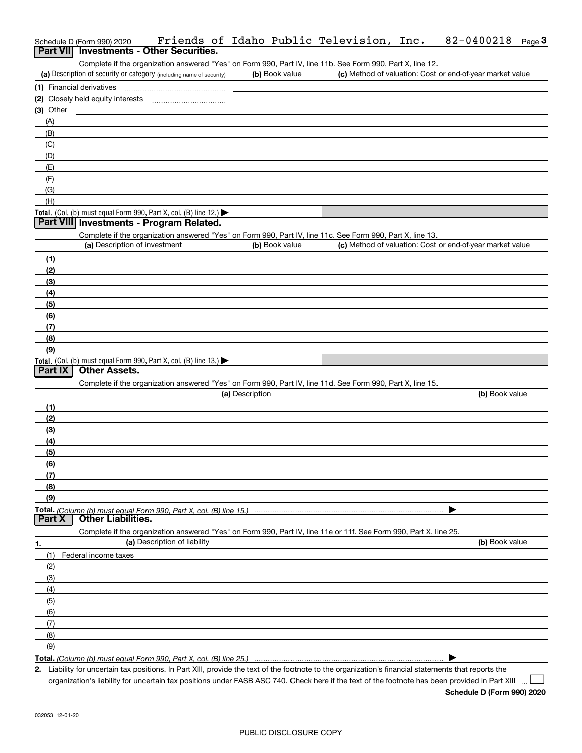| Schedule D (Form 990) 2020               |  |  | Friends of Idaho Public Television, Inc.                                                                   | $82 - 0400218$ Page 3 |  |
|------------------------------------------|--|--|------------------------------------------------------------------------------------------------------------|-----------------------|--|
| Part VII Investments - Other Securities. |  |  |                                                                                                            |                       |  |
|                                          |  |  | Complete if the organization answered "Yes" on Form 990, Part IV, line 11b. See Form 990, Part X, line 12. |                       |  |

| (a) Description of security or category (including name of security)                   | (b) Book value | (c) Method of valuation: Cost or end-of-year market value |
|----------------------------------------------------------------------------------------|----------------|-----------------------------------------------------------|
| (1) Financial derivatives                                                              |                |                                                           |
| (2) Closely held equity interests                                                      |                |                                                           |
| $(3)$ Other                                                                            |                |                                                           |
| (A)                                                                                    |                |                                                           |
| (B)                                                                                    |                |                                                           |
| (C)                                                                                    |                |                                                           |
| (D)                                                                                    |                |                                                           |
| (E)                                                                                    |                |                                                           |
| (F)                                                                                    |                |                                                           |
| (G)                                                                                    |                |                                                           |
| (H)                                                                                    |                |                                                           |
| Total. (Col. (b) must equal Form 990, Part X, col. (B) line 12.) $\blacktriangleright$ |                |                                                           |

### **Part VIII Investments - Program Related.**

Complete if the organization answered "Yes" on Form 990, Part IV, line 11c. See Form 990, Part X, line 13.

| (a) Description of investment                                                          | (b) Book value | (c) Method of valuation: Cost or end-of-year market value |
|----------------------------------------------------------------------------------------|----------------|-----------------------------------------------------------|
| (1)                                                                                    |                |                                                           |
| (2)                                                                                    |                |                                                           |
| $\frac{1}{2}$                                                                          |                |                                                           |
| (4)                                                                                    |                |                                                           |
| $\frac{1}{2}$                                                                          |                |                                                           |
| (6)                                                                                    |                |                                                           |
| (7)                                                                                    |                |                                                           |
| (8)                                                                                    |                |                                                           |
| (9)                                                                                    |                |                                                           |
| Total. (Col. (b) must equal Form 990, Part X, col. (B) line 13.) $\blacktriangleright$ |                |                                                           |

### **Part IX Other Assets.**

Complete if the organization answered "Yes" on Form 990, Part IV, line 11d. See Form 990, Part X, line 15.

| (a) Description                                                                                                   | (b) Book value |
|-------------------------------------------------------------------------------------------------------------------|----------------|
| (1)                                                                                                               |                |
| (2)                                                                                                               |                |
| (3)                                                                                                               |                |
| (4)                                                                                                               |                |
| (5)                                                                                                               |                |
| (6)                                                                                                               |                |
| (7)                                                                                                               |                |
| (8)                                                                                                               |                |
| (9)                                                                                                               |                |
|                                                                                                                   |                |
|                                                                                                                   |                |
| Complete if the organization answered "Yes" on Form 990, Part IV, line 11e or 11f. See Form 990, Part X, line 25. |                |
| (a) Description of liability<br>1.                                                                                | (b) Book value |
| Federal income taxes<br>(1)                                                                                       |                |
| (2)                                                                                                               |                |
| (3)                                                                                                               |                |
| (4)                                                                                                               |                |
| (5)                                                                                                               |                |

**Total.**  *(Column (b) must equal Form 990, Part X, col. (B) line 25.)*

**2.**| Liability for uncertain tax positions. In Part XIII, provide the text of the footnote to the organization's financial statements that reports the

organization's liability for uncertain tax positions under FASB ASC 740. Check here if the text of the footnote has been provided in Part XIII

 $\mathcal{L}^{\text{max}}$ 

(6)(7)(8)(9)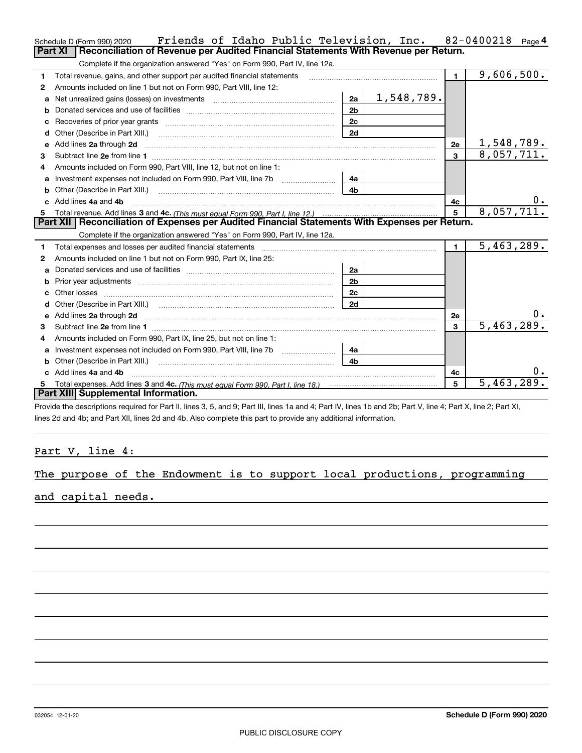|                | Friends of Idaho Public Television, Inc.<br>Schedule D (Form 990) 2020                                                                                                                                                               |                |  |            |                | $82 - 0400218$             | Page $4$ |
|----------------|--------------------------------------------------------------------------------------------------------------------------------------------------------------------------------------------------------------------------------------|----------------|--|------------|----------------|----------------------------|----------|
| <b>Part XI</b> | Reconciliation of Revenue per Audited Financial Statements With Revenue per Return.                                                                                                                                                  |                |  |            |                |                            |          |
|                | Complete if the organization answered "Yes" on Form 990, Part IV, line 12a.                                                                                                                                                          |                |  |            |                |                            |          |
| 1              | Total revenue, gains, and other support per audited financial statements                                                                                                                                                             |                |  |            | $\blacksquare$ | 9,606,500.                 |          |
| 2              | Amounts included on line 1 but not on Form 990, Part VIII, line 12:                                                                                                                                                                  |                |  |            |                |                            |          |
| a              | Net unrealized gains (losses) on investments [11] [11] Net unrealized gains (losses) on investments                                                                                                                                  | 2a             |  | 1,548,789. |                |                            |          |
| b              |                                                                                                                                                                                                                                      | 2 <sub>b</sub> |  |            |                |                            |          |
| c              | Recoveries of prior year grants [11,111] [11] Recoveries of prior year grants [11] [11] Recoveries (11] [11] R                                                                                                                       | 2c             |  |            |                |                            |          |
| d              | Other (Describe in Part XIII.) <b>Construction Contract Construction</b> [                                                                                                                                                           | 2d             |  |            |                |                            |          |
| e              | Add lines 2a through 2d                                                                                                                                                                                                              |                |  |            | 2e             | 1,548,789.                 |          |
| 3              |                                                                                                                                                                                                                                      |                |  |            | 3              | 8,057,711.                 |          |
| 4              | Amounts included on Form 990, Part VIII, line 12, but not on line 1:                                                                                                                                                                 |                |  |            |                |                            |          |
| a              |                                                                                                                                                                                                                                      | 4a             |  |            |                |                            |          |
| b              |                                                                                                                                                                                                                                      | 4b             |  |            |                |                            |          |
| c.             | Add lines 4a and 4b                                                                                                                                                                                                                  |                |  |            | 4с             |                            | υ.       |
| 5              |                                                                                                                                                                                                                                      |                |  |            | 5              | 8,057,711.                 |          |
|                | Part XII   Reconciliation of Expenses per Audited Financial Statements With Expenses per Return.                                                                                                                                     |                |  |            |                |                            |          |
|                | Complete if the organization answered "Yes" on Form 990, Part IV, line 12a.                                                                                                                                                          |                |  |            |                |                            |          |
| 1              | Total expenses and losses per audited financial statements [11, 11] manuscription control expenses and losses per audited financial statements                                                                                       |                |  |            | $\blacksquare$ | $\overline{5, 463, 289}$ . |          |
| 2              | Amounts included on line 1 but not on Form 990. Part IX. line 25:                                                                                                                                                                    |                |  |            |                |                            |          |
| a              |                                                                                                                                                                                                                                      | 2a             |  |            |                |                            |          |
| b              | Prior year adjustments expressional contracts and prior year adjustments experience and the prior of the state of the state of the state of the state of the state of the state of the state of the state of the state of the        | 2 <sub>b</sub> |  |            |                |                            |          |
|                |                                                                                                                                                                                                                                      | 2c             |  |            |                |                            |          |
| d              |                                                                                                                                                                                                                                      | 2d             |  |            |                |                            |          |
| e              | Add lines 2a through 2d <b>continuum contract and all contract and all contract and all contract and all contract and all contract and all contract and all contract and all contract and all contract and all contract and all </b> |                |  |            | 2e             |                            | 0.       |
| З              |                                                                                                                                                                                                                                      |                |  |            | 3              | 5,463,289.                 |          |
| 4              | Amounts included on Form 990, Part IX, line 25, but not on line 1:                                                                                                                                                                   |                |  |            |                |                            |          |
| a              |                                                                                                                                                                                                                                      | 4a             |  |            |                |                            |          |
| b              |                                                                                                                                                                                                                                      | 4 <sub>h</sub> |  |            |                |                            |          |
|                | Add lines 4a and 4b                                                                                                                                                                                                                  |                |  |            | 4c             |                            | 0.       |
| 5.             |                                                                                                                                                                                                                                      |                |  |            | 5              | 5,463,289.                 |          |
|                | Part XIII Supplemental Information.                                                                                                                                                                                                  |                |  |            |                |                            |          |
|                | Provide the descriptions required for Part II, lines 3, 5, and 9; Part III, lines 1a and 4; Part IV, lines 1b and 2b; Part V, line 4; Part X, line 2; Part XI,                                                                       |                |  |            |                |                            |          |

lines 2d and 4b; and Part XII, lines 2d and 4b. Also complete this part to provide any additional information.

<u> 1989 - Johann Barbara, martxa amerikan per</u>

### Part V, line 4:

|  |  |  |  |  |  |  |  |  | The purpose of the Endowment is to support local productions, programming |  |
|--|--|--|--|--|--|--|--|--|---------------------------------------------------------------------------|--|
|--|--|--|--|--|--|--|--|--|---------------------------------------------------------------------------|--|

and capital needs.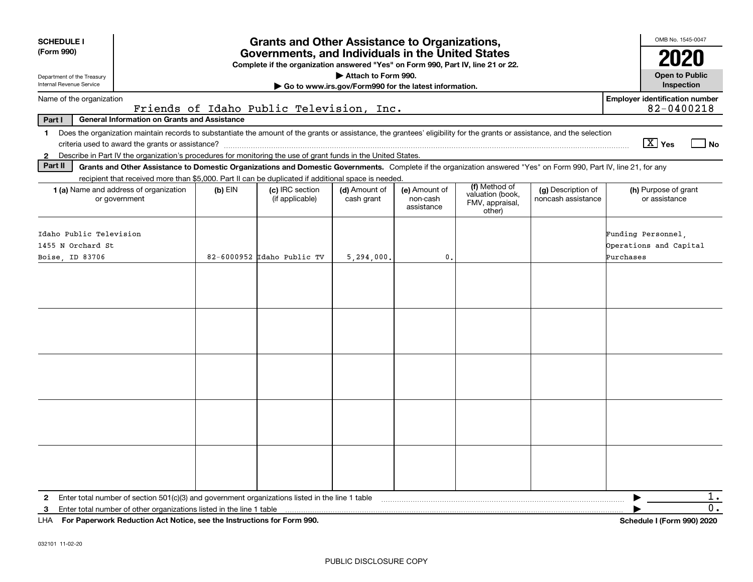| <b>SCHEDULE I</b><br>(Form 990)<br>Department of the Treasury<br>Internal Revenue Service                                                                                                                                                                                                                                | <b>Grants and Other Assistance to Organizations,</b><br>Governments, and Individuals in the United States<br>Complete if the organization answered "Yes" on Form 990, Part IV, line 21 or 22.<br>Attach to Form 990.<br>Go to www.irs.gov/Form990 for the latest information. |                                          |                             |                                         |                                                                |                                          |                                                           |  |  |  |  |  |
|--------------------------------------------------------------------------------------------------------------------------------------------------------------------------------------------------------------------------------------------------------------------------------------------------------------------------|-------------------------------------------------------------------------------------------------------------------------------------------------------------------------------------------------------------------------------------------------------------------------------|------------------------------------------|-----------------------------|-----------------------------------------|----------------------------------------------------------------|------------------------------------------|-----------------------------------------------------------|--|--|--|--|--|
| <b>Employer identification number</b><br>Name of the organization                                                                                                                                                                                                                                                        |                                                                                                                                                                                                                                                                               |                                          |                             |                                         |                                                                |                                          |                                                           |  |  |  |  |  |
| Part I<br><b>General Information on Grants and Assistance</b>                                                                                                                                                                                                                                                            |                                                                                                                                                                                                                                                                               | Friends of Idaho Public Television, Inc. |                             |                                         |                                                                |                                          | 82-0400218                                                |  |  |  |  |  |
| Does the organization maintain records to substantiate the amount of the grants or assistance, the grantees' eligibility for the grants or assistance, and the selection<br>$\mathbf 1$<br>Describe in Part IV the organization's procedures for monitoring the use of grant funds in the United States.<br>$\mathbf{2}$ |                                                                                                                                                                                                                                                                               |                                          |                             |                                         |                                                                |                                          | $\boxed{\text{X}}$ Yes<br>l No                            |  |  |  |  |  |
| Part II<br>Grants and Other Assistance to Domestic Organizations and Domestic Governments. Complete if the organization answered "Yes" on Form 990, Part IV, line 21, for any                                                                                                                                            |                                                                                                                                                                                                                                                                               |                                          |                             |                                         |                                                                |                                          |                                                           |  |  |  |  |  |
| recipient that received more than \$5,000. Part II can be duplicated if additional space is needed.<br><b>1 (a)</b> Name and address of organization<br>or government                                                                                                                                                    | $(b)$ EIN                                                                                                                                                                                                                                                                     | (c) IRC section<br>(if applicable)       | (d) Amount of<br>cash grant | (e) Amount of<br>non-cash<br>assistance | (f) Method of<br>valuation (book,<br>FMV, appraisal,<br>other) | (g) Description of<br>noncash assistance | (h) Purpose of grant<br>or assistance                     |  |  |  |  |  |
| Idaho Public Television<br>1455 N Orchard St<br>Boise, ID 83706                                                                                                                                                                                                                                                          |                                                                                                                                                                                                                                                                               | 82-6000952 Idaho Public TV               | 5,294,000.                  | 0.                                      |                                                                |                                          | Funding Personnel.<br>Operations and Capital<br>Purchases |  |  |  |  |  |
|                                                                                                                                                                                                                                                                                                                          |                                                                                                                                                                                                                                                                               |                                          |                             |                                         |                                                                |                                          |                                                           |  |  |  |  |  |
|                                                                                                                                                                                                                                                                                                                          |                                                                                                                                                                                                                                                                               |                                          |                             |                                         |                                                                |                                          |                                                           |  |  |  |  |  |
|                                                                                                                                                                                                                                                                                                                          |                                                                                                                                                                                                                                                                               |                                          |                             |                                         |                                                                |                                          |                                                           |  |  |  |  |  |
|                                                                                                                                                                                                                                                                                                                          |                                                                                                                                                                                                                                                                               |                                          |                             |                                         |                                                                |                                          |                                                           |  |  |  |  |  |
|                                                                                                                                                                                                                                                                                                                          |                                                                                                                                                                                                                                                                               |                                          |                             |                                         |                                                                |                                          |                                                           |  |  |  |  |  |
| Enter total number of section $501(c)(3)$ and government organizations listed in the line 1 table<br>$\mathbf{2}$                                                                                                                                                                                                        |                                                                                                                                                                                                                                                                               |                                          |                             |                                         |                                                                |                                          | 1.                                                        |  |  |  |  |  |
| Enter total number of other organizations listed in the line 1 table<br>3<br>LHA For Paperwork Reduction Act Notice, see the Instructions for Form 990.                                                                                                                                                                  |                                                                                                                                                                                                                                                                               |                                          |                             |                                         |                                                                |                                          | 0.<br>Schedule I (Form 990) 2020                          |  |  |  |  |  |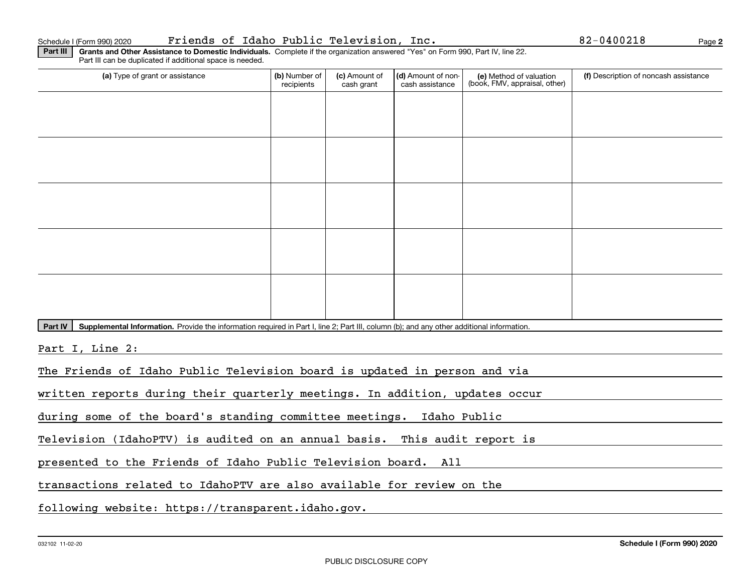**2**

**Part III | Grants and Other Assistance to Domestic Individuals. Complete if the organization answered "Yes" on Form 990, Part IV, line 22.** Part III can be duplicated if additional space is needed.

| (a) Type of grant or assistance                                                                                                                                                                                                     | (b) Number of<br>recipients                                               | (c) Amount of<br>cash grant | (d) Amount of non-<br>cash assistance | (e) Method of valuation<br>(book, FMV, appraisal, other) | (f) Description of noncash assistance |  |  |  |  |
|-------------------------------------------------------------------------------------------------------------------------------------------------------------------------------------------------------------------------------------|---------------------------------------------------------------------------|-----------------------------|---------------------------------------|----------------------------------------------------------|---------------------------------------|--|--|--|--|
|                                                                                                                                                                                                                                     |                                                                           |                             |                                       |                                                          |                                       |  |  |  |  |
|                                                                                                                                                                                                                                     |                                                                           |                             |                                       |                                                          |                                       |  |  |  |  |
|                                                                                                                                                                                                                                     |                                                                           |                             |                                       |                                                          |                                       |  |  |  |  |
|                                                                                                                                                                                                                                     |                                                                           |                             |                                       |                                                          |                                       |  |  |  |  |
|                                                                                                                                                                                                                                     |                                                                           |                             |                                       |                                                          |                                       |  |  |  |  |
|                                                                                                                                                                                                                                     |                                                                           |                             |                                       |                                                          |                                       |  |  |  |  |
|                                                                                                                                                                                                                                     |                                                                           |                             |                                       |                                                          |                                       |  |  |  |  |
|                                                                                                                                                                                                                                     |                                                                           |                             |                                       |                                                          |                                       |  |  |  |  |
|                                                                                                                                                                                                                                     |                                                                           |                             |                                       |                                                          |                                       |  |  |  |  |
|                                                                                                                                                                                                                                     |                                                                           |                             |                                       |                                                          |                                       |  |  |  |  |
| Part IV<br>Supplemental Information. Provide the information required in Part I, line 2; Part III, column (b); and any other additional information.                                                                                |                                                                           |                             |                                       |                                                          |                                       |  |  |  |  |
| Part I, Line 2:                                                                                                                                                                                                                     |                                                                           |                             |                                       |                                                          |                                       |  |  |  |  |
| The Friends of Idaho Public Television board is updated in person and via                                                                                                                                                           |                                                                           |                             |                                       |                                                          |                                       |  |  |  |  |
| written reports during their quarterly meetings. In addition, updates occur                                                                                                                                                         |                                                                           |                             |                                       |                                                          |                                       |  |  |  |  |
| during some of the board's standing committee meetings. Idaho Public                                                                                                                                                                |                                                                           |                             |                                       |                                                          |                                       |  |  |  |  |
|                                                                                                                                                                                                                                     | Television (IdahoPTV) is audited on an annual basis. This audit report is |                             |                                       |                                                          |                                       |  |  |  |  |
| presented to the Friends of Idaho Public Television board. All                                                                                                                                                                      |                                                                           |                             |                                       |                                                          |                                       |  |  |  |  |
| <u> 1989 - Andre Stern Stern Stern Stern Stern Stern Stern Stern Stern Stern Stern Stern Stern Stern Stern Stern Stern Stern Stern Stern Stern Stern Stern Stern Stern Stern Stern Stern Stern Stern Stern Stern Stern Stern St</u> |                                                                           | .                           |                                       |                                                          |                                       |  |  |  |  |

transactions related to IdahoPTV are also available for review on the

following website: https://transparent.idaho.gov.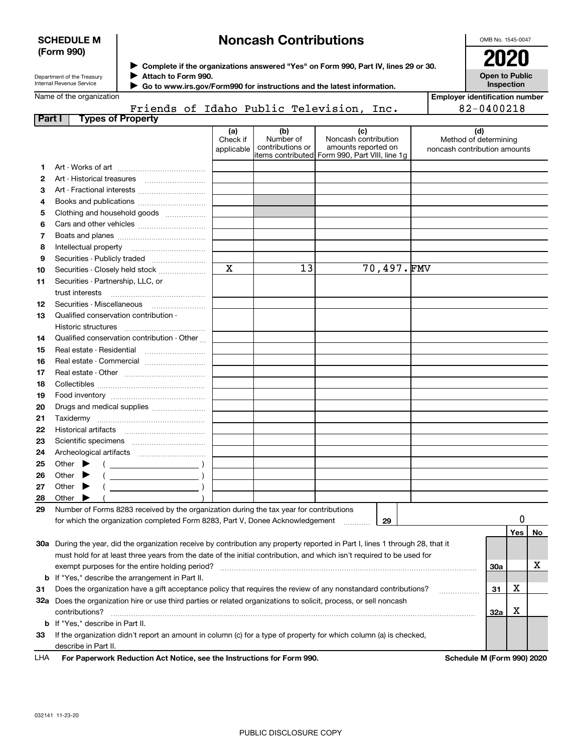| <b>SCHEDULE M</b> |  |
|-------------------|--|
| (Form 990)        |  |

## **Noncash Contributions**

OMB No. 1545-0047

| Department of the Treasury |  |
|----------------------------|--|
| Internal Revenue Service   |  |

**Complete if the organizations answered "Yes" on Form 990, Part IV, lines 29 or 30.** <sup>J</sup>**2020 Attach to Form 990.** J

**Open to Public Inspection**

|  | Name of the organization |
|--|--------------------------|

 **Go to www.irs.gov/Form990 for instructions and the latest information.** J Friends of Idaho Public Television, Inc.

| Employer identification number |  |
|--------------------------------|--|
| 82-0400218                     |  |

| Part I | <b>Types of Property</b>                                                                                                       |                               |                                      |                                                                                                      |            |                                                              |     |    |
|--------|--------------------------------------------------------------------------------------------------------------------------------|-------------------------------|--------------------------------------|------------------------------------------------------------------------------------------------------|------------|--------------------------------------------------------------|-----|----|
|        |                                                                                                                                | (a)<br>Check if<br>applicable | (b)<br>Number of<br>contributions or | (c)<br>Noncash contribution<br>amounts reported on<br>items contributed Form 990, Part VIII, line 1g |            | (d)<br>Method of determining<br>noncash contribution amounts |     |    |
| 1      |                                                                                                                                |                               |                                      |                                                                                                      |            |                                                              |     |    |
| 2      |                                                                                                                                |                               |                                      |                                                                                                      |            |                                                              |     |    |
| з      | Art - Fractional interests                                                                                                     |                               |                                      |                                                                                                      |            |                                                              |     |    |
| 4      | Books and publications                                                                                                         |                               |                                      |                                                                                                      |            |                                                              |     |    |
| 5      |                                                                                                                                |                               |                                      |                                                                                                      |            |                                                              |     |    |
|        | Clothing and household goods                                                                                                   |                               |                                      |                                                                                                      |            |                                                              |     |    |
| 6      |                                                                                                                                |                               |                                      |                                                                                                      |            |                                                              |     |    |
| 7      |                                                                                                                                |                               |                                      |                                                                                                      |            |                                                              |     |    |
| 8      | Intellectual property                                                                                                          |                               |                                      |                                                                                                      |            |                                                              |     |    |
| 9      | Securities - Publicly traded                                                                                                   |                               |                                      |                                                                                                      |            |                                                              |     |    |
| 10     | Securities - Closely held stock                                                                                                | $\mathbf X$                   | 13                                   |                                                                                                      | 70,497.FMV |                                                              |     |    |
| 11     | Securities - Partnership, LLC, or                                                                                              |                               |                                      |                                                                                                      |            |                                                              |     |    |
|        | trust interests                                                                                                                |                               |                                      |                                                                                                      |            |                                                              |     |    |
| 12     | Securities - Miscellaneous                                                                                                     |                               |                                      |                                                                                                      |            |                                                              |     |    |
| 13     | Qualified conservation contribution -                                                                                          |                               |                                      |                                                                                                      |            |                                                              |     |    |
|        | Historic structures                                                                                                            |                               |                                      |                                                                                                      |            |                                                              |     |    |
| 14     | Qualified conservation contribution - Other                                                                                    |                               |                                      |                                                                                                      |            |                                                              |     |    |
| 15     |                                                                                                                                |                               |                                      |                                                                                                      |            |                                                              |     |    |
| 16     | Real estate - Commercial                                                                                                       |                               |                                      |                                                                                                      |            |                                                              |     |    |
| 17     |                                                                                                                                |                               |                                      |                                                                                                      |            |                                                              |     |    |
| 18     |                                                                                                                                |                               |                                      |                                                                                                      |            |                                                              |     |    |
| 19     |                                                                                                                                |                               |                                      |                                                                                                      |            |                                                              |     |    |
| 20     | Drugs and medical supplies                                                                                                     |                               |                                      |                                                                                                      |            |                                                              |     |    |
| 21     |                                                                                                                                |                               |                                      |                                                                                                      |            |                                                              |     |    |
| 22     |                                                                                                                                |                               |                                      |                                                                                                      |            |                                                              |     |    |
| 23     |                                                                                                                                |                               |                                      |                                                                                                      |            |                                                              |     |    |
| 24     |                                                                                                                                |                               |                                      |                                                                                                      |            |                                                              |     |    |
| 25     | Other                                                                                                                          |                               |                                      |                                                                                                      |            |                                                              |     |    |
|        |                                                                                                                                |                               |                                      |                                                                                                      |            |                                                              |     |    |
| 26     | Other                                                                                                                          |                               |                                      |                                                                                                      |            |                                                              |     |    |
| 27     | Other                                                                                                                          |                               |                                      |                                                                                                      |            |                                                              |     |    |
| 28     | Other                                                                                                                          |                               |                                      |                                                                                                      |            |                                                              |     |    |
| 29     | Number of Forms 8283 received by the organization during the tax year for contributions                                        |                               |                                      |                                                                                                      |            |                                                              | 0   |    |
|        | for which the organization completed Form 8283, Part V, Donee Acknowledgement                                                  |                               |                                      | 29<br>.                                                                                              |            |                                                              |     |    |
|        |                                                                                                                                |                               |                                      |                                                                                                      |            |                                                              | Yes | No |
|        | 30a During the year, did the organization receive by contribution any property reported in Part I, lines 1 through 28, that it |                               |                                      |                                                                                                      |            |                                                              |     |    |
|        | must hold for at least three years from the date of the initial contribution, and which isn't required to be used for          |                               |                                      |                                                                                                      |            |                                                              |     |    |
|        | exempt purposes for the entire holding period?                                                                                 |                               |                                      |                                                                                                      |            | 30a                                                          |     | х  |
|        | <b>b</b> If "Yes," describe the arrangement in Part II.                                                                        |                               |                                      |                                                                                                      |            |                                                              |     |    |
| 31     | Does the organization have a gift acceptance policy that requires the review of any nonstandard contributions?                 |                               |                                      |                                                                                                      |            | 31                                                           | х   |    |
|        | 32a Does the organization hire or use third parties or related organizations to solicit, process, or sell noncash              |                               |                                      |                                                                                                      |            |                                                              |     |    |
|        | contributions?                                                                                                                 |                               |                                      |                                                                                                      |            | 32a                                                          | х   |    |
|        | <b>b</b> If "Yes," describe in Part II.                                                                                        |                               |                                      |                                                                                                      |            |                                                              |     |    |
| 33     | If the organization didn't report an amount in column (c) for a type of property for which column (a) is checked,              |                               |                                      |                                                                                                      |            |                                                              |     |    |
|        | describe in Part II.                                                                                                           |                               |                                      |                                                                                                      |            |                                                              |     |    |
| LHA    | For Paperwork Reduction Act Notice, see the Instructions for Form 990.                                                         |                               |                                      |                                                                                                      |            | Schedule M (Form 990) 2020                                   |     |    |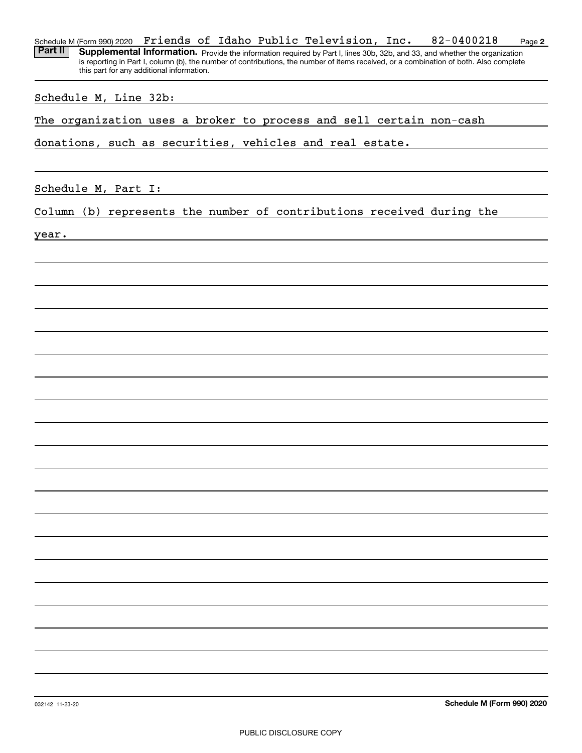| Friends of Idaho Public Television, Inc.<br>82-0400218<br>Schedule M (Form 990) 2020<br>Page 2                                                                                      |
|-------------------------------------------------------------------------------------------------------------------------------------------------------------------------------------|
| Part II<br>Supplemental Information. Provide the information required by Part I, lines 30b, 32b, and 33, and whether the organization                                               |
| is reporting in Part I, column (b), the number of contributions, the number of items received, or a combination of both. Also complete<br>this part for any additional information. |
|                                                                                                                                                                                     |
| Schedule M, Line 32b:                                                                                                                                                               |
|                                                                                                                                                                                     |
| The organization uses a broker to process and sell certain non-cash                                                                                                                 |
|                                                                                                                                                                                     |
| donations, such as securities, vehicles and real estate.                                                                                                                            |
|                                                                                                                                                                                     |
|                                                                                                                                                                                     |
| Schedule M, Part I:                                                                                                                                                                 |
|                                                                                                                                                                                     |
| Column (b) represents the number of contributions received during the                                                                                                               |
|                                                                                                                                                                                     |
| year.                                                                                                                                                                               |
|                                                                                                                                                                                     |
|                                                                                                                                                                                     |
|                                                                                                                                                                                     |
|                                                                                                                                                                                     |
|                                                                                                                                                                                     |
|                                                                                                                                                                                     |
|                                                                                                                                                                                     |
|                                                                                                                                                                                     |
|                                                                                                                                                                                     |
|                                                                                                                                                                                     |
|                                                                                                                                                                                     |
|                                                                                                                                                                                     |
|                                                                                                                                                                                     |
|                                                                                                                                                                                     |
|                                                                                                                                                                                     |
|                                                                                                                                                                                     |
|                                                                                                                                                                                     |
|                                                                                                                                                                                     |
|                                                                                                                                                                                     |
|                                                                                                                                                                                     |
|                                                                                                                                                                                     |
|                                                                                                                                                                                     |
|                                                                                                                                                                                     |
|                                                                                                                                                                                     |
|                                                                                                                                                                                     |
|                                                                                                                                                                                     |
|                                                                                                                                                                                     |
|                                                                                                                                                                                     |
|                                                                                                                                                                                     |
|                                                                                                                                                                                     |
|                                                                                                                                                                                     |
|                                                                                                                                                                                     |
|                                                                                                                                                                                     |
|                                                                                                                                                                                     |
| Schedule M (Form 990) 2020<br>032142 11-23-20                                                                                                                                       |
|                                                                                                                                                                                     |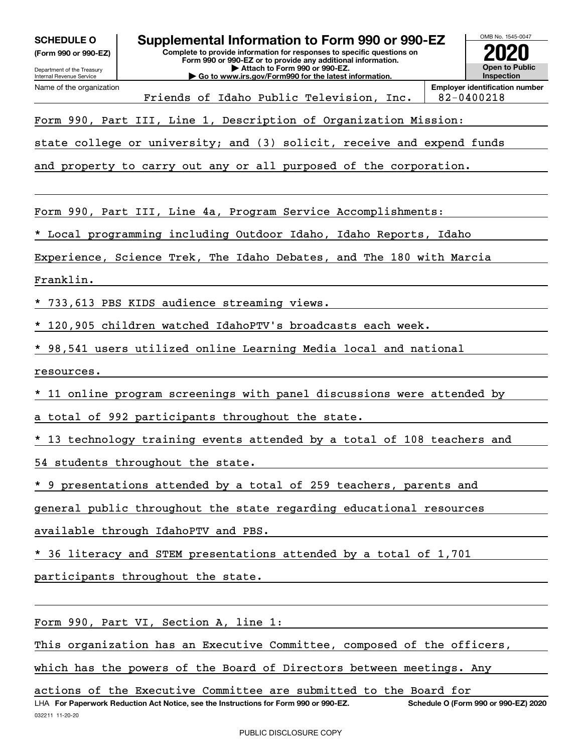| <b>SCHEDULE O</b> |  |
|-------------------|--|
|-------------------|--|

**(Form 990 or 990-EZ)**



**Employer identification number** Friends of Idaho Public Television, Inc.  $\vert$  82-0400218

Form 990, Part III, Line 1, Description of Organization Mission:

state college or university; and (3) solicit, receive and expend funds

and property to carry out any or all purposed of the corporation.

Form 990, Part III, Line 4a, Program Service Accomplishments:

\* Local programming including Outdoor Idaho, Idaho Reports, Idaho

Experience, Science Trek, The Idaho Debates, and The 180 with Marcia

Franklin.

\* 733,613 PBS KIDS audience streaming views.

\* 120,905 children watched IdahoPTV's broadcasts each week.

\* 98,541 users utilized online Learning Media local and national

resources.

\* 11 online program screenings with panel discussions were attended by

a total of 992 participants throughout the state.

13 technology training events attended by a total of 108 teachers and

54 students throughout the state.

\* 9 presentations attended by a total of 259 teachers, parents and

general public throughout the state regarding educational resources

available through IdahoPTV and PBS.

36 literacy and STEM presentations attended by a total of 1,701

participants throughout the state.

Form 990, Part VI, Section A, line 1:

This organization has an Executive Committee, composed of the officers,

which has the powers of the Board of Directors between meetings. Any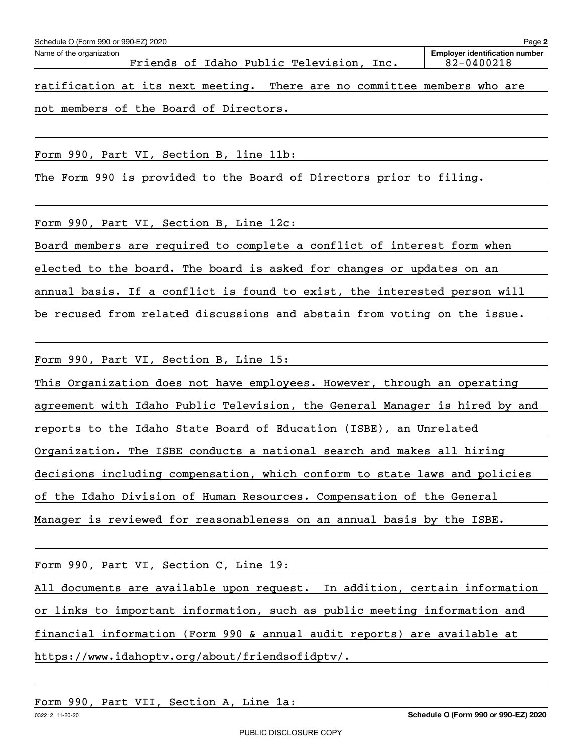| Schedule O (Form 990 or 990-EZ) 2020                                     | Page 2                                                  |
|--------------------------------------------------------------------------|---------------------------------------------------------|
| Name of the organization<br>Friends of Idaho Public Television, Inc.     | <b>Employer identification number</b><br>$82 - 0400218$ |
| ratification at its next meeting. There are no committee members who are |                                                         |
| not members of the Board of Directors.                                   |                                                         |
|                                                                          |                                                         |
| Form 990, Part VI, Section B, line 11b:                                  |                                                         |
| The Form 990 is provided to the Board of Directors prior to filing.      |                                                         |
|                                                                          |                                                         |
| Form 990, Part VI, Section B, Line 12c:                                  |                                                         |

Board members are required to complete a conflict of interest form when elected to the board. The board is asked for changes or updates on an annual basis. If a conflict is found to exist, the interested person will be recused from related discussions and abstain from voting on the issue.

Form 990, Part VI, Section B, Line 15:

This Organization does not have employees. However, through an operating agreement with Idaho Public Television, the General Manager is hired by and reports to the Idaho State Board of Education (ISBE), an Unrelated Organization. The ISBE conducts a national search and makes all hiring decisions including compensation, which conform to state laws and policies of the Idaho Division of Human Resources. Compensation of the General Manager is reviewed for reasonableness on an annual basis by the ISBE.

Form 990, Part VI, Section C, Line 19:

All documents are available upon request. In addition, certain information

or links to important information, such as public meeting information and

financial information (Form 990 & annual audit reports) are available at

https://www.idahoptv.org/about/friendsofidptv/.

Form 990, Part VII, Section A, Line 1a: